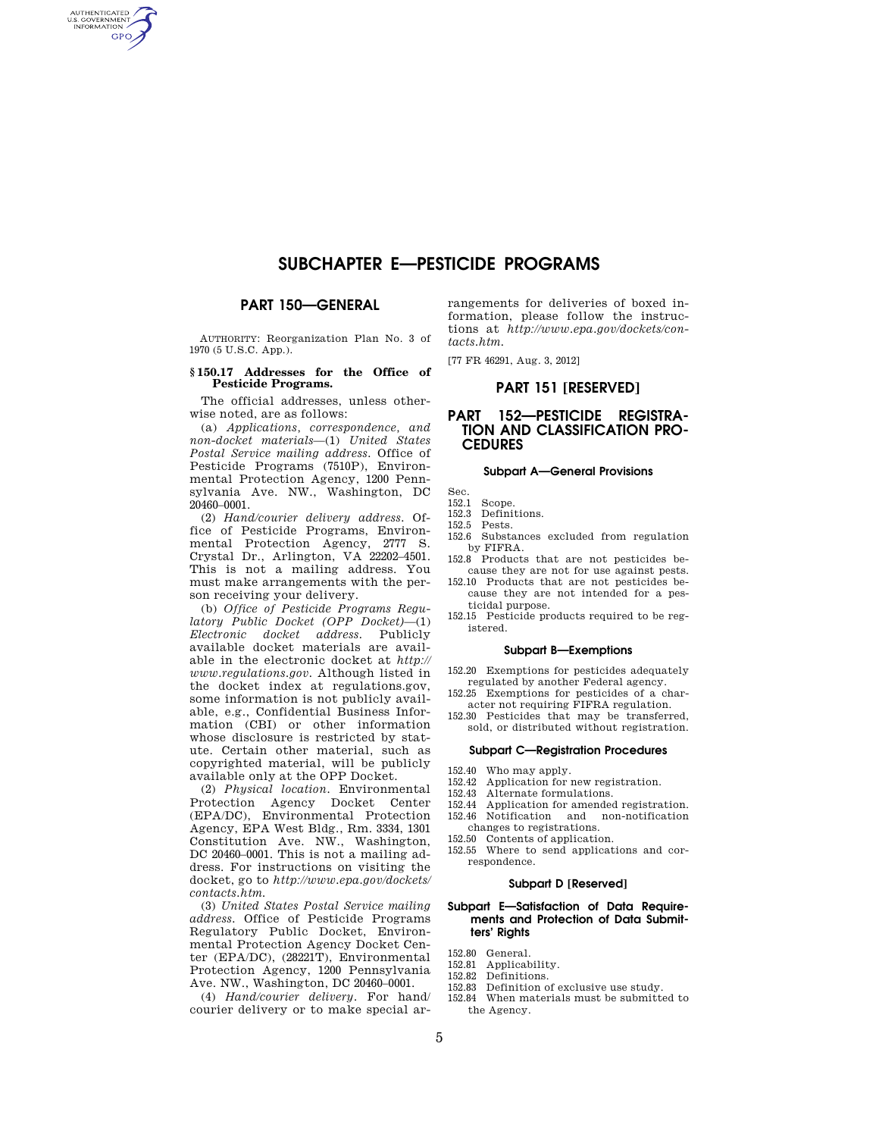# **SUBCHAPTER E—PESTICIDE PROGRAMS**

## **PART 150—GENERAL**

AUTHENTICATED<br>U.S. GOVERNMENT<br>INFORMATION **GPO** 

> AUTHORITY: Reorganization Plan No. 3 of 1970 (5 U.S.C. App.).

#### **§ 150.17 Addresses for the Office of Pesticide Programs.**

The official addresses, unless otherwise noted, are as follows:

(a) *Applications, correspondence, and non-docket materials*—(1) *United States Postal Service mailing address.* Office of Pesticide Programs (7510P), Environmental Protection Agency, 1200 Pennsylvania Ave. NW., Washington, DC 20460–0001.

(2) *Hand/courier delivery address.* Office of Pesticide Programs, Environmental Protection Agency, 2777 S. Crystal Dr., Arlington, VA 22202–4501. This is not a mailing address. You must make arrangements with the person receiving your delivery.

(b) *Office of Pesticide Programs Regulatory Public Docket (OPP Docket)*—(1) *Electronic docket address.* Publicly available docket materials are available in the electronic docket at *http:// www.regulations.gov.* Although listed in the docket index at regulations.gov, some information is not publicly available, e.g., Confidential Business Information (CBI) or other information whose disclosure is restricted by statute. Certain other material, such as copyrighted material, will be publicly available only at the OPP Docket.

(2) *Physical location.* Environmental Protection Agency Docket Center (EPA/DC), Environmental Protection Agency, EPA West Bldg., Rm. 3334, 1301 Constitution Ave. NW., Washington, DC 20460–0001. This is not a mailing address. For instructions on visiting the docket, go to *http://www.epa.gov/dockets/ contacts.htm.* 

(3) *United States Postal Service mailing address.* Office of Pesticide Programs Regulatory Public Docket, Environmental Protection Agency Docket Center (EPA/DC), (28221T), Environmental Protection Agency, 1200 Pennsylvania Ave. NW., Washington, DC 20460–0001.

(4) *Hand/courier delivery.* For hand/ courier delivery or to make special arrangements for deliveries of boxed information, please follow the instructions at *http://www.epa.gov/dockets/contacts.htm.* 

[77 FR 46291, Aug. 3, 2012]

# **PART 151 [RESERVED]**

# **PART 152—PESTICIDE REGISTRA-TION AND CLASSIFICATION PRO-CEDURES**

#### **Subpart A—General Provisions**

- Sec.
- 152.1 Scope.
- 152.3 Definitions.
- 152.5 Pests.
- 152.6 Substances excluded from regulation by FIFRA.
- 152.8 Products that are not pesticides because they are not for use against pests. 152.10 Products that are not pesticides be-
- cause they are not intended for a pesticidal purpose.
- 152.15 Pesticide products required to be registered.

#### **Subpart B—Exemptions**

152.20 Exemptions for pesticides adequately regulated by another Federal agency.

- 152.25 Exemptions for pesticides of a character not requiring FIFRA regulation.
- 152.30 Pesticides that may be transferred, sold, or distributed without registration.

## **Subpart C—Registration Procedures**

- 152.40 Who may apply.
- 152.42 Application for new registration.
- 152.43 Alternate formulations.
- 152.44 Application for amended registration. 152.46 Notification and non-notification
- changes to registrations.
- 152.50 Contents of application.
- 152.55 Where to send applications and correspondence.

# **Subpart D [Reserved]**

#### **Subpart E—Satisfaction of Data Requirements and Protection of Data Submitters' Rights**

- 152.80 General.
- 152.81 Applicability.
- 152.82 Definitions.
- 152.83 Definition of exclusive use study.
- 152.84 When materials must be submitted to the Agency.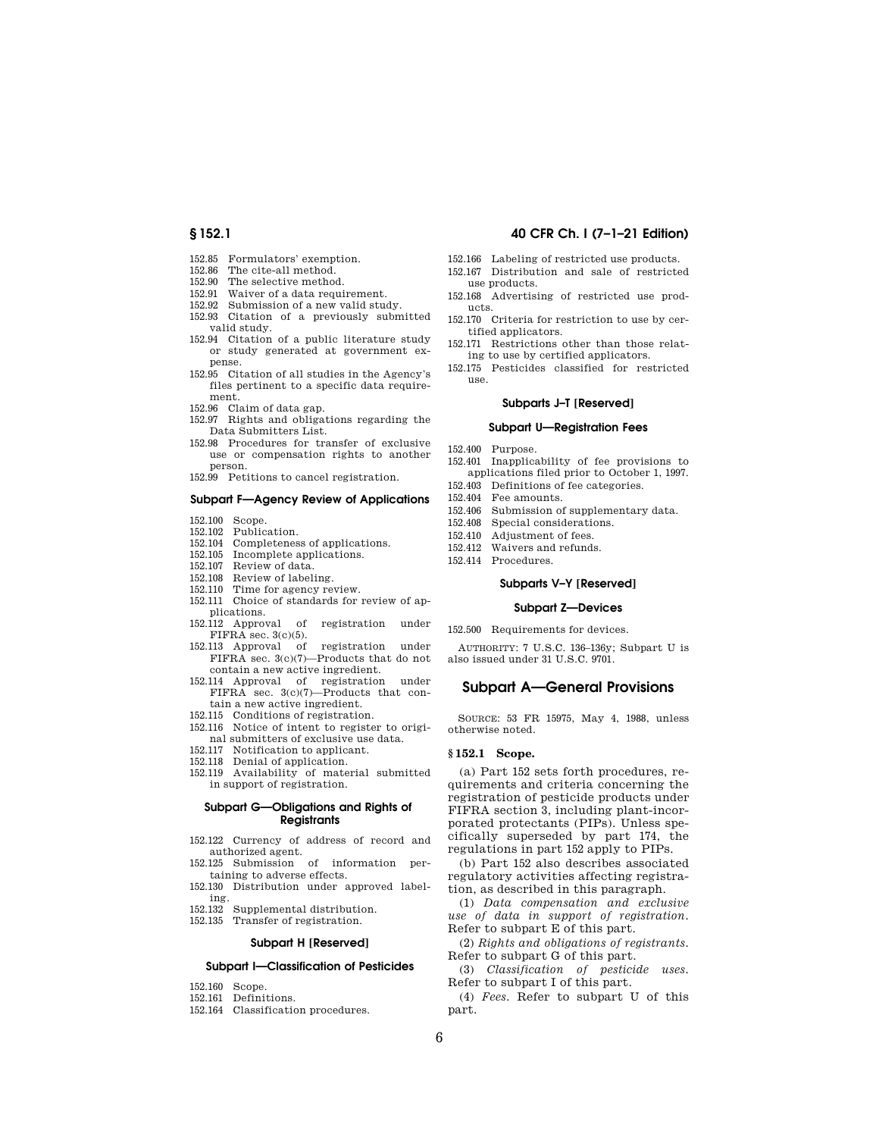- 152.85 Formulators' exemption.
- 152.86 The cite-all method.<br>152.90 The selective method.
- The selective method.
- 152.91 Waiver of a data requirement.
- 152.92 Submission of a new valid study. 152.93 Citation of a previously submitted valid study.
- 152.94 Citation of a public literature study or study generated at government expense.
- 152.95 Citation of all studies in the Agency's files pertinent to a specific data requirement.
- 152.96 Claim of data gap.
- 152.97 Rights and obligations regarding the Data Submitters List.
- 152.98 Procedures for transfer of exclusive use or compensation rights to another person.
- 152.99 Petitions to cancel registration.

#### **Subpart F—Agency Review of Applications**

- 152.100 Scope.
- 152.102 Publication.
- 152.104 Completeness of applications.
- 152.105 Incomplete applications.<br>152.107 Review of data Review of data.
- 
- 152.108 Review of labeling.
- 152.110 Time for agency review. 152.111 Choice of standards for review of applications.
- 152.112 Approval of registration under FIFRA sec. 3(c)(5).
- 152.113 Approval of registration under FIFRA sec. 3(c)(7)—Products that do not contain a new active ingredient.
- 152.114 Approval of registration under FIFRA sec. 3(c)(7)—Products that contain a new active ingredient.
- 152.115 Conditions of registration.
- 152.116 Notice of intent to register to original submitters of exclusive use data.
- 152.117 Notification to applicant.
- 152.118 Denial of application.
- 152.119 Availability of material submitted in support of registration.

#### **Subpart G—Obligations and Rights of Registrants**

- 152.122 Currency of address of record and authorized agent.
- 152.125 Submission of information pertaining to adverse effects.
- 152.130 Distribution under approved labeling.
- 152.132 Supplemental distribution.
- 152.135 Transfer of registration.

#### **Subpart H [Reserved]**

### **Subpart I—Classification of Pesticides**

- 152.160 Scope.
- 152.161 Definitions.
- 152.164 Classification procedures.

#### **§ 152.1 40 CFR Ch. I (7–1–21 Edition)**

- 152.166 Labeling of restricted use products.
- 152.167 Distribution and sale of restricted
- use products. 152.168 Advertising of restricted use products.
- 152.170 Criteria for restriction to use by certified applicators.
- 152.171 Restrictions other than those relating to use by certified applicators.
- 152.175 Pesticides classified for restricted use.

#### **Subparts J–T [Reserved]**

#### **Subpart U—Registration Fees**

- 152.400 Purpose.
- 152.401 Inapplicability of fee provisions to
	- applications filed prior to October 1, 1997.
- 152.403 Definitions of fee categories.
- 152.404 Fee amounts.
- 152.406 Submission of supplementary data.
- 152.408 Special considerations.
- 152.410 Adjustment of fees.
- 152.412 Waivers and refunds.
- 152.414 Procedures.

#### **Subparts V–Y [Reserved]**

#### **Subpart Z—Devices**

152.500 Requirements for devices.

AUTHORITY: 7 U.S.C. 136–136y; Subpart U is also issued under 31 U.S.C. 9701.

# **Subpart A—General Provisions**

SOURCE: 53 FR 15975, May 4, 1988, unless otherwise noted.

#### **§ 152.1 Scope.**

(a) Part 152 sets forth procedures, requirements and criteria concerning the registration of pesticide products under FIFRA section 3, including plant-incorporated protectants (PIPs). Unless specifically superseded by part 174, the regulations in part 152 apply to PIPs.

(b) Part 152 also describes associated regulatory activities affecting registration, as described in this paragraph.

(1) *Data compensation and exclusive use of data in support of registration.*  Refer to subpart E of this part.

(2) *Rights and obligations of registrants.*  Refer to subpart G of this part.

(3) *Classification of pesticide uses.*  Refer to subpart I of this part.

(4) *Fees.* Refer to subpart U of this part.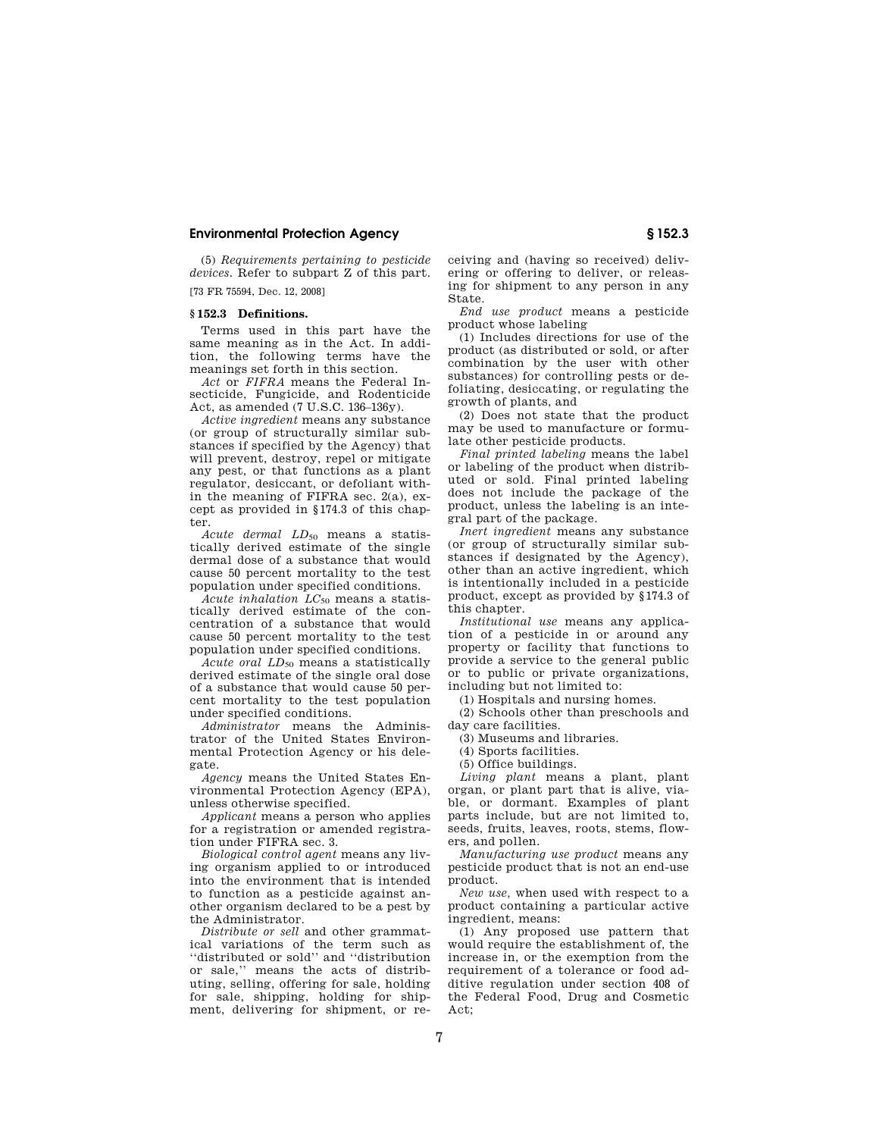(5) *Requirements pertaining to pesticide devices.* Refer to subpart Z of this part.

[73 FR 75594, Dec. 12, 2008]

### **§ 152.3 Definitions.**

Terms used in this part have the same meaning as in the Act. In addition, the following terms have the meanings set forth in this section.

*Act* or *FIFRA* means the Federal Insecticide, Fungicide, and Rodenticide Act, as amended (7 U.S.C. 136–136y).

*Active ingredient* means any substance (or group of structurally similar substances if specified by the Agency) that will prevent, destroy, repel or mitigate any pest, or that functions as a plant regulator, desiccant, or defoliant within the meaning of FIFRA sec. 2(a), except as provided in §174.3 of this chapter.

*Acute dermal LD*<sub>50</sub> means a statistically derived estimate of the single dermal dose of a substance that would cause 50 percent mortality to the test population under specified conditions.

*Acute inhalation LC*<sup>50</sup> means a statistically derived estimate of the concentration of a substance that would cause 50 percent mortality to the test population under specified conditions.

*Acute oral LD*<sup>50</sup> means a statistically derived estimate of the single oral dose of a substance that would cause 50 percent mortality to the test population under specified conditions.

*Administrator* means the Administrator of the United States Environmental Protection Agency or his delegate.

*Agency* means the United States Environmental Protection Agency (EPA), unless otherwise specified.

*Applicant* means a person who applies for a registration or amended registration under FIFRA sec. 3.

*Biological control agent* means any living organism applied to or introduced into the environment that is intended to function as a pesticide against another organism declared to be a pest by the Administrator.

*Distribute or sell* and other grammatical variations of the term such as ''distributed or sold'' and ''distribution or sale,'' means the acts of distributing, selling, offering for sale, holding for sale, shipping, holding for shipment, delivering for shipment, or receiving and (having so received) delivering or offering to deliver, or releasing for shipment to any person in any State.

*End use product* means a pesticide product whose labeling

(1) Includes directions for use of the product (as distributed or sold, or after combination by the user with other substances) for controlling pests or defoliating, desiccating, or regulating the growth of plants, and

(2) Does not state that the product may be used to manufacture or formulate other pesticide products.

*Final printed labeling* means the label or labeling of the product when distributed or sold. Final printed labeling does not include the package of the product, unless the labeling is an integral part of the package.

*Inert ingredient* means any substance (or group of structurally similar substances if designated by the Agency), other than an active ingredient, which is intentionally included in a pesticide product, except as provided by §174.3 of this chapter.

*Institutional use* means any application of a pesticide in or around any property or facility that functions to provide a service to the general public or to public or private organizations, including but not limited to:

(1) Hospitals and nursing homes.

(2) Schools other than preschools and day care facilities.

(3) Museums and libraries.

(4) Sports facilities.

(5) Office buildings.

*Living plant* means a plant, plant organ, or plant part that is alive, viable, or dormant. Examples of plant parts include, but are not limited to, seeds, fruits, leaves, roots, stems, flowers, and pollen.

*Manufacturing use product* means any pesticide product that is not an end-use product.

*New use,* when used with respect to a product containing a particular active ingredient, means:

(1) Any proposed use pattern that would require the establishment of, the increase in, or the exemption from the requirement of a tolerance or food additive regulation under section 408 of the Federal Food, Drug and Cosmetic Act;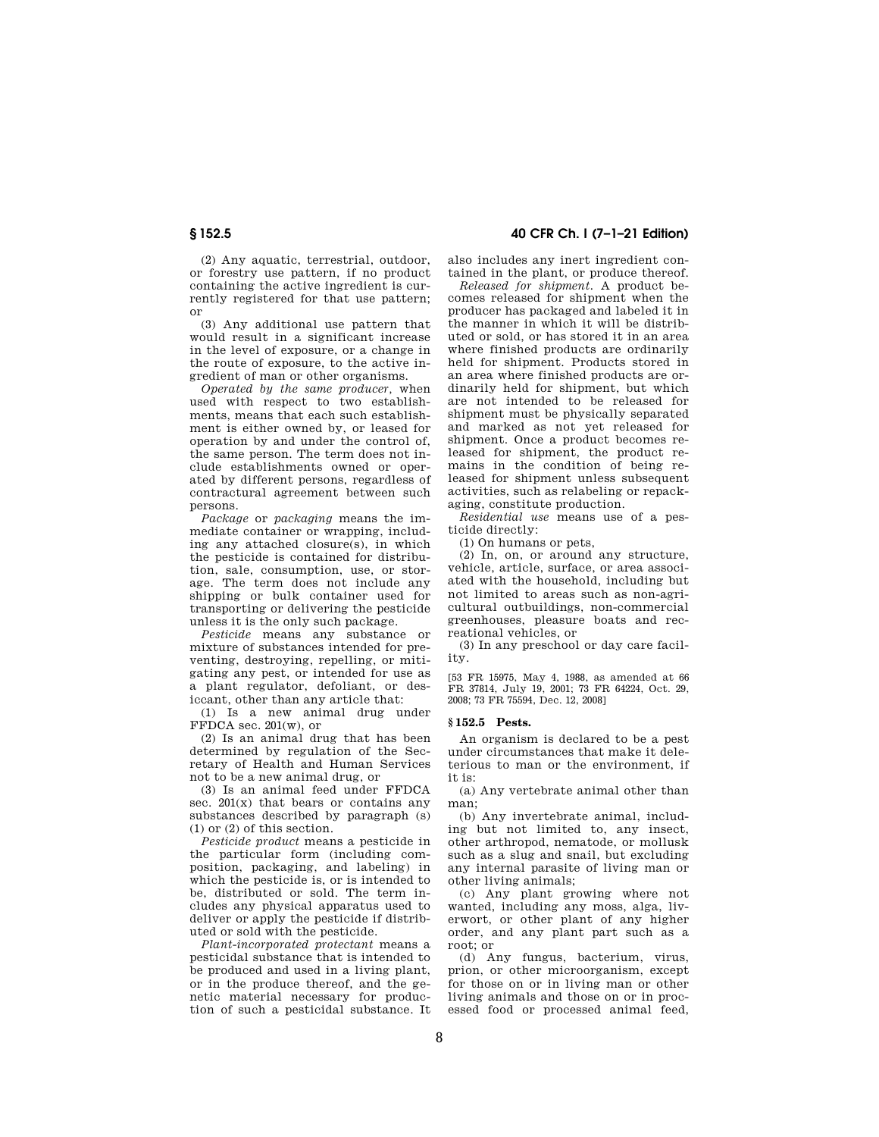(2) Any aquatic, terrestrial, outdoor, or forestry use pattern, if no product containing the active ingredient is currently registered for that use pattern; or

(3) Any additional use pattern that would result in a significant increase in the level of exposure, or a change in the route of exposure, to the active ingredient of man or other organisms.

*Operated by the same producer,* when used with respect to two establishments, means that each such establishment is either owned by, or leased for operation by and under the control of, the same person. The term does not include establishments owned or operated by different persons, regardless of contractural agreement between such persons.

*Package* or *packaging* means the immediate container or wrapping, including any attached closure(s), in which the pesticide is contained for distribution, sale, consumption, use, or storage. The term does not include any shipping or bulk container used for transporting or delivering the pesticide unless it is the only such package.

*Pesticide* means any substance or mixture of substances intended for preventing, destroying, repelling, or mitigating any pest, or intended for use as a plant regulator, defoliant, or desiccant, other than any article that:

(1) Is a new animal drug under FFDCA sec. 201(w), or

(2) Is an animal drug that has been determined by regulation of the Secretary of Health and Human Services not to be a new animal drug, or

(3) Is an animal feed under FFDCA sec.  $201(x)$  that bears or contains any substances described by paragraph (s) (1) or (2) of this section.

*Pesticide product* means a pesticide in the particular form (including composition, packaging, and labeling) in which the pesticide is, or is intended to be, distributed or sold. The term includes any physical apparatus used to deliver or apply the pesticide if distributed or sold with the pesticide.

*Plant-incorporated protectant* means a pesticidal substance that is intended to be produced and used in a living plant, or in the produce thereof, and the genetic material necessary for production of such a pesticidal substance. It

**§ 152.5 40 CFR Ch. I (7–1–21 Edition)** 

also includes any inert ingredient contained in the plant, or produce thereof.

*Released for shipment.* A product becomes released for shipment when the producer has packaged and labeled it in the manner in which it will be distributed or sold, or has stored it in an area where finished products are ordinarily held for shipment. Products stored in an area where finished products are ordinarily held for shipment, but which are not intended to be released for shipment must be physically separated and marked as not yet released for shipment. Once a product becomes released for shipment, the product remains in the condition of being released for shipment unless subsequent activities, such as relabeling or repackaging, constitute production.

*Residential use* means use of a pesticide directly:

(1) On humans or pets,

(2) In, on, or around any structure, vehicle, article, surface, or area associated with the household, including but not limited to areas such as non-agricultural outbuildings, non-commercial greenhouses, pleasure boats and recreational vehicles, or

(3) In any preschool or day care facility.

[53 FR 15975, May 4, 1988, as amended at 66 FR 37814, July 19, 2001; 73 FR 64224, Oct. 29, 2008; 73 FR 75594, Dec. 12, 2008]

#### **§ 152.5 Pests.**

An organism is declared to be a pest under circumstances that make it deleterious to man or the environment, if it is:

(a) Any vertebrate animal other than man;

(b) Any invertebrate animal, including but not limited to, any insect, other arthropod, nematode, or mollusk such as a slug and snail, but excluding any internal parasite of living man or other living animals;

(c) Any plant growing where not wanted, including any moss, alga, liverwort, or other plant of any higher order, and any plant part such as a root; or

(d) Any fungus, bacterium, virus, prion, or other microorganism, except for those on or in living man or other living animals and those on or in processed food or processed animal feed,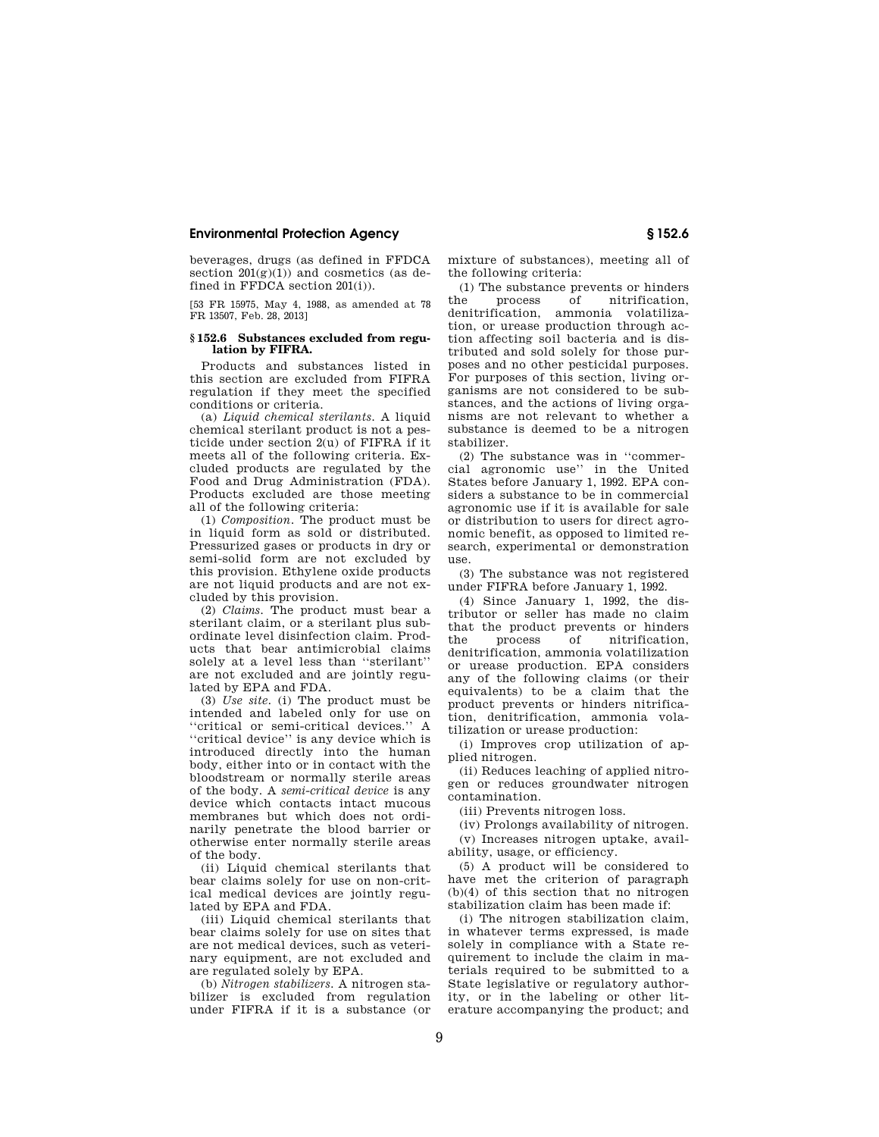beverages, drugs (as defined in FFDCA section  $201(g)(1)$  and cosmetics (as defined in FFDCA section 201(i)).

[53 FR 15975, May 4, 1988, as amended at 78 FR 13507, Feb. 28, 2013]

#### **§ 152.6 Substances excluded from regulation by FIFRA.**

Products and substances listed in this section are excluded from FIFRA regulation if they meet the specified conditions or criteria.

(a) *Liquid chemical sterilants.* A liquid chemical sterilant product is not a pesticide under section 2(u) of FIFRA if it meets all of the following criteria. Excluded products are regulated by the Food and Drug Administration (FDA). Products excluded are those meeting all of the following criteria:

(1) *Composition.* The product must be in liquid form as sold or distributed. Pressurized gases or products in dry or semi-solid form are not excluded by this provision. Ethylene oxide products are not liquid products and are not excluded by this provision.

(2) *Claims.* The product must bear a sterilant claim, or a sterilant plus subordinate level disinfection claim. Products that bear antimicrobial claims solely at a level less than ''sterilant'' are not excluded and are jointly regulated by EPA and FDA.

(3) *Use site.* (i) The product must be intended and labeled only for use on ''critical or semi-critical devices.'' A ''critical device'' is any device which is introduced directly into the human body, either into or in contact with the bloodstream or normally sterile areas of the body. A *semi-critical device* is any device which contacts intact mucous membranes but which does not ordinarily penetrate the blood barrier or otherwise enter normally sterile areas of the body.

(ii) Liquid chemical sterilants that bear claims solely for use on non-critical medical devices are jointly regulated by EPA and FDA.

(iii) Liquid chemical sterilants that bear claims solely for use on sites that are not medical devices, such as veterinary equipment, are not excluded and are regulated solely by EPA.

(b) *Nitrogen stabilizers.* A nitrogen stabilizer is excluded from regulation under FIFRA if it is a substance (or mixture of substances), meeting all of the following criteria:

(1) The substance prevents or hinders the process of nitrification, denitrification, ammonia volatilization, or urease production through action affecting soil bacteria and is distributed and sold solely for those purposes and no other pesticidal purposes. For purposes of this section, living organisms are not considered to be substances, and the actions of living organisms are not relevant to whether a substance is deemed to be a nitrogen stabilizer.

(2) The substance was in ''commercial agronomic use'' in the United States before January 1, 1992. EPA considers a substance to be in commercial agronomic use if it is available for sale or distribution to users for direct agronomic benefit, as opposed to limited research, experimental or demonstration use.

(3) The substance was not registered under FIFRA before January 1, 1992.

(4) Since January 1, 1992, the distributor or seller has made no claim that the product prevents or hinders the process of nitrification, denitrification, ammonia volatilization or urease production. EPA considers any of the following claims (or their equivalents) to be a claim that the product prevents or hinders nitrification, denitrification, ammonia volatilization or urease production:

(i) Improves crop utilization of applied nitrogen.

(ii) Reduces leaching of applied nitrogen or reduces groundwater nitrogen contamination.

(iii) Prevents nitrogen loss.

(iv) Prolongs availability of nitrogen. (v) Increases nitrogen uptake, availability, usage, or efficiency.

(5) A product will be considered to have met the criterion of paragraph  $(b)(4)$  of this section that no nitrogen stabilization claim has been made if:

(i) The nitrogen stabilization claim, in whatever terms expressed, is made solely in compliance with a State requirement to include the claim in materials required to be submitted to a State legislative or regulatory authority, or in the labeling or other literature accompanying the product; and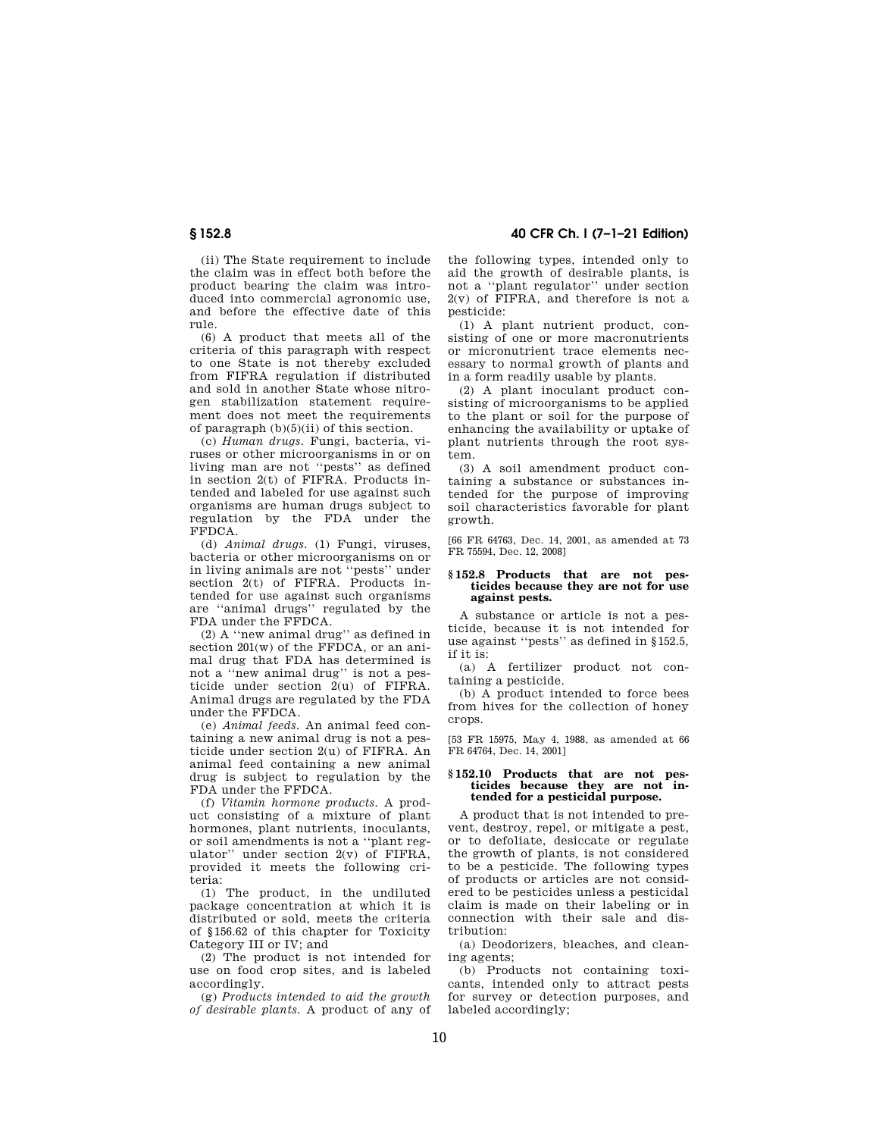(ii) The State requirement to include the claim was in effect both before the product bearing the claim was introduced into commercial agronomic use, and before the effective date of this rule.

(6) A product that meets all of the criteria of this paragraph with respect to one State is not thereby excluded from FIFRA regulation if distributed and sold in another State whose nitrogen stabilization statement requirement does not meet the requirements of paragraph (b)(5)(ii) of this section.

(c) *Human drugs.* Fungi, bacteria, viruses or other microorganisms in or on living man are not ''pests'' as defined in section 2(t) of FIFRA. Products intended and labeled for use against such organisms are human drugs subject to regulation by the FDA under the FFDCA.

(d) *Animal drugs.* (1) Fungi, viruses, bacteria or other microorganisms on or in living animals are not ''pests'' under section  $2(t)$  of FIFRA. Products intended for use against such organisms are ''animal drugs'' regulated by the FDA under the FFDCA.

(2) A ''new animal drug'' as defined in section 201(w) of the FFDCA, or an animal drug that FDA has determined is not a ''new animal drug'' is not a pesticide under section  $2(u)$  of FIFRA. Animal drugs are regulated by the FDA under the FFDCA.

(e) *Animal feeds.* An animal feed containing a new animal drug is not a pesticide under section 2(u) of FIFRA. An animal feed containing a new animal drug is subject to regulation by the FDA under the FFDCA.

(f) *Vitamin hormone products.* A product consisting of a mixture of plant hormones, plant nutrients, inoculants, or soil amendments is not a ''plant regulator" under section  $2(v)$  of FIFRA. provided it meets the following criteria:

(1) The product, in the undiluted package concentration at which it is distributed or sold, meets the criteria of §156.62 of this chapter for Toxicity Category III or IV; and

(2) The product is not intended for use on food crop sites, and is labeled accordingly.

(g) *Products intended to aid the growth of desirable plants.* A product of any of

**§ 152.8 40 CFR Ch. I (7–1–21 Edition)** 

the following types, intended only to aid the growth of desirable plants, is not a ''plant regulator'' under section  $2(v)$  of FIFRA, and therefore is not a pesticide:

(1) A plant nutrient product, consisting of one or more macronutrients or micronutrient trace elements necessary to normal growth of plants and in a form readily usable by plants.

(2) A plant inoculant product consisting of microorganisms to be applied to the plant or soil for the purpose of enhancing the availability or uptake of plant nutrients through the root system.

(3) A soil amendment product containing a substance or substances intended for the purpose of improving soil characteristics favorable for plant growth.

[66 FR 64763, Dec. 14, 2001, as amended at 73 FR 75594, Dec. 12, 2008]

#### **§ 152.8 Products that are not pesticides because they are not for use against pests.**

A substance or article is not a pesticide, because it is not intended for use against ''pests'' as defined in §152.5, if it is:

(a) A fertilizer product not containing a pesticide.

(b) A product intended to force bees from hives for the collection of honey crops.

[53 FR 15975, May 4, 1988, as amended at 66 FR 64764, Dec. 14, 2001]

#### **§ 152.10 Products that are not pesticides because they are not intended for a pesticidal purpose.**

A product that is not intended to prevent, destroy, repel, or mitigate a pest, or to defoliate, desiccate or regulate the growth of plants, is not considered to be a pesticide. The following types of products or articles are not considered to be pesticides unless a pesticidal claim is made on their labeling or in connection with their sale and distribution:

(a) Deodorizers, bleaches, and cleaning agents;

(b) Products not containing toxicants, intended only to attract pests for survey or detection purposes, and labeled accordingly;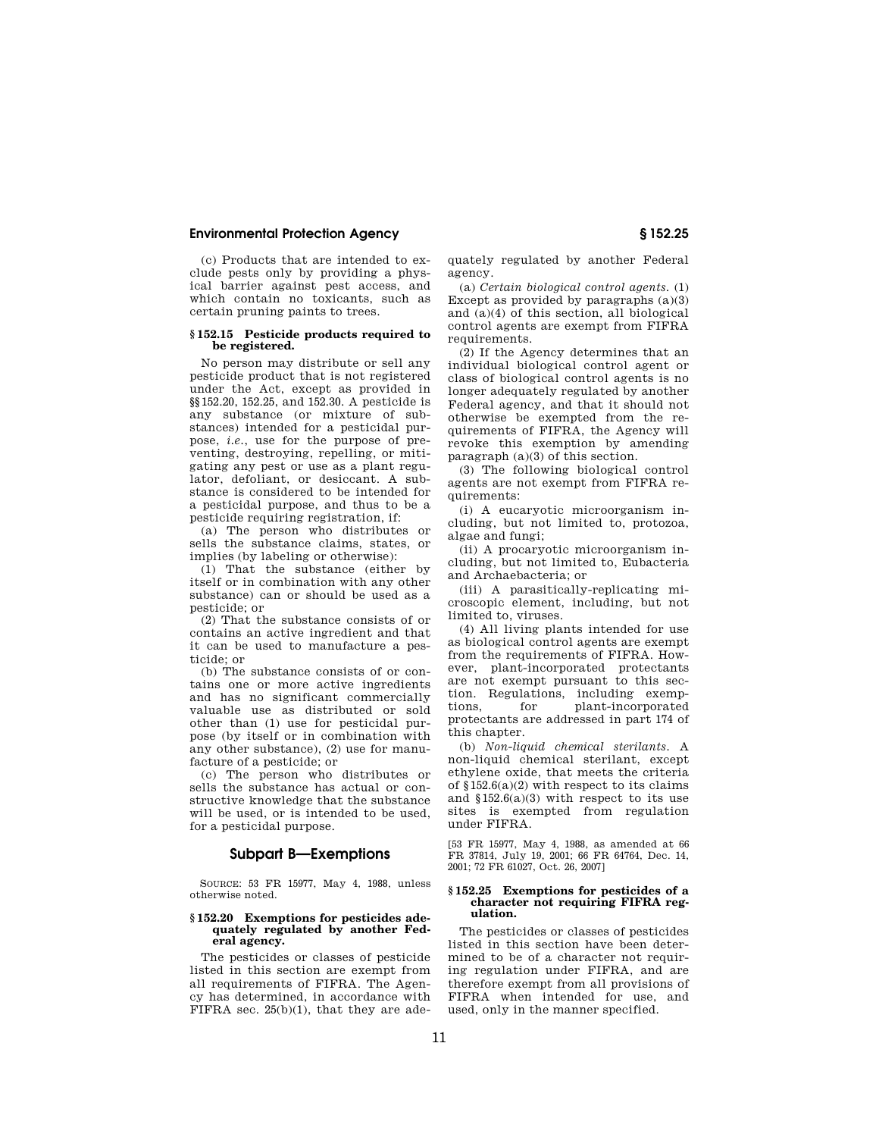(c) Products that are intended to exclude pests only by providing a physical barrier against pest access, and which contain no toxicants, such as certain pruning paints to trees.

#### **§ 152.15 Pesticide products required to be registered.**

No person may distribute or sell any pesticide product that is not registered under the Act, except as provided in §§152.20, 152.25, and 152.30. A pesticide is any substance (or mixture of substances) intended for a pesticidal purpose, *i.e.*, use for the purpose of preventing, destroying, repelling, or mitigating any pest or use as a plant regulator, defoliant, or desiccant. A substance is considered to be intended for a pesticidal purpose, and thus to be a pesticide requiring registration, if:

(a) The person who distributes or sells the substance claims, states, or implies (by labeling or otherwise):

(1) That the substance (either by itself or in combination with any other substance) can or should be used as a pesticide; or

(2) That the substance consists of or contains an active ingredient and that it can be used to manufacture a pesticide; or

(b) The substance consists of or contains one or more active ingredients and has no significant commercially valuable use as distributed or sold other than (1) use for pesticidal purpose (by itself or in combination with any other substance), (2) use for manufacture of a pesticide; or

(c) The person who distributes or sells the substance has actual or constructive knowledge that the substance will be used, or is intended to be used, for a pesticidal purpose.

## **Subpart B—Exemptions**

SOURCE: 53 FR 15977, May 4, 1988, unless otherwise noted.

#### **§ 152.20 Exemptions for pesticides adequately regulated by another Federal agency.**

The pesticides or classes of pesticide listed in this section are exempt from all requirements of  $FIFRA$ . The Agency has determined, in accordance with FIFRA sec.  $25(b)(1)$ , that they are adequately regulated by another Federal agency.

(a) *Certain biological control agents.* (1) Except as provided by paragraphs  $(a)(3)$ and (a)(4) of this section, all biological control agents are exempt from FIFRA requirements

(2) If the Agency determines that an individual biological control agent or class of biological control agents is no longer adequately regulated by another Federal agency, and that it should not otherwise be exempted from the requirements of FIFRA, the Agency will revoke this exemption by amending paragraph (a)(3) of this section.

(3) The following biological control agents are not exempt from FIFRA requirements:

(i) A eucaryotic microorganism including, but not limited to, protozoa, algae and fungii

(ii) A procaryotic microorganism including, but not limited to, Eubacteria and Archaebacteria; or

(iii) A parasitically-replicating microscopic element, including, but not limited to, viruses.

(4) All living plants intended for use as biological control agents are exempt from the requirements of FIFRA. However, plant-incorporated protectants are not exempt pursuant to this section. Regulations, including exemptions, for plant-incorporated protectants are addressed in part 174 of this chapter.

(b) *Non-liquid chemical sterilants.* A non-liquid chemical sterilant, except ethylene oxide, that meets the criteria of §152.6(a)(2) with respect to its claims and §152.6(a)(3) with respect to its use sites is exempted from regulation under FIFRA.

[53 FR 15977, May 4, 1988, as amended at 66 FR 37814, July 19, 2001; 66 FR 64764, Dec. 14, 2001; 72 FR 61027, Oct. 26, 2007]

#### **§ 152.25 Exemptions for pesticides of a character not requiring FIFRA regulation.**

The pesticides or classes of pesticides listed in this section have been determined to be of a character not requiring regulation under FIFRA, and are therefore exempt from all provisions of FIFRA when intended for use, and used, only in the manner specified.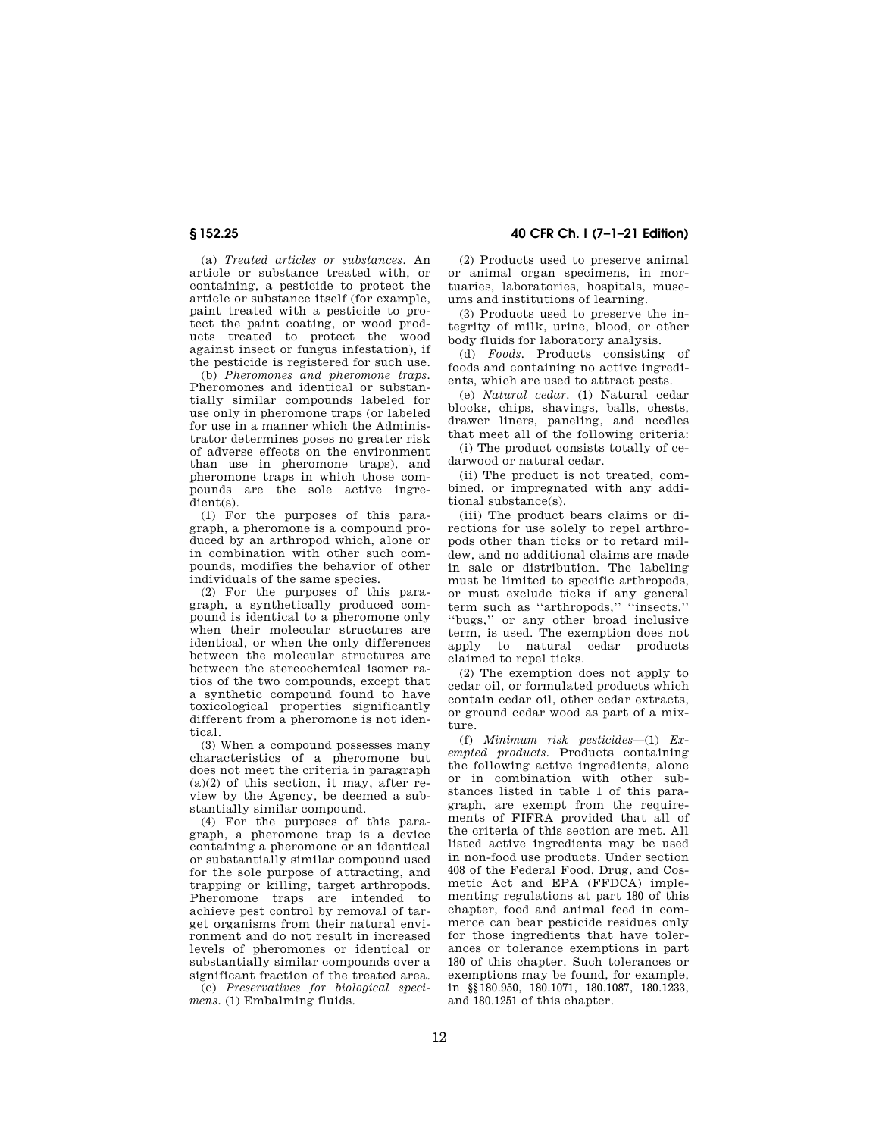(a) *Treated articles or substances.* An article or substance treated with, or containing, a pesticide to protect the article or substance itself (for example, paint treated with a pesticide to protect the paint coating, or wood products treated to protect the wood against insect or fungus infestation), if the pesticide is registered for such use.

(b) *Pheromones and pheromone traps.*  Pheromones and identical or substantially similar compounds labeled for use only in pheromone traps (or labeled for use in a manner which the Administrator determines poses no greater risk of adverse effects on the environment than use in pheromone traps), and pheromone traps in which those compounds are the sole active ingredient(s).

(1) For the purposes of this paragraph, a pheromone is a compound produced by an arthropod which, alone or in combination with other such compounds, modifies the behavior of other individuals of the same species.

(2) For the purposes of this paragraph, a synthetically produced compound is identical to a pheromone only when their molecular structures are identical, or when the only differences between the molecular structures are between the stereochemical isomer ratios of the two compounds, except that a synthetic compound found to have toxicological properties significantly different from a pheromone is not identical.

(3) When a compound possesses many characteristics of a pheromone but does not meet the criteria in paragraph  $(a)(2)$  of this section, it may, after review by the Agency, be deemed a substantially similar compound.

(4) For the purposes of this paragraph, a pheromone trap is a device containing a pheromone or an identical or substantially similar compound used for the sole purpose of attracting, and trapping or killing, target arthropods. Pheromone traps are intended to achieve pest control by removal of target organisms from their natural environment and do not result in increased levels of pheromones or identical or substantially similar compounds over a significant fraction of the treated area.

(c) *Preservatives for biological specimens.* (1) Embalming fluids.

(2) Products used to preserve animal or animal organ specimens, in mortuaries, laboratories, hospitals, muse-

ums and institutions of learning. (3) Products used to preserve the integrity of milk, urine, blood, or other body fluids for laboratory analysis.

(d) *Foods.* Products consisting of foods and containing no active ingredients, which are used to attract pests.

(e) *Natural cedar.* (1) Natural cedar blocks, chips, shavings, balls, chests, drawer liners, paneling, and needles that meet all of the following criteria:

(i) The product consists totally of cedarwood or natural cedar.

(ii) The product is not treated, combined, or impregnated with any additional substance(s).

(iii) The product bears claims or directions for use solely to repel arthropods other than ticks or to retard mildew, and no additional claims are made in sale or distribution. The labeling must be limited to specific arthropods, or must exclude ticks if any general term such as "arthropods," "insects," ''bugs,'' or any other broad inclusive term, is used. The exemption does not apply to natural cedar products claimed to repel ticks.

(2) The exemption does not apply to cedar oil, or formulated products which contain cedar oil, other cedar extracts, or ground cedar wood as part of a mixture.

(f) *Minimum risk pesticides*—(1) *Exempted products.* Products containing the following active ingredients, alone or in combination with other substances listed in table 1 of this paragraph, are exempt from the requirements of FIFRA provided that all of the criteria of this section are met. All listed active ingredients may be used in non-food use products. Under section 408 of the Federal Food, Drug, and Cosmetic Act and EPA (FFDCA) implementing regulations at part 180 of this chapter, food and animal feed in commerce can bear pesticide residues only for those ingredients that have tolerances or tolerance exemptions in part 180 of this chapter. Such tolerances or exemptions may be found, for example, in §§180.950, 180.1071, 180.1087, 180.1233, and 180.1251 of this chapter.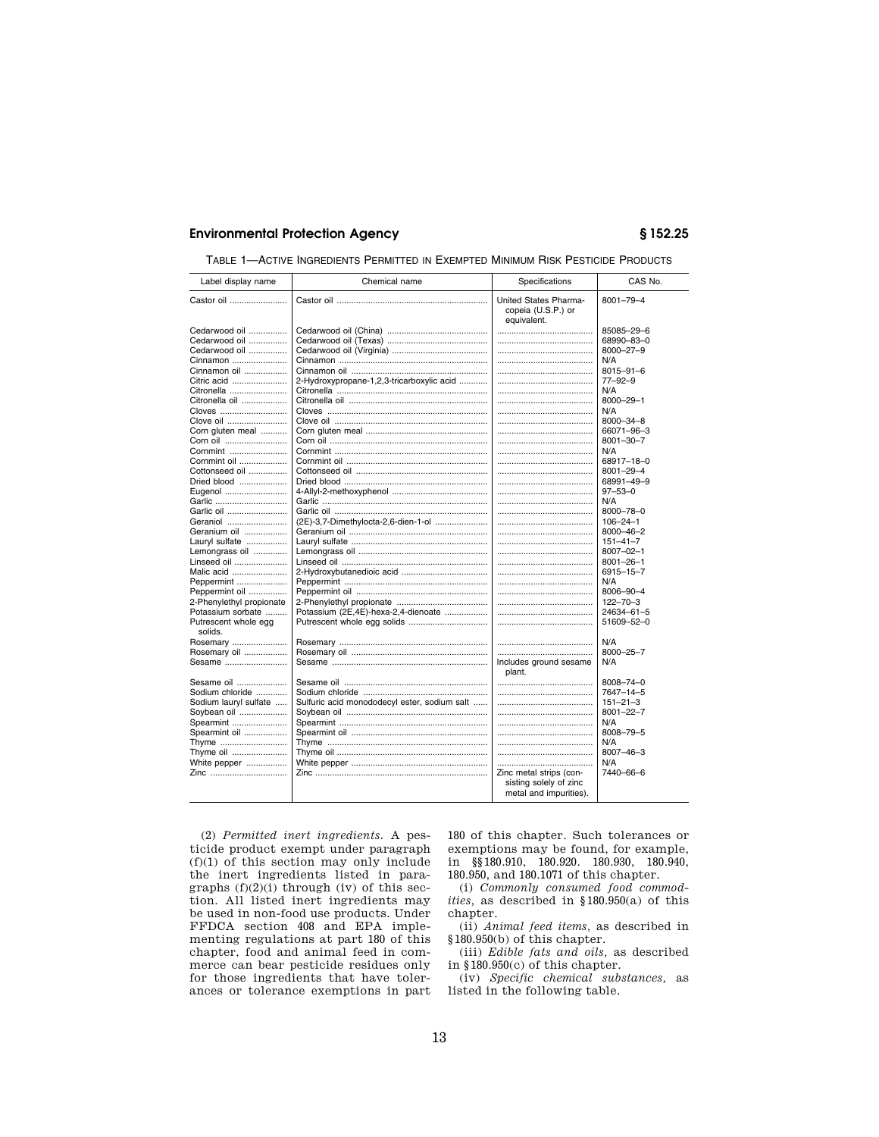| Castor oil<br>United States Pharma-<br>8001-79-4<br>copeia (U.S.P.) or<br>equivalent.<br>Cedarwood oil<br>85085-29-6<br>Cedarwood oil<br>68990-83-0<br>Cedarwood oil<br>8000-27-9<br>Cinnamon<br>N/A<br>Cinnamon oil<br>$8015 - 91 - 6$<br>Citric acid<br>2-Hydroxypropane-1,2,3-tricarboxylic acid<br>$77 - 92 - 9$<br>Citronella<br>N/A<br>Citronella oil<br>8000-29-1<br>Cloves<br>N/A<br>Clove oil<br>8000-34-8<br>Corn gluten meal<br>66071-96-3<br>$8001 - 30 - 7$<br>Corn oil<br>Cornmint<br>N/A<br>Cornmint oil<br>68917-18-0<br>Cottonseed oil<br>$8001 - 29 - 4$<br>Dried blood<br>68991-49-9<br>$97 - 53 - 0$<br>Eugenol<br>Garlic<br>N/A<br>Garlic oil<br>8000-78-0<br>Geraniol<br>(2E)-3,7-Dimethylocta-2,6-dien-1-ol<br>$106 - 24 - 1$ |  |
|------------------------------------------------------------------------------------------------------------------------------------------------------------------------------------------------------------------------------------------------------------------------------------------------------------------------------------------------------------------------------------------------------------------------------------------------------------------------------------------------------------------------------------------------------------------------------------------------------------------------------------------------------------------------------------------------------------------------------------------------------|--|
|                                                                                                                                                                                                                                                                                                                                                                                                                                                                                                                                                                                                                                                                                                                                                      |  |
|                                                                                                                                                                                                                                                                                                                                                                                                                                                                                                                                                                                                                                                                                                                                                      |  |
|                                                                                                                                                                                                                                                                                                                                                                                                                                                                                                                                                                                                                                                                                                                                                      |  |
|                                                                                                                                                                                                                                                                                                                                                                                                                                                                                                                                                                                                                                                                                                                                                      |  |
|                                                                                                                                                                                                                                                                                                                                                                                                                                                                                                                                                                                                                                                                                                                                                      |  |
|                                                                                                                                                                                                                                                                                                                                                                                                                                                                                                                                                                                                                                                                                                                                                      |  |
|                                                                                                                                                                                                                                                                                                                                                                                                                                                                                                                                                                                                                                                                                                                                                      |  |
|                                                                                                                                                                                                                                                                                                                                                                                                                                                                                                                                                                                                                                                                                                                                                      |  |
|                                                                                                                                                                                                                                                                                                                                                                                                                                                                                                                                                                                                                                                                                                                                                      |  |
|                                                                                                                                                                                                                                                                                                                                                                                                                                                                                                                                                                                                                                                                                                                                                      |  |
|                                                                                                                                                                                                                                                                                                                                                                                                                                                                                                                                                                                                                                                                                                                                                      |  |
|                                                                                                                                                                                                                                                                                                                                                                                                                                                                                                                                                                                                                                                                                                                                                      |  |
|                                                                                                                                                                                                                                                                                                                                                                                                                                                                                                                                                                                                                                                                                                                                                      |  |
|                                                                                                                                                                                                                                                                                                                                                                                                                                                                                                                                                                                                                                                                                                                                                      |  |
|                                                                                                                                                                                                                                                                                                                                                                                                                                                                                                                                                                                                                                                                                                                                                      |  |
|                                                                                                                                                                                                                                                                                                                                                                                                                                                                                                                                                                                                                                                                                                                                                      |  |
|                                                                                                                                                                                                                                                                                                                                                                                                                                                                                                                                                                                                                                                                                                                                                      |  |
|                                                                                                                                                                                                                                                                                                                                                                                                                                                                                                                                                                                                                                                                                                                                                      |  |
|                                                                                                                                                                                                                                                                                                                                                                                                                                                                                                                                                                                                                                                                                                                                                      |  |
|                                                                                                                                                                                                                                                                                                                                                                                                                                                                                                                                                                                                                                                                                                                                                      |  |
|                                                                                                                                                                                                                                                                                                                                                                                                                                                                                                                                                                                                                                                                                                                                                      |  |
|                                                                                                                                                                                                                                                                                                                                                                                                                                                                                                                                                                                                                                                                                                                                                      |  |
| Geranium oil<br>8000-46-2                                                                                                                                                                                                                                                                                                                                                                                                                                                                                                                                                                                                                                                                                                                            |  |
| Lauryl sulfate<br>$151 - 41 - 7$                                                                                                                                                                                                                                                                                                                                                                                                                                                                                                                                                                                                                                                                                                                     |  |
| Lemongrass oil<br>$8007 - 02 - 1$                                                                                                                                                                                                                                                                                                                                                                                                                                                                                                                                                                                                                                                                                                                    |  |
| Linseed oil<br>$8001 - 26 - 1$                                                                                                                                                                                                                                                                                                                                                                                                                                                                                                                                                                                                                                                                                                                       |  |
| Malic acid<br>6915-15-7                                                                                                                                                                                                                                                                                                                                                                                                                                                                                                                                                                                                                                                                                                                              |  |
| N/A<br>Peppermint                                                                                                                                                                                                                                                                                                                                                                                                                                                                                                                                                                                                                                                                                                                                    |  |
| Peppermint oil<br>8006-90-4                                                                                                                                                                                                                                                                                                                                                                                                                                                                                                                                                                                                                                                                                                                          |  |
| 2-Phenylethyl propionate<br>$122 - 70 - 3$                                                                                                                                                                                                                                                                                                                                                                                                                                                                                                                                                                                                                                                                                                           |  |
| Potassium sorbate<br>Potassium (2E,4E)-hexa-2,4-dienoate<br>24634-61-5                                                                                                                                                                                                                                                                                                                                                                                                                                                                                                                                                                                                                                                                               |  |
| Putrescent whole egg<br>51609-52-0<br>solids.                                                                                                                                                                                                                                                                                                                                                                                                                                                                                                                                                                                                                                                                                                        |  |
| N/A<br>Rosemary                                                                                                                                                                                                                                                                                                                                                                                                                                                                                                                                                                                                                                                                                                                                      |  |
| 8000-25-7<br>Rosemary oil<br>                                                                                                                                                                                                                                                                                                                                                                                                                                                                                                                                                                                                                                                                                                                        |  |
| Sesame<br>Includes ground sesame<br>N/A<br>plant.                                                                                                                                                                                                                                                                                                                                                                                                                                                                                                                                                                                                                                                                                                    |  |
| Sesame oil<br>8008-74-0                                                                                                                                                                                                                                                                                                                                                                                                                                                                                                                                                                                                                                                                                                                              |  |
| Sodium chloride<br>7647-14-5                                                                                                                                                                                                                                                                                                                                                                                                                                                                                                                                                                                                                                                                                                                         |  |
| Sulfuric acid monododecyl ester, sodium salt<br>Sodium lauryl sulfate<br>$151 - 21 - 3$                                                                                                                                                                                                                                                                                                                                                                                                                                                                                                                                                                                                                                                              |  |
| Soybean oil<br>$8001 - 22 - 7$                                                                                                                                                                                                                                                                                                                                                                                                                                                                                                                                                                                                                                                                                                                       |  |
| Spearmint<br>N/A                                                                                                                                                                                                                                                                                                                                                                                                                                                                                                                                                                                                                                                                                                                                     |  |
| 8008-79-5<br>Spearmint oil                                                                                                                                                                                                                                                                                                                                                                                                                                                                                                                                                                                                                                                                                                                           |  |
| N/A<br>Thyme                                                                                                                                                                                                                                                                                                                                                                                                                                                                                                                                                                                                                                                                                                                                         |  |
| Thyme oil<br>$8007 - 46 - 3$                                                                                                                                                                                                                                                                                                                                                                                                                                                                                                                                                                                                                                                                                                                         |  |
| White pepper<br>N/A                                                                                                                                                                                                                                                                                                                                                                                                                                                                                                                                                                                                                                                                                                                                  |  |
| Zinc<br>Zinc metal strips (con-<br>7440-66-6                                                                                                                                                                                                                                                                                                                                                                                                                                                                                                                                                                                                                                                                                                         |  |
|                                                                                                                                                                                                                                                                                                                                                                                                                                                                                                                                                                                                                                                                                                                                                      |  |
| sisting solely of zinc<br>metal and impurities).                                                                                                                                                                                                                                                                                                                                                                                                                                                                                                                                                                                                                                                                                                     |  |
|                                                                                                                                                                                                                                                                                                                                                                                                                                                                                                                                                                                                                                                                                                                                                      |  |

TABLE 1—ACTIVE INGREDIENTS PERMITTED IN EXEMPTED MINIMUM RISK PESTICIDE PRODUCTS

(2) *Permitted inert ingredients.* A pesticide product exempt under paragraph (f)(1) of this section may only include the inert ingredients listed in paragraphs  $(f)(2)(i)$  through (iv) of this section. All listed inert ingredients may be used in non-food use products. Under FFDCA section 408 and EPA implementing regulations at part 180 of this chapter, food and animal feed in commerce can bear pesticide residues only for those ingredients that have tolerances or tolerance exemptions in part 180 of this chapter. Such tolerances or exemptions may be found, for example, in §§180.910, 180.920. 180.930, 180.940, 180.950, and 180.1071 of this chapter.

(i) *Commonly consumed food commodities,* as described in §180.950(a) of this chapter.

(ii) *Animal feed items,* as described in §180.950(b) of this chapter.

(iii) *Edible fats and oils,* as described in §180.950(c) of this chapter.

(iv) *Specific chemical substances,* as listed in the following table.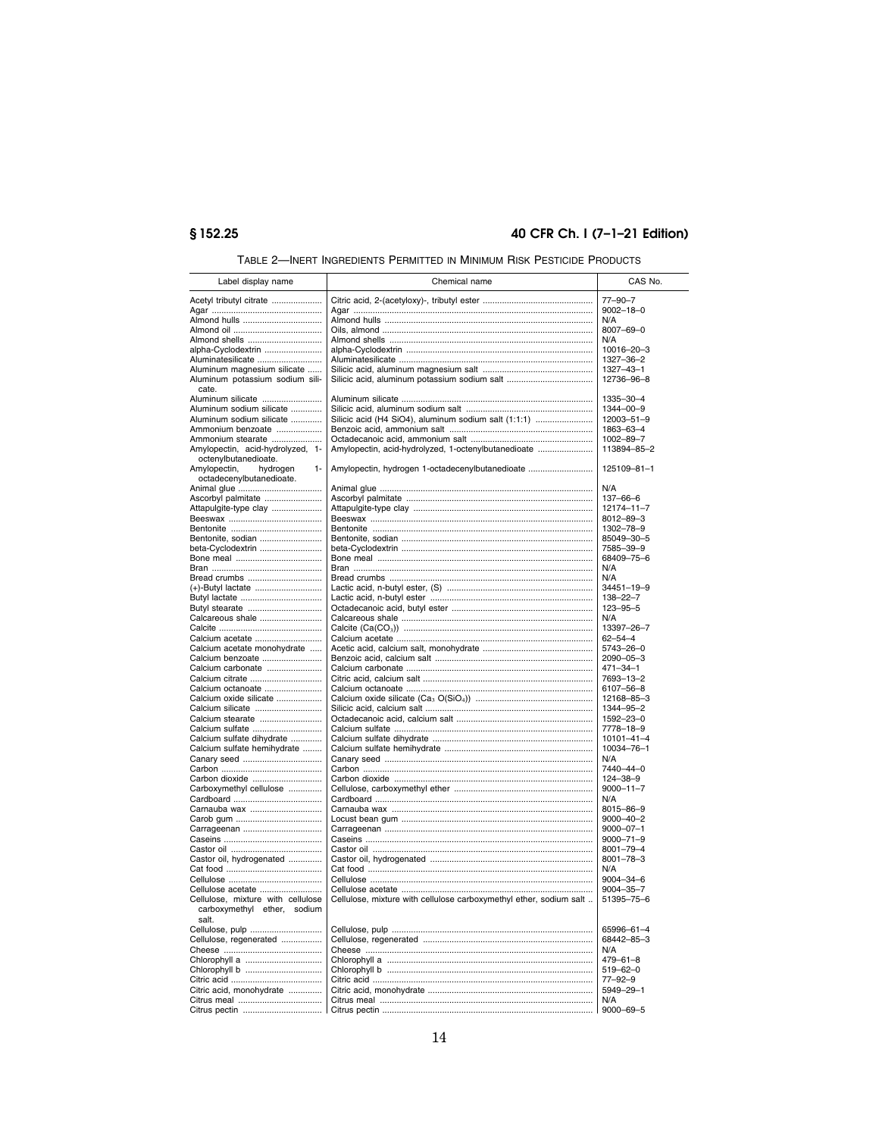# § 152.25

# 40 CFR Ch. I (7-1-21 Edition)

| Label display name                                                        | Chemical name                                                      | CAS No.          |
|---------------------------------------------------------------------------|--------------------------------------------------------------------|------------------|
| Acetyl tributyl citrate                                                   |                                                                    | $77 - 90 - 7$    |
|                                                                           |                                                                    | $9002 - 18 - 0$  |
| Almond hulls                                                              |                                                                    | N/A              |
|                                                                           |                                                                    | 8007-69-0        |
| Almond shells                                                             |                                                                    | N/A              |
| alpha-Cyclodextrin                                                        |                                                                    | 10016-20-3       |
| Aluminatesilicate                                                         |                                                                    | 1327-36-2        |
| Aluminum magnesium silicate                                               |                                                                    | 1327-43-1        |
| Aluminum potassium sodium sili-<br>cate.                                  |                                                                    | 12736-96-8       |
| Aluminum silicate                                                         |                                                                    | 1335-30-4        |
| Aluminum sodium silicate                                                  |                                                                    | 1344-00-9        |
| Aluminum sodium silicate                                                  | Silicic acid (H4 SiO4), aluminum sodium salt (1:1:1)               | 12003-51-9       |
| Ammonium benzoate                                                         |                                                                    | 1863-63-4        |
| Ammonium stearate                                                         |                                                                    | 1002-89-7        |
| Amylopectin, acid-hydrolyzed, 1-<br>octenylbutanedioate.                  | Amylopectin, acid-hydrolyzed, 1-octenylbutanedioate                | 113894-85-2      |
| Amylopectin,<br>hydrogen<br>$1 -$<br>octadecenylbutanedioate.             | Amylopectin, hydrogen 1-octadecenylbutanedioate                    | 125109-81-1      |
|                                                                           |                                                                    | N/A              |
| Ascorbyl palmitate                                                        |                                                                    | $137 - 66 - 6$   |
| Attapulgite-type clay                                                     |                                                                    | 12174-11-7       |
|                                                                           |                                                                    | $8012 - 89 - 3$  |
|                                                                           |                                                                    | 1302-78-9        |
| Bentonite, sodian                                                         |                                                                    | 85049-30-5       |
| beta-Cyclodextrin                                                         |                                                                    | 7585-39-9        |
|                                                                           |                                                                    | 68409-75-6       |
|                                                                           |                                                                    | N/A              |
| Bread crumbs                                                              |                                                                    | N/A              |
|                                                                           |                                                                    | 34451-19-9       |
|                                                                           |                                                                    | $138 - 22 - 7$   |
| Butyl stearate                                                            |                                                                    | $123 - 95 - 5$   |
| Calcareous shale                                                          |                                                                    | N/A              |
|                                                                           |                                                                    | 13397-26-7       |
| Calcium acetate                                                           |                                                                    | $62 - 54 - 4$    |
| Calcium acetate monohydrate                                               |                                                                    | 5743-26-0        |
| Calcium benzoate                                                          |                                                                    | $2090 - 05 - 3$  |
| Calcium carbonate                                                         |                                                                    | 471-34-1         |
| Calcium citrate                                                           |                                                                    | 7693-13-2        |
| Calcium octanoate                                                         |                                                                    | 6107-56-8        |
| Calcium oxide silicate                                                    |                                                                    | 12168-85-3       |
| Calcium silicate                                                          |                                                                    | 1344-95-2        |
| Calcium stearate                                                          |                                                                    | 1592-23-0        |
| Calcium sulfate                                                           |                                                                    | 7778-18-9        |
| Calcium sulfate dihydrate                                                 |                                                                    | $10101 - 41 - 4$ |
| Calcium sulfate hemihydrate                                               |                                                                    | 10034-76-1       |
|                                                                           |                                                                    | N/A              |
|                                                                           |                                                                    | 7440-44-0        |
| Carbon dioxide                                                            |                                                                    | 124-38-9         |
| Carboxymethyl cellulose                                                   |                                                                    | $9000 - 11 - 7$  |
|                                                                           |                                                                    | N/A              |
| Carnauba wax                                                              |                                                                    | 8015-86-9        |
|                                                                           |                                                                    | $9000 - 40 - 2$  |
|                                                                           |                                                                    | $9000 - 07 - 1$  |
|                                                                           |                                                                    | $9000 - 71 - 9$  |
|                                                                           |                                                                    | 8001-79-4        |
| Castor oil, hydrogenated                                                  |                                                                    | $8001 - 78 - 3$  |
|                                                                           |                                                                    | N/A              |
|                                                                           |                                                                    | $9004 - 34 - 6$  |
| Cellulose acetate                                                         |                                                                    | 9004-35-7        |
| Cellulose, mixture with cellulose<br>carboxymethyl ether, sodium<br>salt. | Cellulose, mixture with cellulose carboxymethyl ether, sodium salt | 51395-75-6       |
| Cellulose, pulp                                                           |                                                                    | 65996-61-4       |
| Cellulose, regenerated                                                    |                                                                    | 68442-85-3       |
|                                                                           |                                                                    | N/A              |
|                                                                           |                                                                    | $479 - 61 - 8$   |
| Chlorophyll b                                                             |                                                                    | $519 - 62 - 0$   |
|                                                                           |                                                                    | $77 - 92 - 9$    |
| Citric acid, monohydrate                                                  |                                                                    | 5949-29-1        |
|                                                                           |                                                                    | N/A              |
|                                                                           |                                                                    | $9000 - 69 - 5$  |
|                                                                           |                                                                    |                  |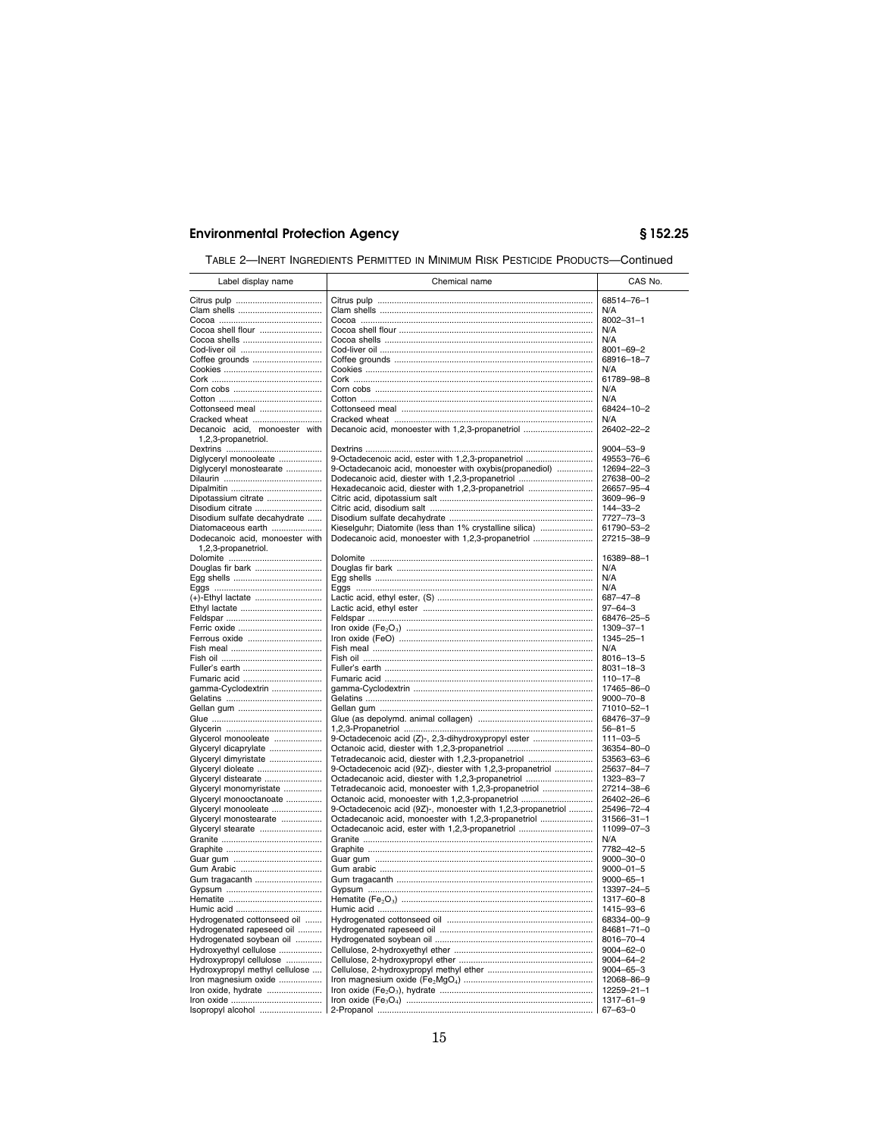TABLE 2—INERT INGREDIENTS PERMITTED IN MINIMUM RISK PESTICIDE PRODUCTS—Continued

| Label display name                            | Chemical name                                                                                               | CAS No.                           |
|-----------------------------------------------|-------------------------------------------------------------------------------------------------------------|-----------------------------------|
|                                               |                                                                                                             | 68514-76-1                        |
|                                               |                                                                                                             | N/A                               |
|                                               |                                                                                                             | $8002 - 31 - 1$                   |
| Cocoa shell flour                             |                                                                                                             | N/A                               |
| Cocoa shells                                  |                                                                                                             | N/A                               |
|                                               |                                                                                                             | $8001 - 69 - 2$                   |
| Coffee grounds                                |                                                                                                             | 68916-18-7                        |
|                                               |                                                                                                             | N/A                               |
|                                               |                                                                                                             | 61789-98-8<br>N/A                 |
|                                               |                                                                                                             | N/A                               |
| Cottonseed meal                               |                                                                                                             | 68424-10-2                        |
| Cracked wheat                                 |                                                                                                             | N/A                               |
| Decanoic acid, monoester with                 | Decanoic acid, monoester with 1,2,3-propanetriol                                                            | 26402-22-2                        |
| 1,2,3-propanetriol.                           |                                                                                                             | $9004 - 53 - 9$                   |
| Diglyceryl monooleate                         | 9-Octadecenoic acid, ester with 1.2.3-propanetriol                                                          | 49553-76-6                        |
| Diglyceryl monostearate                       | 9-Octadecanoic acid, monoester with oxybis(propanediol)                                                     | 12694-22-3                        |
|                                               | Dodecanoic acid, diester with 1,2,3-propanetriol                                                            | 27638-00-2                        |
|                                               | Hexadecanoic acid, diester with 1,2,3-propanetriol                                                          | 26657-95-4                        |
| Dipotassium citrate                           |                                                                                                             | 3609-96-9                         |
| Disodium citrate                              |                                                                                                             | $144 - 33 - 2$                    |
| Disodium sulfate decahydrate                  |                                                                                                             | 7727-73-3                         |
| Diatomaceous earth                            | Kieselguhr; Diatomite (less than 1% crystalline silica)                                                     | 61790-53-2                        |
| Dodecanoic acid, monoester with               | Dodecanoic acid, monoester with 1,2,3-propanetriol                                                          | 27215-38-9                        |
| 1,2,3-propanetriol.                           |                                                                                                             | 16389-88-1                        |
| Douglas fir bark                              |                                                                                                             | N/A                               |
|                                               |                                                                                                             | N/A                               |
|                                               |                                                                                                             | N/A                               |
|                                               |                                                                                                             | $687 - 47 - 8$                    |
|                                               |                                                                                                             | $97 - 64 - 3$                     |
|                                               |                                                                                                             | 68476-25-5                        |
|                                               |                                                                                                             | 1309-37-1                         |
| Ferrous oxide                                 |                                                                                                             | 1345-25-1                         |
|                                               |                                                                                                             | N/A                               |
|                                               |                                                                                                             | 8016-13-5                         |
| Fuller's earth<br>Fumaric acid                |                                                                                                             | $8031 - 18 - 3$<br>$110 - 17 - 8$ |
| gamma-Cyclodextrin                            |                                                                                                             | 17465-86-0                        |
|                                               |                                                                                                             | $9000 - 70 - 8$                   |
|                                               |                                                                                                             | 71010-52-1                        |
|                                               |                                                                                                             | 68476-37-9                        |
|                                               |                                                                                                             | $56 - 81 - 5$                     |
| Glycerol monooleate                           | 9-Octadecenoic acid (Z)-, 2,3-dihydroxypropyl ester                                                         | $111 - 03 - 5$                    |
| Glyceryl dicaprylate                          |                                                                                                             | 36354-80-0                        |
| Glyceryl dimyristate                          | Tetradecanoic acid, diester with 1,2,3-propanetriol                                                         | 53563-63-6                        |
| Glyceryl dioleate                             | 9-Octadecenoic acid (9Z)-, diester with 1,2,3-propanetriol                                                  | 25637-84-7                        |
| Glyceryl distearate<br>Glyceryl monomyristate | Octadecanoic acid, diester with 1,2,3-propanetriol<br>Tetradecanoic acid, monoester with 1,2,3-propanetriol | 1323-83-7<br>27214-38-6           |
| Glyceryl monooctanoate                        | Octanoic acid, monoester with 1,2,3-propanetriol                                                            | 26402-26-6                        |
| Glyceryl monooleate                           | 9-Octadecenoic acid (9Z)-, monoester with 1,2,3-propanetriol                                                | 25496-72-4                        |
| Glyceryl monostearate                         | Octadecanoic acid, monoester with 1,2,3-propanetriol                                                        | 31566-31-1                        |
| Glyceryl stearate                             | Octadecanoic acid, ester with 1,2,3-propanetriol                                                            | 11099-07-3                        |
|                                               |                                                                                                             | N/A                               |
|                                               |                                                                                                             | 7782-42-5                         |
|                                               |                                                                                                             | $9000 - 30 - 0$                   |
|                                               |                                                                                                             | $9000 - 01 - 5$                   |
| Gum tragacanth                                |                                                                                                             | $9000 - 65 - 1$                   |
|                                               |                                                                                                             | 13397-24-5<br>1317-60-8           |
|                                               |                                                                                                             | 1415-93-6                         |
| Hydrogenated cottonseed oil                   |                                                                                                             | 68334-00-9                        |
| Hydrogenated rapeseed oil                     |                                                                                                             | 84681-71-0                        |
| Hydrogenated soybean oil                      |                                                                                                             | 8016-70-4                         |
| Hydroxyethyl cellulose                        |                                                                                                             | $9004 - 62 - 0$                   |
| Hydroxypropyl cellulose                       |                                                                                                             | $9004 - 64 - 2$                   |
| Hydroxypropyl methyl cellulose                |                                                                                                             | $9004 - 65 - 3$                   |
| Iron magnesium oxide                          |                                                                                                             | 12068-86-9                        |
| Iron oxide, hydrate                           |                                                                                                             | $12259 - 21 - 1$                  |
|                                               |                                                                                                             | $1317 - 61 - 9$                   |
| Isopropyl alcohol                             |                                                                                                             | $67 - 63 - 0$                     |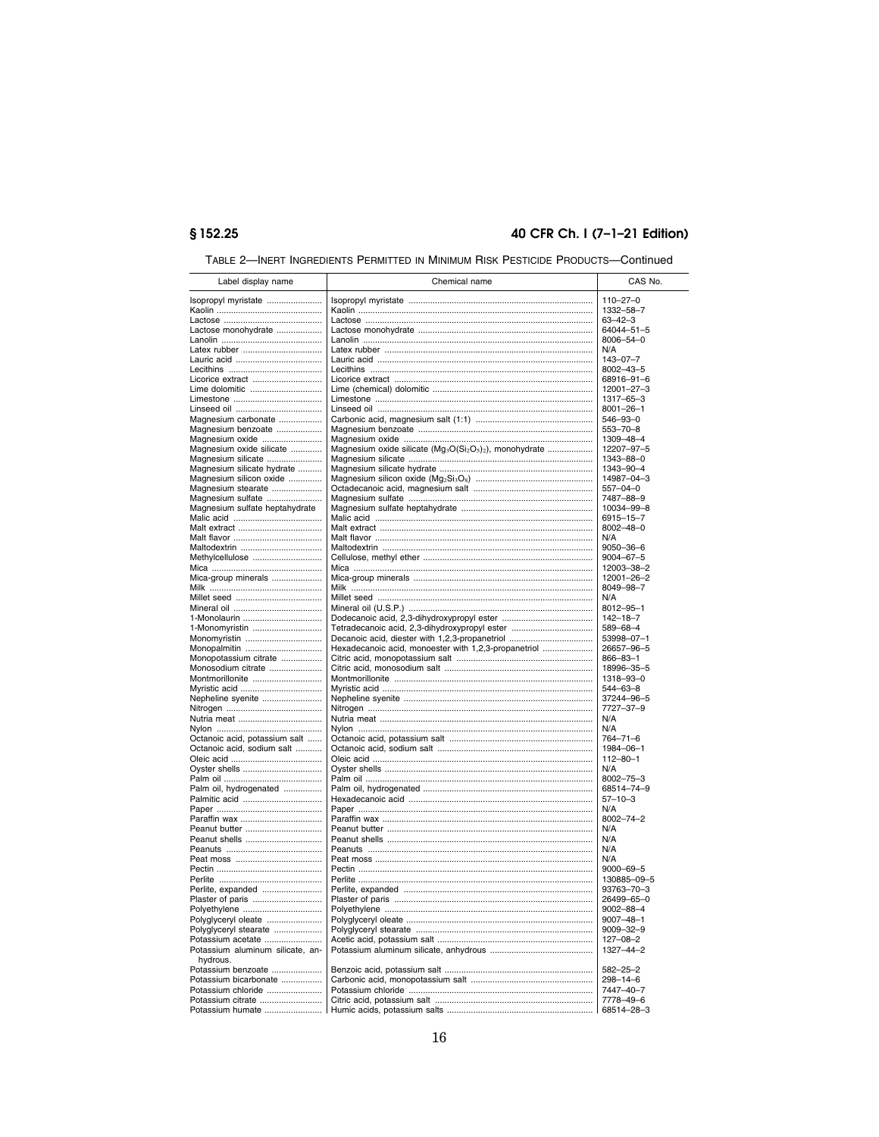# § 152.25

# 40 CFR Ch. I (7-1-21 Edition)

| TABLE 2—INERT INGREDIENTS PERMITTED IN MINIMUM RISK PESTICIDE PRODUCTS—Continued |  |
|----------------------------------------------------------------------------------|--|
|----------------------------------------------------------------------------------|--|

| Label display name               | Chemical name                                                                                            | CAS No.         |
|----------------------------------|----------------------------------------------------------------------------------------------------------|-----------------|
|                                  |                                                                                                          |                 |
| Isopropyl myristate              |                                                                                                          | $110 - 27 - 0$  |
|                                  |                                                                                                          | 1332-58-7       |
|                                  |                                                                                                          | $63 - 42 - 3$   |
| Lactose monohydrate              |                                                                                                          | 64044-51-5      |
|                                  |                                                                                                          | 8006-54-0       |
|                                  |                                                                                                          | N/A             |
|                                  |                                                                                                          | $143 - 07 - 7$  |
|                                  |                                                                                                          | 8002-43-5       |
| Licorice extract                 |                                                                                                          | 68916-91-6      |
| Lime dolomitic                   |                                                                                                          | 12001-27-3      |
|                                  |                                                                                                          | 1317-65-3       |
|                                  |                                                                                                          | $8001 - 26 - 1$ |
| Magnesium carbonate              |                                                                                                          | 546-93-0        |
| Magnesium benzoate               |                                                                                                          | $553 - 70 - 8$  |
| Magnesium oxide                  |                                                                                                          | 1309-48-4       |
| Magnesium oxide silicate         | Magnesium oxide silicate (Mg <sub>3</sub> O(Si <sub>2</sub> O <sub>5</sub> ) <sub>2</sub> ), monohydrate | 12207-97-5      |
| Magnesium silicate               |                                                                                                          | 1343-88-0       |
| Magnesium silicate hydrate       |                                                                                                          | 1343-90-4       |
| Magnesium silicon oxide          |                                                                                                          | 14987-04-3      |
| Magnesium stearate               |                                                                                                          | 557-04-0        |
| Magnesium sulfate                |                                                                                                          | 7487-88-9       |
| Magnesium sulfate heptahydrate   |                                                                                                          | 10034-99-8      |
|                                  |                                                                                                          | 6915-15-7       |
|                                  |                                                                                                          | $8002 - 48 - 0$ |
|                                  |                                                                                                          | N/A             |
|                                  |                                                                                                          | 9050-36-6       |
| Methylcellulose                  |                                                                                                          | $9004 - 67 - 5$ |
|                                  |                                                                                                          | 12003-38-2      |
| Mica-group minerals              |                                                                                                          | 12001-26-2      |
|                                  |                                                                                                          | 8049-98-7       |
|                                  |                                                                                                          | N/A             |
|                                  |                                                                                                          | 8012-95-1       |
| 1-Monolaurin                     |                                                                                                          | $142 - 18 - 7$  |
| 1-Monomyristin                   | Tetradecanoic acid, 2,3-dihydroxypropyl ester                                                            | 589-68-4        |
| Monomyristin                     | Decanoic acid, diester with 1,2,3-propanetriol                                                           | 53998-07-1      |
| Monopalmitin                     | Hexadecanoic acid, monoester with 1,2,3-propanetriol                                                     | 26657-96-5      |
| Monopotassium citrate            |                                                                                                          | $866 - 83 - 1$  |
| Monosodium citrate               |                                                                                                          | 18996-35-5      |
| Montmorillonite                  |                                                                                                          | 1318-93-0       |
|                                  |                                                                                                          | 544-63-8        |
| Nepheline syenite                |                                                                                                          | 37244-96-5      |
|                                  |                                                                                                          | 7727-37-9       |
|                                  |                                                                                                          | N/A             |
|                                  |                                                                                                          | N/A             |
| Octanoic acid, potassium salt    |                                                                                                          | 764-71-6        |
| Octanoic acid, sodium salt       |                                                                                                          | 1984-06-1       |
|                                  |                                                                                                          | $112 - 80 - 1$  |
|                                  |                                                                                                          | N/A             |
|                                  |                                                                                                          | 8002-75-3       |
| Palm oil, hydrogenated           |                                                                                                          | 68514-74-9      |
|                                  |                                                                                                          | $57 - 10 - 3$   |
|                                  |                                                                                                          | N/A             |
|                                  |                                                                                                          | 8002-74-2       |
| Peanut butter                    |                                                                                                          | N/A             |
| Peanut shells                    |                                                                                                          | N/A             |
|                                  |                                                                                                          | N/A             |
|                                  |                                                                                                          | N/A             |
|                                  |                                                                                                          | $9000 - 69 - 5$ |
|                                  |                                                                                                          | 130885-09-5     |
| Perlite, expanded                |                                                                                                          | 93763-70-3      |
| Plaster of paris                 |                                                                                                          | 26499-65-0      |
| Polyethylene                     |                                                                                                          | $9002 - 88 - 4$ |
| Polyglyceryl oleate              |                                                                                                          | $9007 - 48 - 1$ |
| Polyglyceryl stearate            |                                                                                                          | $9009 - 32 - 9$ |
| Potassium acetate                |                                                                                                          | $127 - 08 - 2$  |
| Potassium aluminum silicate, an- |                                                                                                          | 1327-44-2       |
| hydrous                          |                                                                                                          |                 |
| Potassium benzoate               |                                                                                                          | $582 - 25 - 2$  |
| Potassium bicarbonate            |                                                                                                          | $298 - 14 - 6$  |
| Potassium chloride               |                                                                                                          | 7447-40-7       |
| Potassium citrate                |                                                                                                          | 7778-49-6       |
| Potassium humate                 |                                                                                                          | 68514-28-3      |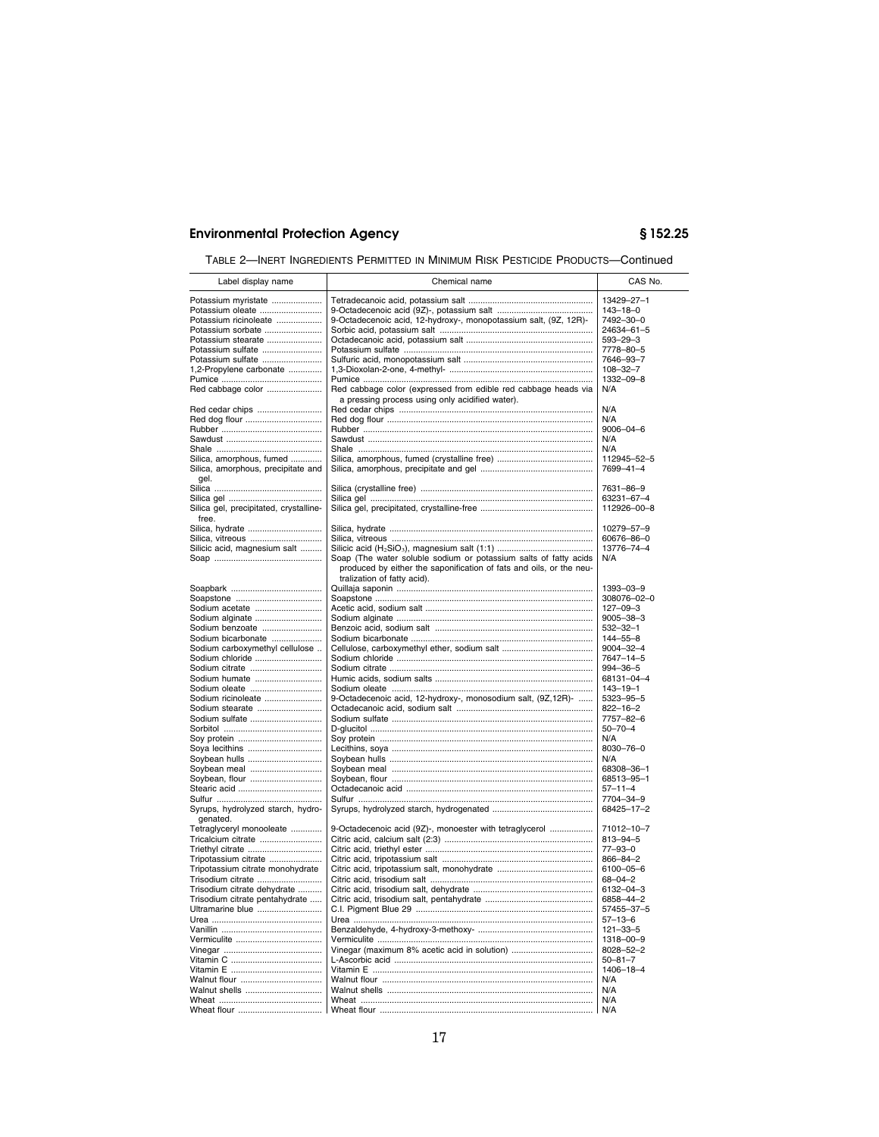TABLE 2—INERT INGREDIENTS PERMITTED IN MINIMUM RISK PESTICIDE PRODUCTS—Continued

| Label display name                                                                                                                                                                                    | Chemical name                                                                                                                                                                         | CAS No.                                                                                                                                   |
|-------------------------------------------------------------------------------------------------------------------------------------------------------------------------------------------------------|---------------------------------------------------------------------------------------------------------------------------------------------------------------------------------------|-------------------------------------------------------------------------------------------------------------------------------------------|
| Potassium myristate<br>Potassium oleate<br>Potassium ricinoleate<br>Potassium sorbate<br>Potassium stearate<br>Potassium sulfate<br>Potassium sulfate<br>1,2-Propylene carbonate<br>Red cabbage color | 9-Octadecenoic acid, 12-hydroxy-, monopotassium salt, (9Z, 12R)-<br>Red cabbage color (expressed from edible red cabbage heads via<br>a pressing process using only acidified water). | 13429-27-1<br>$143 - 18 - 0$<br>7492-30-0<br>24634-61-5<br>$593 - 29 - 3$<br>7778-80-5<br>7646-93-7<br>$108 - 32 - 7$<br>1332-09-8<br>N/A |
| Red cedar chips                                                                                                                                                                                       |                                                                                                                                                                                       | N/A                                                                                                                                       |
| Red dog flour                                                                                                                                                                                         |                                                                                                                                                                                       | N/A                                                                                                                                       |
|                                                                                                                                                                                                       |                                                                                                                                                                                       | $9006 - 04 - 6$                                                                                                                           |
|                                                                                                                                                                                                       |                                                                                                                                                                                       | N/A                                                                                                                                       |
|                                                                                                                                                                                                       |                                                                                                                                                                                       | N/A                                                                                                                                       |
| Silica, amorphous, fumed                                                                                                                                                                              |                                                                                                                                                                                       | 112945-52-5                                                                                                                               |
| Silica, amorphous, precipitate and<br>gel.                                                                                                                                                            |                                                                                                                                                                                       | 7699-41-4                                                                                                                                 |
|                                                                                                                                                                                                       |                                                                                                                                                                                       | 7631-86-9                                                                                                                                 |
|                                                                                                                                                                                                       |                                                                                                                                                                                       | 63231-67-4                                                                                                                                |
| Silica gel, precipitated, crystalline-<br>free.                                                                                                                                                       |                                                                                                                                                                                       | 112926-00-8                                                                                                                               |
| Silica, hydrate                                                                                                                                                                                       |                                                                                                                                                                                       | 10279-57-9                                                                                                                                |
| Silica, vitreous                                                                                                                                                                                      |                                                                                                                                                                                       | 60676-86-0                                                                                                                                |
| Silicic acid, magnesium salt                                                                                                                                                                          |                                                                                                                                                                                       | 13776-74-4                                                                                                                                |
|                                                                                                                                                                                                       | Soap (The water soluble sodium or potassium salts of fatty acids<br>produced by either the saponification of fats and oils, or the neu-<br>tralization of fatty acid).                | N/A                                                                                                                                       |
|                                                                                                                                                                                                       |                                                                                                                                                                                       | 1393-03-9                                                                                                                                 |
|                                                                                                                                                                                                       |                                                                                                                                                                                       | 308076-02-0                                                                                                                               |
| Sodium acetate                                                                                                                                                                                        |                                                                                                                                                                                       | $127 - 09 - 3$                                                                                                                            |
| Sodium alginate                                                                                                                                                                                       |                                                                                                                                                                                       | $9005 - 38 - 3$                                                                                                                           |
| Sodium benzoate                                                                                                                                                                                       |                                                                                                                                                                                       | $532 - 32 - 1$                                                                                                                            |
| Sodium bicarbonate                                                                                                                                                                                    |                                                                                                                                                                                       | 144-55-8                                                                                                                                  |
| Sodium carboxymethyl cellulose                                                                                                                                                                        |                                                                                                                                                                                       | 9004-32-4                                                                                                                                 |
| Sodium chloride<br>Sodium citrate                                                                                                                                                                     |                                                                                                                                                                                       | 7647-14-5<br>994-36-5                                                                                                                     |
| Sodium humate                                                                                                                                                                                         |                                                                                                                                                                                       | 68131-04-4                                                                                                                                |
| Sodium oleate                                                                                                                                                                                         |                                                                                                                                                                                       | $143 - 19 - 1$                                                                                                                            |
| Sodium ricinoleate                                                                                                                                                                                    | 9-Octadecenoic acid, 12-hydroxy-, monosodium salt, (9Z,12R)-                                                                                                                          | 5323-95-5                                                                                                                                 |
| Sodium stearate                                                                                                                                                                                       |                                                                                                                                                                                       | $822 - 16 - 2$                                                                                                                            |
| Sodium sulfate                                                                                                                                                                                        |                                                                                                                                                                                       | 7757-82-6                                                                                                                                 |
|                                                                                                                                                                                                       |                                                                                                                                                                                       | $50 - 70 - 4$                                                                                                                             |
|                                                                                                                                                                                                       |                                                                                                                                                                                       | N/A                                                                                                                                       |
| Soya lecithins                                                                                                                                                                                        |                                                                                                                                                                                       | 8030-76-0                                                                                                                                 |
| Soybean hulls                                                                                                                                                                                         |                                                                                                                                                                                       | N/A                                                                                                                                       |
| Soybean meal                                                                                                                                                                                          |                                                                                                                                                                                       | 68308-36-1                                                                                                                                |
| Soybean, flour                                                                                                                                                                                        |                                                                                                                                                                                       | 68513-95-1                                                                                                                                |
|                                                                                                                                                                                                       |                                                                                                                                                                                       | $57 - 11 - 4$<br>7704-34-9                                                                                                                |
| Syrups, hydrolyzed starch, hydro-<br>genated.                                                                                                                                                         |                                                                                                                                                                                       | 68425-17-2                                                                                                                                |
| Tetraglyceryl monooleate                                                                                                                                                                              | 9-Octadecenoic acid (9Z)-, monoester with tetraglycerol                                                                                                                               | 71012-10-7                                                                                                                                |
| Tricalcium citrate                                                                                                                                                                                    |                                                                                                                                                                                       | $813 - 94 - 5$                                                                                                                            |
| Triethyl citrate                                                                                                                                                                                      |                                                                                                                                                                                       | $77 - 93 - 0$                                                                                                                             |
| Tripotassium citrate                                                                                                                                                                                  |                                                                                                                                                                                       | 866-84-2                                                                                                                                  |
| Tripotassium citrate monohydrate                                                                                                                                                                      |                                                                                                                                                                                       | 6100-05-6                                                                                                                                 |
| Trisodium citrate                                                                                                                                                                                     |                                                                                                                                                                                       | $68 - 04 - 2$                                                                                                                             |
| Trisodium citrate dehydrate                                                                                                                                                                           |                                                                                                                                                                                       | 6132-04-3                                                                                                                                 |
| Trisodium citrate pentahydrate<br>Ultramarine blue                                                                                                                                                    |                                                                                                                                                                                       | 6858-44-2                                                                                                                                 |
|                                                                                                                                                                                                       |                                                                                                                                                                                       | 57455-37-5<br>$57 - 13 - 6$                                                                                                               |
|                                                                                                                                                                                                       |                                                                                                                                                                                       | $121 - 33 - 5$                                                                                                                            |
|                                                                                                                                                                                                       |                                                                                                                                                                                       | 1318-00-9                                                                                                                                 |
|                                                                                                                                                                                                       |                                                                                                                                                                                       | 8028-52-2                                                                                                                                 |
|                                                                                                                                                                                                       |                                                                                                                                                                                       | $50 - 81 - 7$                                                                                                                             |
|                                                                                                                                                                                                       |                                                                                                                                                                                       | 1406-18-4                                                                                                                                 |
| Walnut flour                                                                                                                                                                                          |                                                                                                                                                                                       | N/A                                                                                                                                       |
| Walnut shells                                                                                                                                                                                         |                                                                                                                                                                                       | N/A                                                                                                                                       |
|                                                                                                                                                                                                       |                                                                                                                                                                                       | N/A                                                                                                                                       |
|                                                                                                                                                                                                       |                                                                                                                                                                                       | N/A                                                                                                                                       |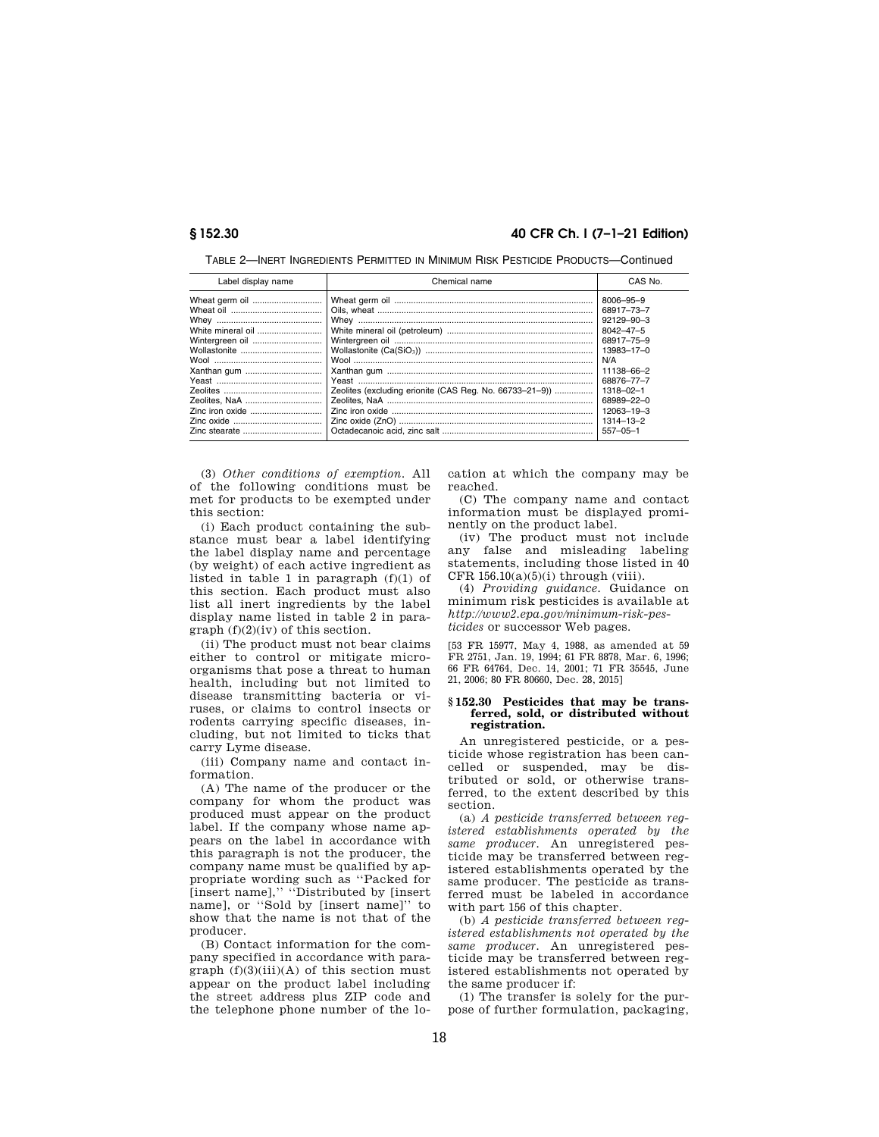# **§ 152.30 40 CFR Ch. I (7–1–21 Edition)**

| Label display name | Chemical name                                           | CAS No.          |
|--------------------|---------------------------------------------------------|------------------|
| Wheat germ oil     |                                                         | 8006-95-9        |
|                    |                                                         | 68917-73-7       |
|                    |                                                         | $92129 - 90 - 3$ |
| White mineral oil  |                                                         | $8042 - 47 - 5$  |
| Wintergreen oil    |                                                         | 68917-75-9       |
|                    |                                                         | 13983-17-0       |
|                    |                                                         | N/A              |
|                    |                                                         | 11138-66-2       |
|                    |                                                         | 68876-77-7       |
|                    | Zeolites (excluding erionite (CAS Reg. No. 66733-21-9)) | $1318 - 02 - 1$  |
|                    |                                                         | 68989-22-0       |
|                    |                                                         | 12063-19-3       |
|                    |                                                         | $1314 - 13 - 2$  |
|                    |                                                         | $557 - 05 - 1$   |

TABLE 2—INERT INGREDIENTS PERMITTED IN MINIMUM RISK PESTICIDE PRODUCTS—Continued

(3) *Other conditions of exemption.* All of the following conditions must be met for products to be exempted under this section:

(i) Each product containing the substance must bear a label identifying the label display name and percentage (by weight) of each active ingredient as listed in table 1 in paragraph (f)(1) of this section. Each product must also list all inert ingredients by the label display name listed in table 2 in paragraph (f)(2)(iv) of this section.

(ii) The product must not bear claims either to control or mitigate microorganisms that pose a threat to human health, including but not limited to disease transmitting bacteria or viruses, or claims to control insects or rodents carrying specific diseases, including, but not limited to ticks that carry Lyme disease.

(iii) Company name and contact information.

(A) The name of the producer or the company for whom the product was produced must appear on the product label. If the company whose name appears on the label in accordance with this paragraph is not the producer, the company name must be qualified by appropriate wording such as ''Packed for [insert name],'' ''Distributed by [insert name], or ''Sold by [insert name]'' to show that the name is not that of the producer.

(B) Contact information for the company specified in accordance with paragraph  $(f)(3)(iii)(A)$  of this section must appear on the product label including the street address plus ZIP code and the telephone phone number of the location at which the company may be reached.

(C) The company name and contact information must be displayed prominently on the product label.

(iv) The product must not include any false and misleading labeling statements, including those listed in 40 CFR  $156.10(a)(5)(i)$  through (viii).

(4) *Providing guidance.* Guidance on minimum risk pesticides is available at *http://www2.epa.gov/minimum-risk-pesticides* or successor Web pages.

[53 FR 15977, May 4, 1988, as amended at 59 FR 2751, Jan. 19, 1994; 61 FR 8878, Mar. 6, 1996; 66 FR 64764, Dec. 14, 2001; 71 FR 35545, June 21, 2006; 80 FR 80660, Dec. 28, 2015]

#### **§ 152.30 Pesticides that may be transferred, sold, or distributed without registration.**

An unregistered pesticide, or a pesticide whose registration has been cancelled or suspended, may be distributed or sold, or otherwise transferred, to the extent described by this section.

(a) *A pesticide transferred between registered establishments operated by the same producer.* An unregistered pesticide may be transferred between registered establishments operated by the same producer. The pesticide as transferred must be labeled in accordance with part 156 of this chapter.

(b) *A pesticide transferred between registered establishments not operated by the same producer.* An unregistered pesticide may be transferred between registered establishments not operated by the same producer if:

(1) The transfer is solely for the purpose of further formulation, packaging,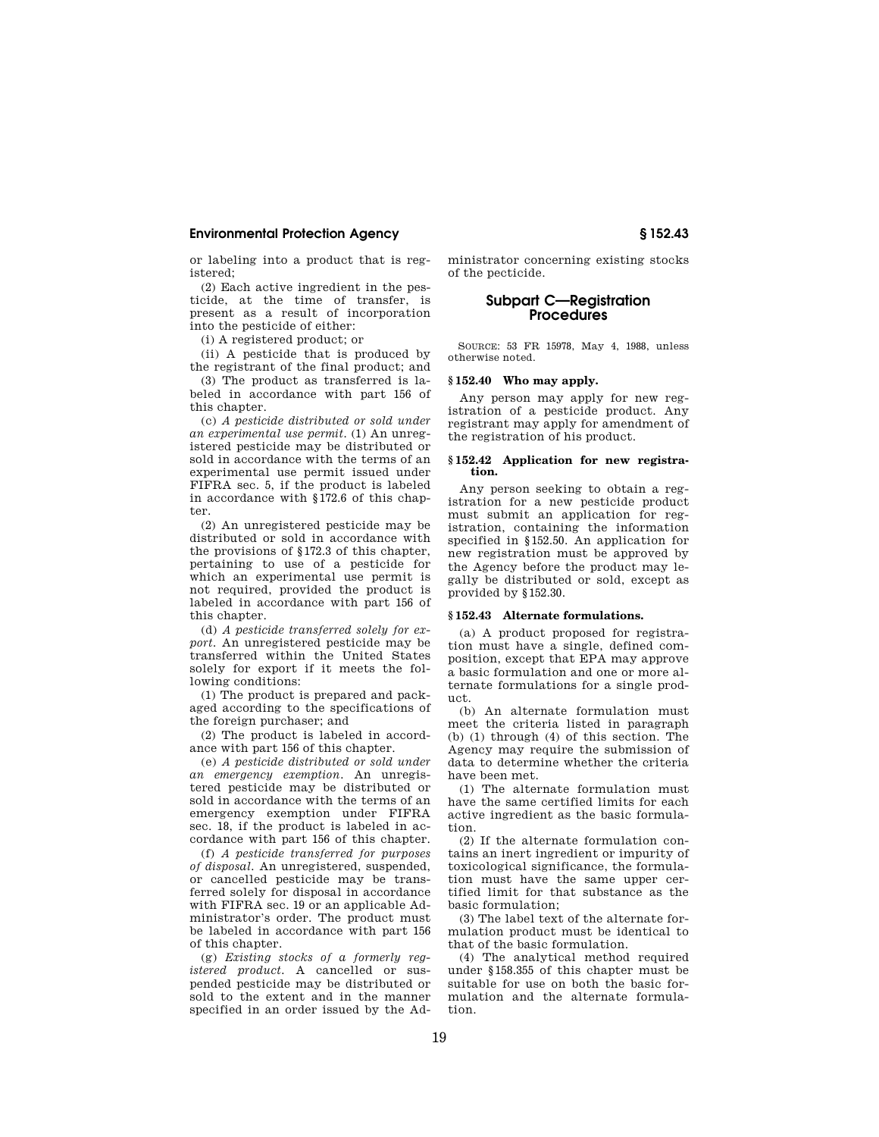or labeling into a product that is registered;

(2) Each active ingredient in the pesticide, at the time of transfer, is present as a result of incorporation into the pesticide of either:

(i) A registered product; or

(ii) A pesticide that is produced by the registrant of the final product; and

(3) The product as transferred is labeled in accordance with part 156 of this chapter.

(c) *A pesticide distributed or sold under an experimental use permit.* (1) An unregistered pesticide may be distributed or sold in accordance with the terms of an experimental use permit issued under FIFRA sec. 5, if the product is labeled in accordance with §172.6 of this chapter.

(2) An unregistered pesticide may be distributed or sold in accordance with the provisions of §172.3 of this chapter, pertaining to use of a pesticide for which an experimental use permit is not required, provided the product is labeled in accordance with part 156 of this chapter.

(d) *A pesticide transferred solely for export.* An unregistered pesticide may be transferred within the United States solely for export if it meets the following conditions:

(1) The product is prepared and packaged according to the specifications of the foreign purchaser; and

(2) The product is labeled in accordance with part 156 of this chapter.

(e) *A pesticide distributed or sold under an emergency exemption.* An unregistered pesticide may be distributed or sold in accordance with the terms of an emergency exemption under FIFRA sec. 18, if the product is labeled in accordance with part 156 of this chapter.

(f) *A pesticide transferred for purposes of disposal.* An unregistered, suspended, or cancelled pesticide may be transferred solely for disposal in accordance with FIFRA sec. 19 or an applicable Administrator's order. The product must be labeled in accordance with part 156 of this chapter.

(g) *Existing stocks of a formerly registered product.* A cancelled or suspended pesticide may be distributed or sold to the extent and in the manner specified in an order issued by the Administrator concerning existing stocks of the pecticide.

# **Subpart C—Registration Procedures**

SOURCE: 53 FR 15978, May 4, 1988, unless otherwise noted.

#### **§ 152.40 Who may apply.**

Any person may apply for new registration of a pesticide product. Any registrant may apply for amendment of the registration of his product.

#### **§ 152.42 Application for new registration.**

Any person seeking to obtain a registration for a new pesticide product must submit an application for registration, containing the information specified in §152.50. An application for new registration must be approved by the Agency before the product may legally be distributed or sold, except as provided by §152.30.

#### **§ 152.43 Alternate formulations.**

(a) A product proposed for registration must have a single, defined composition, except that EPA may approve a basic formulation and one or more alternate formulations for a single product.

(b) An alternate formulation must meet the criteria listed in paragraph (b) (1) through (4) of this section. The Agency may require the submission of data to determine whether the criteria have been met.

(1) The alternate formulation must have the same certified limits for each active ingredient as the basic formulation.

(2) If the alternate formulation contains an inert ingredient or impurity of toxicological significance, the formulation must have the same upper certified limit for that substance as the basic formulation;

(3) The label text of the alternate formulation product must be identical to that of the basic formulation.

(4) The analytical method required under §158.355 of this chapter must be suitable for use on both the basic formulation and the alternate formulation.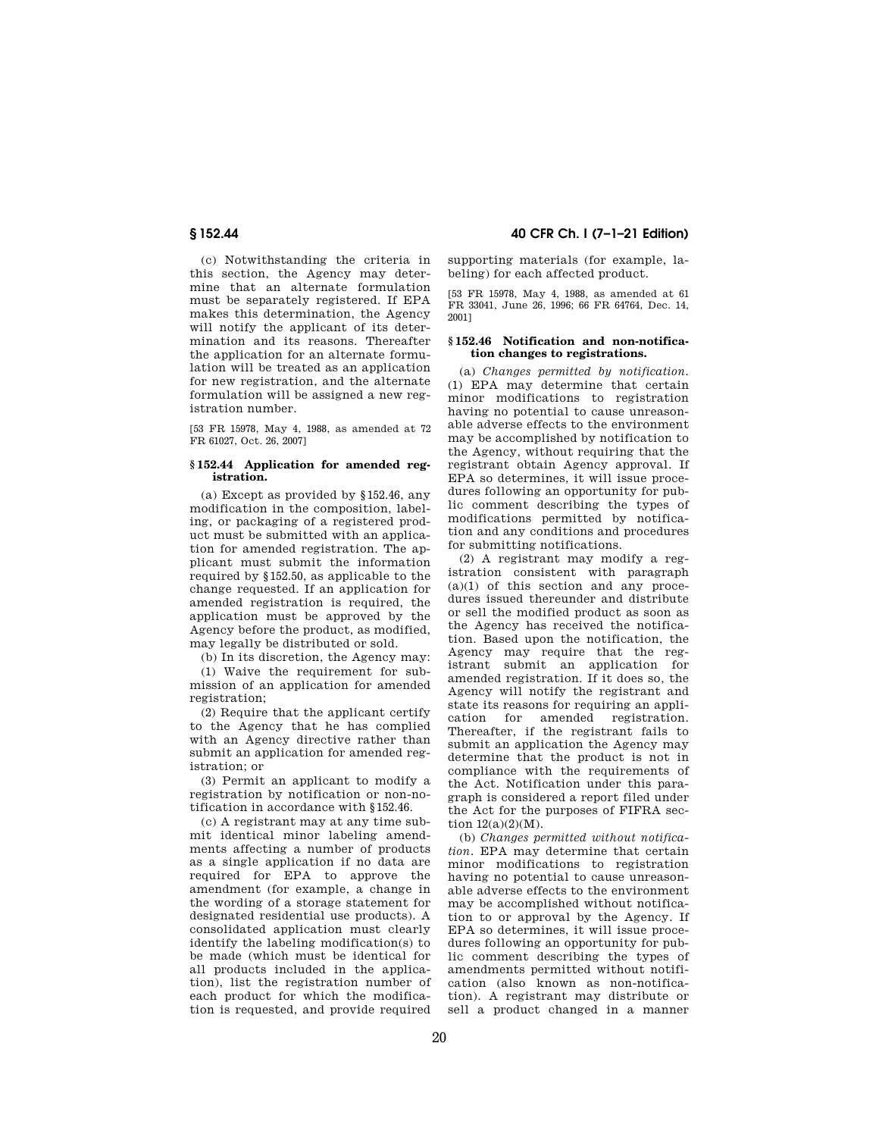(c) Notwithstanding the criteria in this section, the Agency may determine that an alternate formulation must be separately registered. If EPA makes this determination, the Agency will notify the applicant of its determination and its reasons. Thereafter the application for an alternate formulation will be treated as an application for new registration, and the alternate formulation will be assigned a new registration number.

[53 FR 15978, May 4, 1988, as amended at 72 FR 61027, Oct. 26, 2007]

#### **§ 152.44 Application for amended registration.**

(a) Except as provided by §152.46, any modification in the composition, labeling, or packaging of a registered product must be submitted with an application for amended registration. The applicant must submit the information required by §152.50, as applicable to the change requested. If an application for amended registration is required, the application must be approved by the Agency before the product, as modified, may legally be distributed or sold.

(b) In its discretion, the Agency may:

(1) Waive the requirement for submission of an application for amended registration;

(2) Require that the applicant certify to the Agency that he has complied with an Agency directive rather than submit an application for amended registration; or

(3) Permit an applicant to modify a registration by notification or non-notification in accordance with §152.46.

(c) A registrant may at any time submit identical minor labeling amendments affecting a number of products as a single application if no data are required for EPA to approve the amendment (for example, a change in the wording of a storage statement for designated residential use products). A consolidated application must clearly identify the labeling modification(s) to be made (which must be identical for all products included in the application), list the registration number of each product for which the modification is requested, and provide required

# **§ 152.44 40 CFR Ch. I (7–1–21 Edition)**

supporting materials (for example, labeling) for each affected product.

[53 FR 15978, May 4, 1988, as amended at 61 FR 33041, June 26, 1996; 66 FR 64764, Dec. 14, 2001]

#### **§ 152.46 Notification and non-notification changes to registrations.**

(a) *Changes permitted by notification.*  (1) EPA may determine that certain minor modifications to registration having no potential to cause unreasonable adverse effects to the environment may be accomplished by notification to the Agency, without requiring that the registrant obtain Agency approval. If EPA so determines, it will issue procedures following an opportunity for public comment describing the types of modifications permitted by notification and any conditions and procedures for submitting notifications.

(2) A registrant may modify a registration consistent with paragraph  $(a)(1)$  of this section and any procedures issued thereunder and distribute or sell the modified product as soon as the Agency has received the notification. Based upon the notification, the Agency may require that the registrant submit an application for amended registration. If it does so, the Agency will notify the registrant and state its reasons for requiring an application for amended registration. Thereafter, if the registrant fails to submit an application the Agency may determine that the product is not in compliance with the requirements of the Act. Notification under this paragraph is considered a report filed under the Act for the purposes of FIFRA section 12(a)(2)(M).

(b) *Changes permitted without notification.* EPA may determine that certain minor modifications to registration having no potential to cause unreasonable adverse effects to the environment may be accomplished without notification to or approval by the Agency. If EPA so determines, it will issue procedures following an opportunity for public comment describing the types of amendments permitted without notification (also known as non-notification). A registrant may distribute or sell a product changed in a manner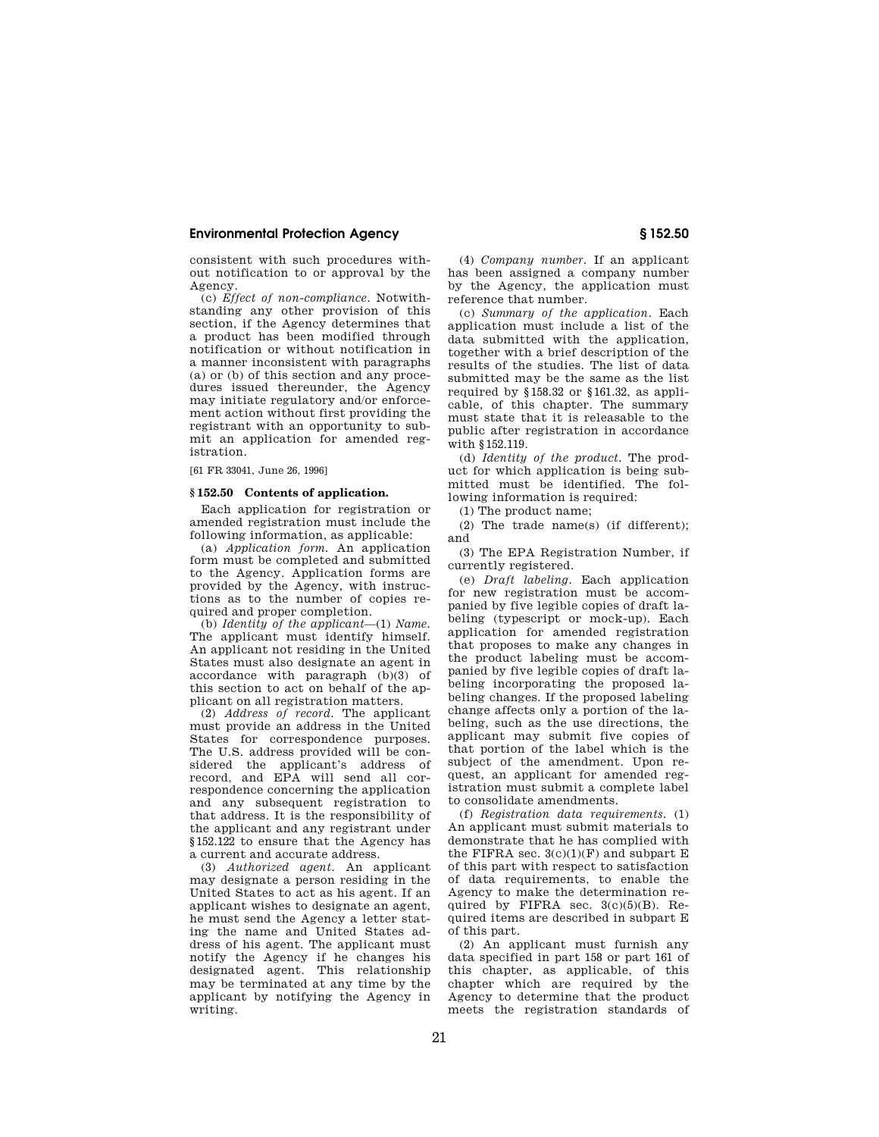consistent with such procedures without notification to or approval by the Agency.

(c) *Effect of non-compliance.* Notwithstanding any other provision of this section, if the Agency determines that a product has been modified through notification or without notification in a manner inconsistent with paragraphs (a) or (b) of this section and any procedures issued thereunder, the Agency may initiate regulatory and/or enforcement action without first providing the registrant with an opportunity to submit an application for amended registration.

[61 FR 33041, June 26, 1996]

#### **§ 152.50 Contents of application.**

Each application for registration or amended registration must include the following information, as applicable:

(a) *Application form.* An application form must be completed and submitted to the Agency. Application forms are provided by the Agency, with instructions as to the number of copies required and proper completion.

(b) *Identity of the applicant*—(1) *Name.*  The applicant must identify himself. An applicant not residing in the United States must also designate an agent in accordance with paragraph (b)(3) of this section to act on behalf of the applicant on all registration matters.

(2) *Address of record.* The applicant must provide an address in the United States for correspondence purposes. The U.S. address provided will be considered the applicant's address of record, and EPA will send all correspondence concerning the application and any subsequent registration to that address. It is the responsibility of the applicant and any registrant under §152.122 to ensure that the Agency has a current and accurate address.

(3) *Authorized agent.* An applicant may designate a person residing in the United States to act as his agent. If an applicant wishes to designate an agent, he must send the Agency a letter stating the name and United States address of his agent. The applicant must notify the Agency if he changes his designated agent. This relationship may be terminated at any time by the applicant by notifying the Agency in writing.

(4) *Company number.* If an applicant has been assigned a company number by the Agency, the application must reference that number.

(c) *Summary of the application.* Each application must include a list of the data submitted with the application, together with a brief description of the results of the studies. The list of data submitted may be the same as the list required by §158.32 or §161.32, as applicable, of this chapter. The summary must state that it is releasable to the public after registration in accordance with §152.119.

(d) *Identity of the product.* The product for which application is being submitted must be identified. The following information is required:

(1) The product name;

(2) The trade name(s) (if different); and

(3) The EPA Registration Number, if currently registered.

(e) *Draft labeling.* Each application for new registration must be accompanied by five legible copies of draft labeling (typescript or mock-up). Each application for amended registration that proposes to make any changes in the product labeling must be accompanied by five legible copies of draft labeling incorporating the proposed labeling changes. If the proposed labeling change affects only a portion of the labeling, such as the use directions, the applicant may submit five copies of that portion of the label which is the subject of the amendment. Upon request, an applicant for amended registration must submit a complete label to consolidate amendments.

(f) *Registration data requirements.* (1) An applicant must submit materials to demonstrate that he has complied with the FIFRA sec.  $3(c)(1)(F)$  and subpart E of this part with respect to satisfaction of data requirements, to enable the Agency to make the determination required by FIFRA sec.  $3(c)(5)(B)$ . Required items are described in subpart E of this part.

(2) An applicant must furnish any data specified in part 158 or part 161 of this chapter, as applicable, of this chapter which are required by the Agency to determine that the product meets the registration standards of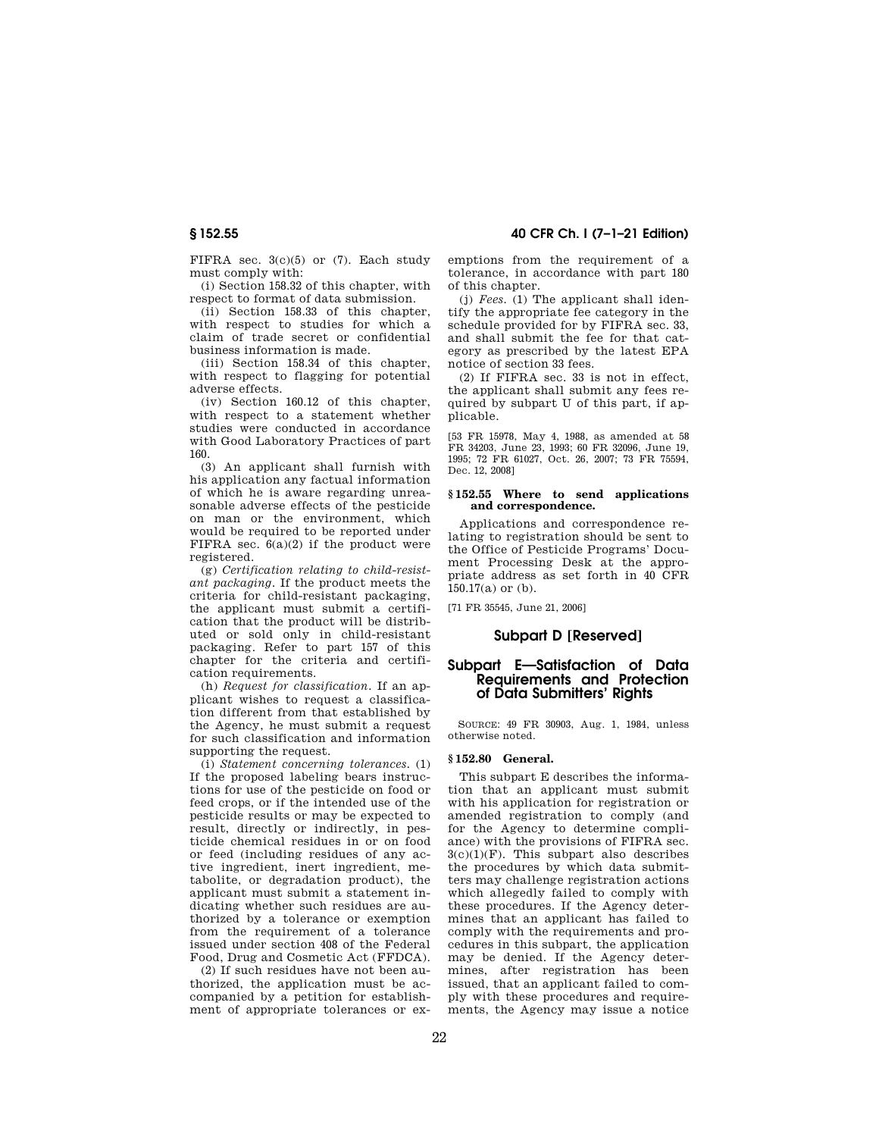FIFRA sec. 3(c)(5) or (7). Each study must comply with:

(i) Section 158.32 of this chapter, with respect to format of data submission.

(ii) Section 158.33 of this chapter, with respect to studies for which a claim of trade secret or confidential business information is made.

(iii) Section 158.34 of this chapter, with respect to flagging for potential adverse effects.

(iv) Section 160.12 of this chapter, with respect to a statement whether studies were conducted in accordance with Good Laboratory Practices of part 160.

(3) An applicant shall furnish with his application any factual information of which he is aware regarding unreasonable adverse effects of the pesticide on man or the environment, which would be required to be reported under FIFRA sec.  $6(a)(2)$  if the product were registered.

(g) *Certification relating to child-resistant packaging.* If the product meets the criteria for child-resistant packaging, the applicant must submit a certification that the product will be distributed or sold only in child-resistant packaging. Refer to part 157 of this chapter for the criteria and certification requirements.

(h) *Request for classification.* If an applicant wishes to request a classification different from that established by the Agency, he must submit a request for such classification and information supporting the request.

(i) *Statement concerning tolerances.* (1) If the proposed labeling bears instructions for use of the pesticide on food or feed crops, or if the intended use of the pesticide results or may be expected to result, directly or indirectly, in pesticide chemical residues in or on food or feed (including residues of any active ingredient, inert ingredient, metabolite, or degradation product), the applicant must submit a statement indicating whether such residues are authorized by a tolerance or exemption from the requirement of a tolerance issued under section 408 of the Federal Food, Drug and Cosmetic Act (FFDCA).

(2) If such residues have not been authorized, the application must be accompanied by a petition for establishment of appropriate tolerances or ex-

**§ 152.55 40 CFR Ch. I (7–1–21 Edition)** 

emptions from the requirement of a tolerance, in accordance with part 180 of this chapter.

(j) *Fees.* (1) The applicant shall identify the appropriate fee category in the schedule provided for by FIFRA sec. 33, and shall submit the fee for that category as prescribed by the latest EPA notice of section 33 fees.

(2) If FIFRA sec. 33 is not in effect, the applicant shall submit any fees required by subpart U of this part, if applicable.

[53 FR 15978, May 4, 1988, as amended at 58 FR 34203, June 23, 1993; 60 FR 32096, June 19, 1995; 72 FR 61027, Oct. 26, 2007; 73 FR 75594, Dec. 12, 2008]

#### **§ 152.55 Where to send applications and correspondence.**

Applications and correspondence relating to registration should be sent to the Office of Pesticide Programs' Document Processing Desk at the appropriate address as set forth in 40 CFR 150.17(a) or (b).

[71 FR 35545, June 21, 2006]

#### **Subpart D [Reserved]**

# **Subpart E—Satisfaction of Data Requirements and Protection of Data Submitters' Rights**

SOURCE: 49 FR 30903, Aug. 1, 1984, unless otherwise noted.

#### **§ 152.80 General.**

This subpart E describes the information that an applicant must submit with his application for registration or amended registration to comply (and for the Agency to determine compliance) with the provisions of FIFRA sec.  $3(c)(1)(F)$ . This subpart also describes the procedures by which data submitters may challenge registration actions which allegedly failed to comply with these procedures. If the Agency determines that an applicant has failed to comply with the requirements and procedures in this subpart, the application may be denied. If the Agency determines, after registration has been issued, that an applicant failed to comply with these procedures and requirements, the Agency may issue a notice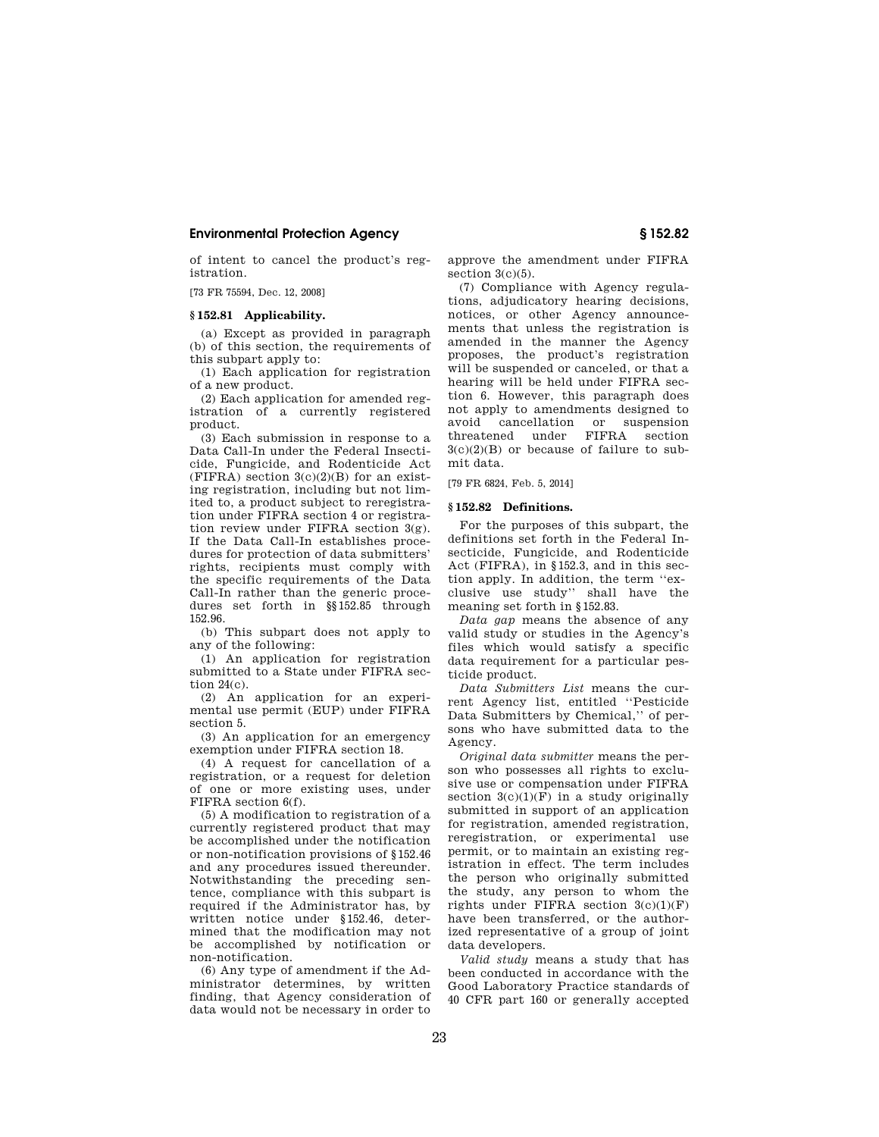of intent to cancel the product's registration.

[73 FR 75594, Dec. 12, 2008]

#### **§ 152.81 Applicability.**

(a) Except as provided in paragraph (b) of this section, the requirements of this subpart apply to:

(1) Each application for registration of a new product.

(2) Each application for amended registration of a currently registered product.

(3) Each submission in response to a Data Call-In under the Federal Insecticide, Fungicide, and Rodenticide Act  $(FIFRA)$  section  $3(c)(2)(B)$  for an existing registration, including but not limited to, a product subject to reregistration under FIFRA section 4 or registration review under FIFRA section 3(g). If the Data Call-In establishes procedures for protection of data submitters' rights, recipients must comply with the specific requirements of the Data Call-In rather than the generic procedures set forth in §§152.85 through 152.96.

(b) This subpart does not apply to any of the following:

(1) An application for registration submitted to a State under FIFRA section  $24(c)$ .

(2) An application for an experimental use permit (EUP) under FIFRA section 5.

(3) An application for an emergency exemption under FIFRA section 18.

(4) A request for cancellation of a registration, or a request for deletion of one or more existing uses, under FIFRA section 6(f).

(5) A modification to registration of a currently registered product that may be accomplished under the notification or non-notification provisions of §152.46 and any procedures issued thereunder. Notwithstanding the preceding sentence, compliance with this subpart is required if the Administrator has, by written notice under §152.46, determined that the modification may not be accomplished by notification or non-notification.

(6) Any type of amendment if the Administrator determines, by written finding, that Agency consideration of data would not be necessary in order to approve the amendment under FIFRA section  $3(c)(5)$ .

(7) Compliance with Agency regulations, adjudicatory hearing decisions, notices, or other Agency announcements that unless the registration is amended in the manner the Agency proposes, the product's registration will be suspended or canceled, or that a hearing will be held under FIFRA section 6. However, this paragraph does not apply to amendments designed to avoid cancellation or suspension threatened under FIFRA section 3(c)(2)(B) or because of failure to submit data.

[79 FR 6824, Feb. 5, 2014]

#### **§ 152.82 Definitions.**

For the purposes of this subpart, the definitions set forth in the Federal Insecticide, Fungicide, and Rodenticide Act (FIFRA), in §152.3, and in this section apply. In addition, the term ''exclusive use study'' shall have the meaning set forth in §152.83.

*Data gap* means the absence of any valid study or studies in the Agency's files which would satisfy a specific data requirement for a particular pesticide product.

*Data Submitters List* means the current Agency list, entitled ''Pesticide Data Submitters by Chemical,'' of persons who have submitted data to the Agency.

*Original data submitter* means the person who possesses all rights to exclusive use or compensation under FIFRA section  $3(c)(1)(\overline{F})$  in a study originally submitted in support of an application for registration, amended registration, reregistration, or experimental use permit, or to maintain an existing registration in effect. The term includes the person who originally submitted the study, any person to whom the rights under FIFRA section  $3(c)(1)(F)$ have been transferred, or the authorized representative of a group of joint data developers.

*Valid study* means a study that has been conducted in accordance with the Good Laboratory Practice standards of 40 CFR part 160 or generally accepted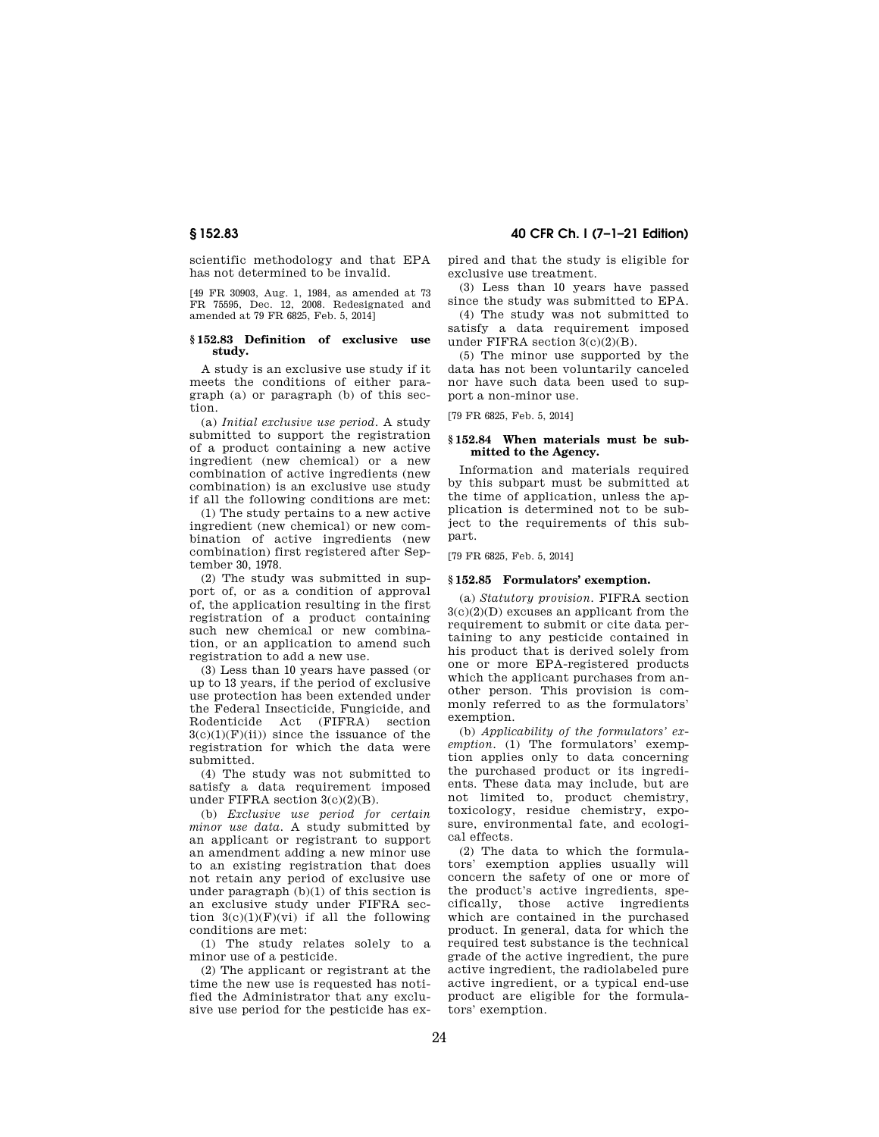scientific methodology and that EPA has not determined to be invalid.

[49 FR 30903, Aug. 1, 1984, as amended at 73 FR 75595, Dec. 12, 2008. Redesignated and amended at 79 FR 6825, Feb. 5, 2014]

#### **§ 152.83 Definition of exclusive use study.**

A study is an exclusive use study if it meets the conditions of either paragraph (a) or paragraph (b) of this section.

(a) *Initial exclusive use period.* A study submitted to support the registration of a product containing a new active ingredient (new chemical) or a new combination of active ingredients (new combination) is an exclusive use study if all the following conditions are met:

(1) The study pertains to a new active ingredient (new chemical) or new combination of active ingredients (new combination) first registered after September 30, 1978.

(2) The study was submitted in support of, or as a condition of approval of, the application resulting in the first registration of a product containing such new chemical or new combination, or an application to amend such registration to add a new use.

(3) Less than 10 years have passed (or up to 13 years, if the period of exclusive use protection has been extended under the Federal Insecticide, Fungicide, and<br>Rodenticide Act. (FIFRA) section Act (FIFRA) section  $3(c)(1)(F)(ii)$  since the issuance of the registration for which the data were submitted.

(4) The study was not submitted to satisfy a data requirement imposed under FIFRA section 3(c)(2)(B).

(b) *Exclusive use period for certain minor use data.* A study submitted by an applicant or registrant to support an amendment adding a new minor use to an existing registration that does not retain any period of exclusive use under paragraph (b)(1) of this section is an exclusive study under FIFRA section  $3(c)(1)(F)(vi)$  if all the following conditions are met:

(1) The study relates solely to a minor use of a pesticide.

(2) The applicant or registrant at the time the new use is requested has notified the Administrator that any exclusive use period for the pesticide has expired and that the study is eligible for exclusive use treatment.

(3) Less than 10 years have passed since the study was submitted to EPA.

(4) The study was not submitted to satisfy a data requirement imposed under FIFRA section 3(c)(2)(B).

(5) The minor use supported by the data has not been voluntarily canceled nor have such data been used to support a non-minor use.

[79 FR 6825, Feb. 5, 2014]

#### **§ 152.84 When materials must be submitted to the Agency.**

Information and materials required by this subpart must be submitted at the time of application, unless the application is determined not to be subject to the requirements of this subpart.

[79 FR 6825, Feb. 5, 2014]

#### **§ 152.85 Formulators' exemption.**

(a) *Statutory provision.* FIFRA section 3(c)(2)(D) excuses an applicant from the requirement to submit or cite data pertaining to any pesticide contained in his product that is derived solely from one or more EPA-registered products which the applicant purchases from another person. This provision is commonly referred to as the formulators' exemption.

(b) *Applicability of the formulators' exemption.* (1) The formulators' exemption applies only to data concerning the purchased product or its ingredients. These data may include, but are not limited to, product chemistry, toxicology, residue chemistry, exposure, environmental fate, and ecological effects.

(2) The data to which the formulators' exemption applies usually will concern the safety of one or more of the product's active ingredients, specifically, those active ingredients which are contained in the purchased product. In general, data for which the required test substance is the technical grade of the active ingredient, the pure active ingredient, the radiolabeled pure active ingredient, or a typical end-use product are eligible for the formulators' exemption.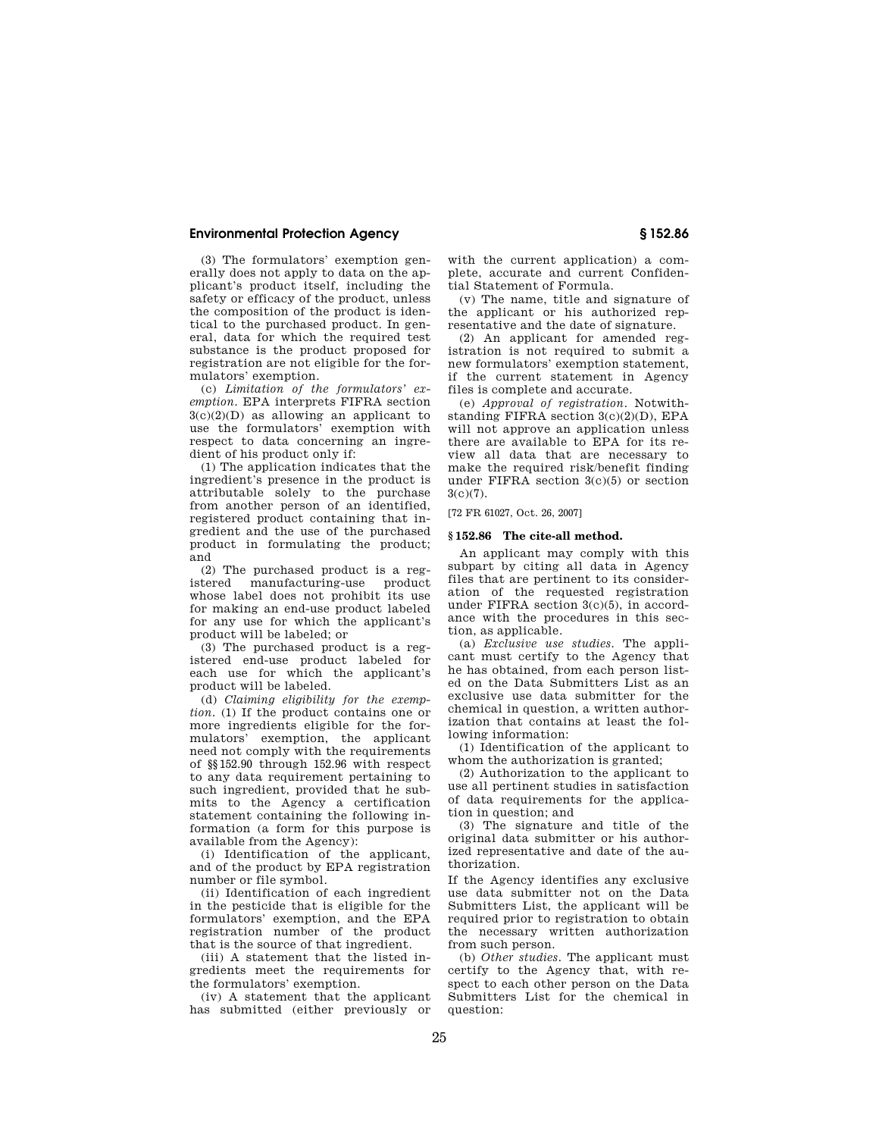(3) The formulators' exemption generally does not apply to data on the applicant's product itself, including the safety or efficacy of the product, unless the composition of the product is identical to the purchased product. In general, data for which the required test substance is the product proposed for registration are not eligible for the formulators' exemption.

(c) *Limitation of the formulators' exemption.* EPA interprets FIFRA section  $3(c)(2)(D)$  as allowing an applicant to use the formulators' exemption with respect to data concerning an ingredient of his product only if:

(1) The application indicates that the ingredient's presence in the product is attributable solely to the purchase from another person of an identified, registered product containing that ingredient and the use of the purchased product in formulating the product; and

(2) The purchased product is a registered manufacturing-use whose label does not prohibit its use for making an end-use product labeled for any use for which the applicant's product will be labeled; or

(3) The purchased product is a registered end-use product labeled for each use for which the applicant's product will be labeled.

(d) *Claiming eligibility for the exemption.* (1) If the product contains one or more ingredients eligible for the formulators' exemption, the applicant need not comply with the requirements of §§152.90 through 152.96 with respect to any data requirement pertaining to such ingredient, provided that he submits to the Agency a certification statement containing the following information (a form for this purpose is available from the Agency):

(i) Identification of the applicant, and of the product by EPA registration number or file symbol.

(ii) Identification of each ingredient in the pesticide that is eligible for the formulators' exemption, and the EPA registration number of the product that is the source of that ingredient.

(iii) A statement that the listed ingredients meet the requirements for the formulators' exemption.

(iv) A statement that the applicant has submitted (either previously or with the current application) a complete, accurate and current Confidential Statement of Formula.

(v) The name, title and signature of the applicant or his authorized representative and the date of signature.

(2) An applicant for amended registration is not required to submit a new formulators' exemption statement, if the current statement in Agency files is complete and accurate.

(e) *Approval of registration.* Notwithstanding FIFRA section 3(c)(2)(D), EPA will not approve an application unless there are available to EPA for its review all data that are necessary to make the required risk/benefit finding under FIFRA section 3(c)(5) or section 3(c)(7).

[72 FR 61027, Oct. 26, 2007]

#### **§ 152.86 The cite-all method.**

An applicant may comply with this subpart by citing all data in Agency files that are pertinent to its consideration of the requested registration under FIFRA section 3(c)(5), in accordance with the procedures in this section, as applicable.

(a) *Exclusive use studies.* The applicant must certify to the Agency that he has obtained, from each person listed on the Data Submitters List as an exclusive use data submitter for the chemical in question, a written authorization that contains at least the following information:

(1) Identification of the applicant to whom the authorization is granted;

(2) Authorization to the applicant to use all pertinent studies in satisfaction of data requirements for the application in question; and

(3) The signature and title of the original data submitter or his authorized representative and date of the authorization.

If the Agency identifies any exclusive use data submitter not on the Data Submitters List, the applicant will be required prior to registration to obtain the necessary written authorization from such person.

(b) *Other studies.* The applicant must certify to the Agency that, with respect to each other person on the Data Submitters List for the chemical in question: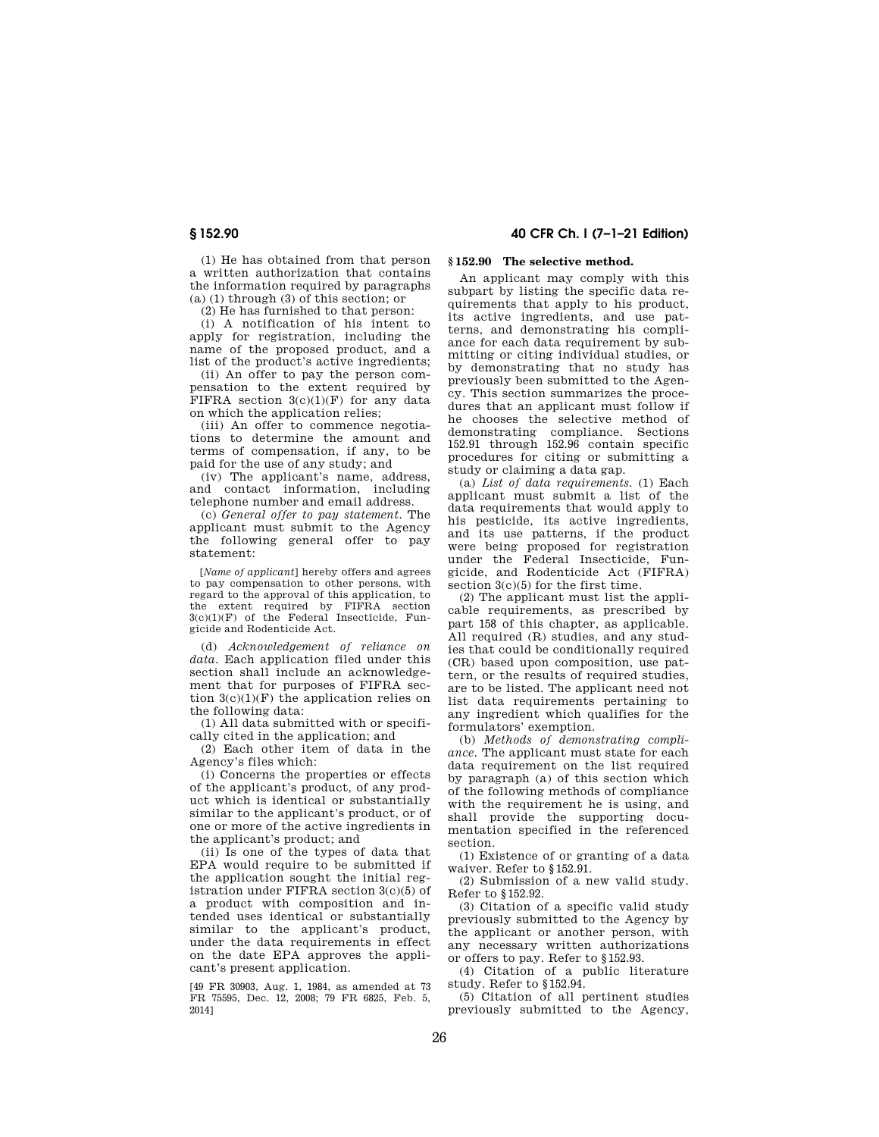(1) He has obtained from that person a written authorization that contains the information required by paragraphs (a) (1) through (3) of this section; or

(2) He has furnished to that person:

(i) A notification of his intent to apply for registration, including the name of the proposed product, and a list of the product's active ingredients;

(ii) An offer to pay the person compensation to the extent required by FIFRA section  $3(c)(1)(F)$  for any data on which the application relies;

(iii) An offer to commence negotiations to determine the amount and terms of compensation, if any, to be paid for the use of any study; and

(iv) The applicant's name, address, and contact information, including telephone number and email address.

(c) *General offer to pay statement.* The applicant must submit to the Agency the following general offer to pay statement:

[*Name of applicant*] hereby offers and agrees to pay compensation to other persons, with regard to the approval of this application, to the extent required by FIFRA section  $3(c)(1)(F)$  of the Federal Insecticide, Fungicide and Rodenticide Act.

(d) *Acknowledgement of reliance on data.* Each application filed under this section shall include an acknowledgement that for purposes of FIFRA section  $3(c)(1)(F)$  the application relies on the following data:

(1) All data submitted with or specifically cited in the application; and

(2) Each other item of data in the Agency's files which:

(i) Concerns the properties or effects of the applicant's product, of any product which is identical or substantially similar to the applicant's product, or of one or more of the active ingredients in the applicant's product; and

(ii) Is one of the types of data that EPA would require to be submitted if the application sought the initial registration under FIFRA section 3(c)(5) of a product with composition and intended uses identical or substantially similar to the applicant's product, under the data requirements in effect on the date EPA approves the applicant's present application.

[49 FR 30903, Aug. 1, 1984, as amended at 73 FR 75595, Dec. 12, 2008; 79 FR 6825, Feb. 5, 2014]

# **§ 152.90 40 CFR Ch. I (7–1–21 Edition)**

#### **§ 152.90 The selective method.**

An applicant may comply with this subpart by listing the specific data requirements that apply to his product, its active ingredients, and use patterns, and demonstrating his compliance for each data requirement by submitting or citing individual studies, or by demonstrating that no study has previously been submitted to the Agency. This section summarizes the procedures that an applicant must follow if he chooses the selective method of demonstrating compliance. Sections 152.91 through 152.96 contain specific procedures for citing or submitting a study or claiming a data gap.

(a) *List of data requirements.* (1) Each applicant must submit a list of the data requirements that would apply to his pesticide, its active ingredients, and its use patterns, if the product were being proposed for registration under the Federal Insecticide, Fungicide, and Rodenticide Act (FIFRA) section  $3(c)(5)$  for the first time.

(2) The applicant must list the applicable requirements, as prescribed by part 158 of this chapter, as applicable. All required (R) studies, and any studies that could be conditionally required (CR) based upon composition, use pattern, or the results of required studies, are to be listed. The applicant need not list data requirements pertaining to any ingredient which qualifies for the formulators' exemption.

(b) *Methods of demonstrating compliance.* The applicant must state for each data requirement on the list required by paragraph (a) of this section which of the following methods of compliance with the requirement he is using, and shall provide the supporting documentation specified in the referenced section.

(1) Existence of or granting of a data waiver. Refer to §152.91.

(2) Submission of a new valid study. Refer to §152.92.

(3) Citation of a specific valid study previously submitted to the Agency by the applicant or another person, with any necessary written authorizations or offers to pay. Refer to §152.93.

(4) Citation of a public literature study. Refer to §152.94.

(5) Citation of all pertinent studies previously submitted to the Agency,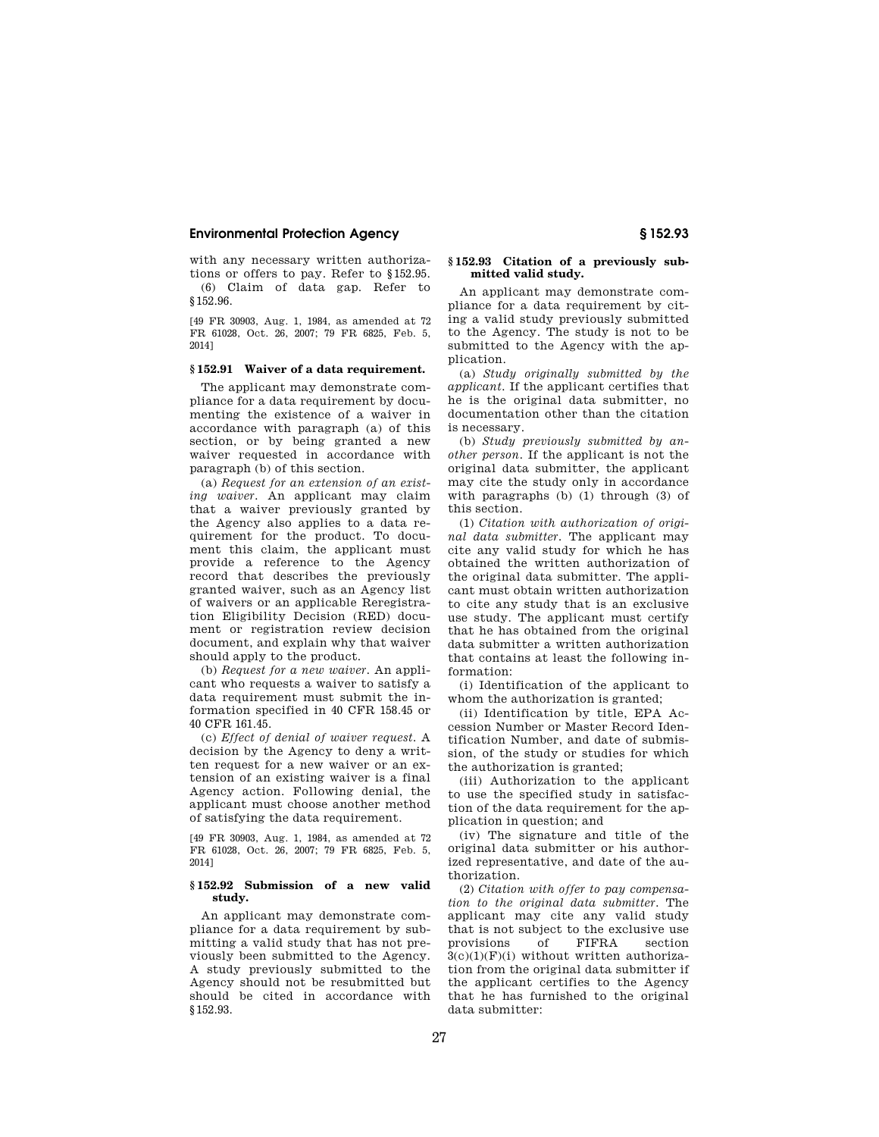with any necessary written authorizations or offers to pay. Refer to §152.95. (6) Claim of data gap. Refer to §152.96.

[49 FR 30903, Aug. 1, 1984, as amended at 72 FR 61028, Oct. 26, 2007; 79 FR 6825, Feb. 5, 2014]

#### **§ 152.91 Waiver of a data requirement.**

The applicant may demonstrate compliance for a data requirement by documenting the existence of a waiver in accordance with paragraph (a) of this section, or by being granted a new waiver requested in accordance with paragraph (b) of this section.

(a) *Request for an extension of an existing waiver.* An applicant may claim that a waiver previously granted by the Agency also applies to a data requirement for the product. To document this claim, the applicant must provide a reference to the Agency record that describes the previously granted waiver, such as an Agency list of waivers or an applicable Reregistration Eligibility Decision (RED) document or registration review decision document, and explain why that waiver should apply to the product.

(b) *Request for a new waiver.* An applicant who requests a waiver to satisfy a data requirement must submit the information specified in 40 CFR 158.45 or 40 CFR 161.45.

(c) *Effect of denial of waiver request.* A decision by the Agency to deny a written request for a new waiver or an extension of an existing waiver is a final Agency action. Following denial, the applicant must choose another method of satisfying the data requirement.

[49 FR 30903, Aug. 1, 1984, as amended at 72 FR 61028, Oct. 26, 2007; 79 FR 6825, Feb. 5, 2014]

#### **§ 152.92 Submission of a new valid study.**

An applicant may demonstrate compliance for a data requirement by submitting a valid study that has not previously been submitted to the Agency. A study previously submitted to the Agency should not be resubmitted but should be cited in accordance with §152.93.

#### **§ 152.93 Citation of a previously submitted valid study.**

An applicant may demonstrate compliance for a data requirement by citing a valid study previously submitted to the Agency. The study is not to be submitted to the Agency with the application.

(a) *Study originally submitted by the applicant.* If the applicant certifies that he is the original data submitter, no documentation other than the citation is necessary.

(b) *Study previously submitted by another person.* If the applicant is not the original data submitter, the applicant may cite the study only in accordance with paragraphs (b) (1) through (3) of this section.

(1) *Citation with authorization of original data submitter.* The applicant may cite any valid study for which he has obtained the written authorization of the original data submitter. The applicant must obtain written authorization to cite any study that is an exclusive use study. The applicant must certify that he has obtained from the original data submitter a written authorization that contains at least the following information:

(i) Identification of the applicant to whom the authorization is granted;

(ii) Identification by title, EPA Accession Number or Master Record Identification Number, and date of submission, of the study or studies for which the authorization is granted;

(iii) Authorization to the applicant to use the specified study in satisfaction of the data requirement for the application in question; and

(iv) The signature and title of the original data submitter or his authorized representative, and date of the authorization.

(2) *Citation with offer to pay compensation to the original data submitter.* The applicant may cite any valid study that is not subject to the exclusive use provisions of FIFRA section  $3(c)(1)(F)(i)$  without written authorization from the original data submitter if the applicant certifies to the Agency that he has furnished to the original data submitter: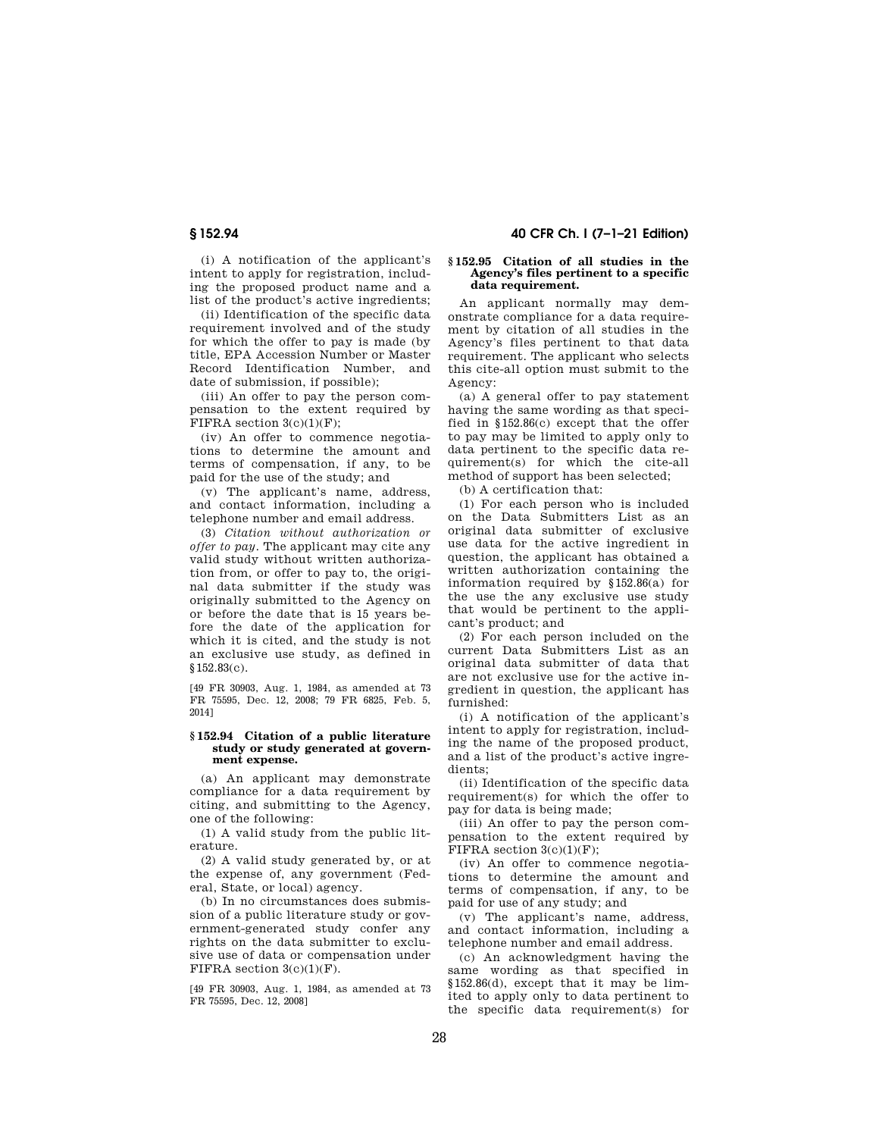**§ 152.94 40 CFR Ch. I (7–1–21 Edition)** 

(i) A notification of the applicant's intent to apply for registration, including the proposed product name and a list of the product's active ingredients;

(ii) Identification of the specific data requirement involved and of the study for which the offer to pay is made (by title, EPA Accession Number or Master Record Identification Number, and date of submission, if possible);

(iii) An offer to pay the person compensation to the extent required by FIFRA section  $3(c)(1)(F)$ ;

(iv) An offer to commence negotiations to determine the amount and terms of compensation, if any, to be paid for the use of the study; and

(v) The applicant's name, address, and contact information, including a telephone number and email address.

(3) *Citation without authorization or offer to pay.* The applicant may cite any valid study without written authorization from, or offer to pay to, the original data submitter if the study was originally submitted to the Agency on or before the date that is 15 years before the date of the application for which it is cited, and the study is not an exclusive use study, as defined in §152.83(c).

[49 FR 30903, Aug. 1, 1984, as amended at 73 FR 75595, Dec. 12, 2008; 79 FR 6825, Feb. 5, 2014]

#### **§ 152.94 Citation of a public literature study or study generated at government expense.**

(a) An applicant may demonstrate compliance for a data requirement by citing, and submitting to the Agency, one of the following:

(1) A valid study from the public literature.

(2) A valid study generated by, or at the expense of, any government (Federal, State, or local) agency.

(b) In no circumstances does submission of a public literature study or government-generated study confer any rights on the data submitter to exclusive use of data or compensation under FIFRA section 3(c)(1)(F).

[49 FR 30903, Aug. 1, 1984, as amended at 73 FR 75595, Dec. 12, 2008]

#### **§ 152.95 Citation of all studies in the Agency's files pertinent to a specific data requirement.**

An applicant normally may demonstrate compliance for a data requirement by citation of all studies in the Agency's files pertinent to that data requirement. The applicant who selects this cite-all option must submit to the Agency:

(a) A general offer to pay statement having the same wording as that specified in §152.86(c) except that the offer to pay may be limited to apply only to data pertinent to the specific data requirement(s) for which the cite-all method of support has been selected;

(b) A certification that:

(1) For each person who is included on the Data Submitters List as an original data submitter of exclusive use data for the active ingredient in question, the applicant has obtained a written authorization containing the information required by §152.86(a) for the use the any exclusive use study that would be pertinent to the applicant's product; and

(2) For each person included on the current Data Submitters List as an original data submitter of data that are not exclusive use for the active ingredient in question, the applicant has furnished:

(i) A notification of the applicant's intent to apply for registration, including the name of the proposed product, and a list of the product's active ingredients;

(ii) Identification of the specific data requirement(s) for which the offer to pay for data is being made;

(iii) An offer to pay the person compensation to the extent required by FIFRA section  $3(c)(1)(F)$ ;

(iv) An offer to commence negotiations to determine the amount and terms of compensation, if any, to be paid for use of any study; and

(v) The applicant's name, address, and contact information, including a telephone number and email address.

(c) An acknowledgment having the same wording as that specified in §152.86(d), except that it may be limited to apply only to data pertinent to the specific data requirement(s) for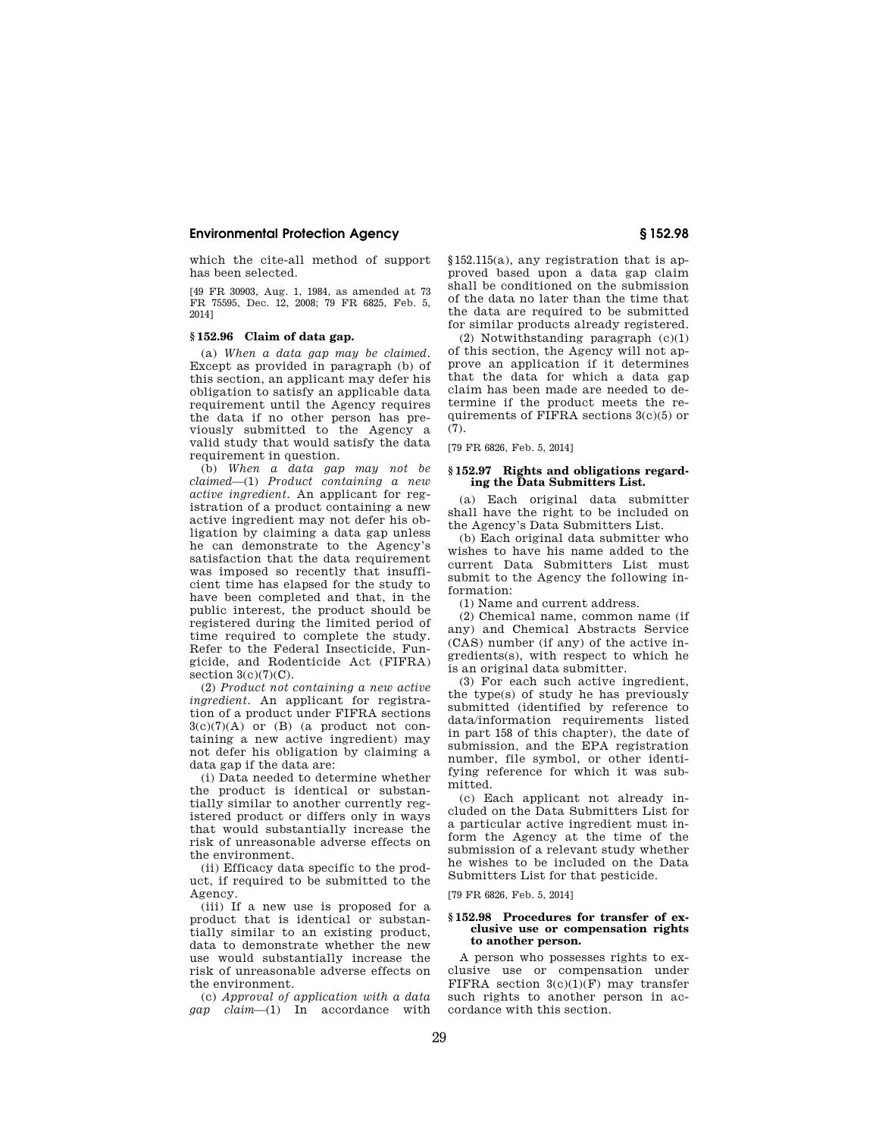which the cite-all method of support has been selected.

[49 FR 30903, Aug. 1, 1984, as amended at 73 FR 75595, Dec. 12, 2008; 79 FR 6825, Feb. 5, 2014]

#### **§ 152.96 Claim of data gap.**

(a) *When a data gap may be claimed.*  Except as provided in paragraph (b) of this section, an applicant may defer his obligation to satisfy an applicable data requirement until the Agency requires the data if no other person has previously submitted to the Agency a valid study that would satisfy the data requirement in question.

(b) *When a data gap may not be claimed*—(1) *Product containing a new active ingredient.* An applicant for registration of a product containing a new active ingredient may not defer his obligation by claiming a data gap unless he can demonstrate to the Agency's satisfaction that the data requirement was imposed so recently that insufficient time has elapsed for the study to have been completed and that, in the public interest, the product should be registered during the limited period of time required to complete the study. Refer to the Federal Insecticide, Fungicide, and Rodenticide Act (FIFRA) section  $3(c)(7)(C)$ .

(2) *Product not containing a new active ingredient.* An applicant for registration of a product under FIFRA sections  $3(c)(7)(A)$  or  $(B)$  (a product not containing a new active ingredient) may not defer his obligation by claiming a data gap if the data are:

(i) Data needed to determine whether the product is identical or substantially similar to another currently registered product or differs only in ways that would substantially increase the risk of unreasonable adverse effects on the environment.

(ii) Efficacy data specific to the product, if required to be submitted to the Agency.

(iii) If a new use is proposed for a product that is identical or substantially similar to an existing product, data to demonstrate whether the new use would substantially increase the risk of unreasonable adverse effects on the environment.

(c) *Approval of application with a data gap claim*—(1) In accordance with §152.115(a), any registration that is approved based upon a data gap claim shall be conditioned on the submission of the data no later than the time that the data are required to be submitted for similar products already registered.

(2) Notwithstanding paragraph (c)(1) of this section, the Agency will not approve an application if it determines that the data for which a data gap claim has been made are needed to determine if the product meets the requirements of FIFRA sections 3(c)(5) or  $(7).$ 

[79 FR 6826, Feb. 5, 2014]

#### **§ 152.97 Rights and obligations regarding the Data Submitters List.**

(a) Each original data submitter shall have the right to be included on the Agency's Data Submitters List.

(b) Each original data submitter who wishes to have his name added to the current Data Submitters List must submit to the Agency the following information:

(1) Name and current address.

(2) Chemical name, common name (if any) and Chemical Abstracts Service (CAS) number (if any) of the active ingredients(s), with respect to which he is an original data submitter.

(3) For each such active ingredient, the type(s) of study he has previously submitted (identified by reference to data/information requirements listed in part 158 of this chapter), the date of submission, and the EPA registration number, file symbol, or other identifying reference for which it was submitted.

(c) Each applicant not already included on the Data Submitters List for a particular active ingredient must inform the Agency at the time of the submission of a relevant study whether he wishes to be included on the Data Submitters List for that pesticide.

[79 FR 6826, Feb. 5, 2014]

#### **§ 152.98 Procedures for transfer of exclusive use or compensation rights to another person.**

A person who possesses rights to exclusive use or compensation under FIFRA section  $3(c)(1)(F)$  may transfer such rights to another person in accordance with this section.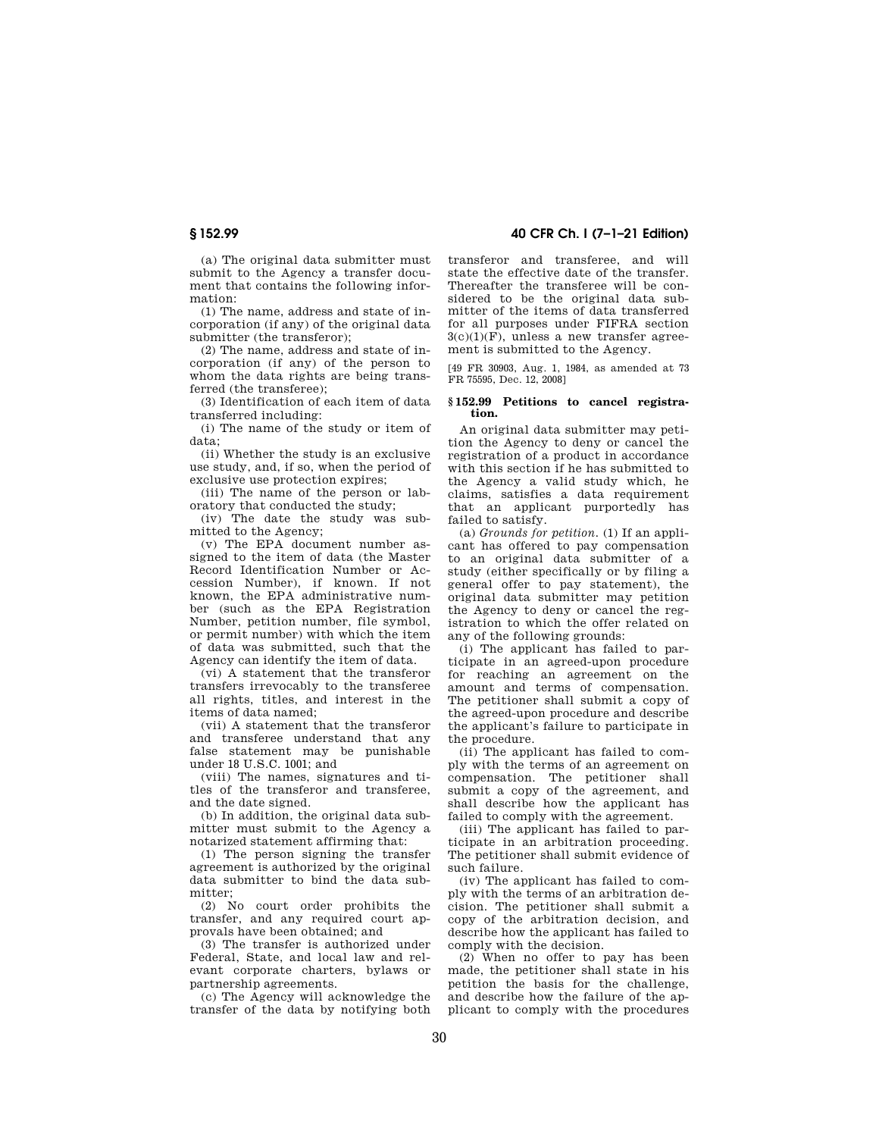(a) The original data submitter must submit to the Agency a transfer document that contains the following information:

(1) The name, address and state of incorporation (if any) of the original data submitter (the transferor);

(2) The name, address and state of incorporation (if any) of the person to whom the data rights are being transferred (the transferee);

(3) Identification of each item of data transferred including:

(i) The name of the study or item of data;

(ii) Whether the study is an exclusive use study, and, if so, when the period of exclusive use protection expires;

(iii) The name of the person or laboratory that conducted the study;

(iv) The date the study was submitted to the Agency;

(v) The EPA document number assigned to the item of data (the Master Record Identification Number or Accession Number), if known. If not known, the EPA administrative number (such as the EPA Registration Number, petition number, file symbol, or permit number) with which the item of data was submitted, such that the Agency can identify the item of data.

(vi) A statement that the transferor transfers irrevocably to the transferee all rights, titles, and interest in the items of data named;

(vii) A statement that the transferor and transferee understand that any false statement may be punishable under 18 U.S.C. 1001; and

(viii) The names, signatures and titles of the transferor and transferee, and the date signed.

(b) In addition, the original data submitter must submit to the Agency a notarized statement affirming that:

(1) The person signing the transfer agreement is authorized by the original data submitter to bind the data submitter;

(2) No court order prohibits the transfer, and any required court approvals have been obtained; and

(3) The transfer is authorized under Federal, State, and local law and relevant corporate charters, bylaws or partnership agreements.

(c) The Agency will acknowledge the transfer of the data by notifying both

# **§ 152.99 40 CFR Ch. I (7–1–21 Edition)**

transferor and transferee, and will state the effective date of the transfer. Thereafter the transferee will be considered to be the original data submitter of the items of data transferred for all purposes under FIFRA section  $3(c)(1)(F)$ , unless a new transfer agreement is submitted to the Agency.

[49 FR 30903, Aug. 1, 1984, as amended at 73 FR 75595, Dec. 12, 2008]

#### **§ 152.99 Petitions to cancel registration.**

An original data submitter may petition the Agency to deny or cancel the registration of a product in accordance with this section if he has submitted to the Agency a valid study which, he claims, satisfies a data requirement that an applicant purportedly has failed to satisfy.

(a) *Grounds for petition.* (1) If an applicant has offered to pay compensation to an original data submitter of a study (either specifically or by filing a general offer to pay statement), the original data submitter may petition the Agency to deny or cancel the registration to which the offer related on any of the following grounds:

(i) The applicant has failed to participate in an agreed-upon procedure for reaching an agreement on the amount and terms of compensation. The petitioner shall submit a copy of the agreed-upon procedure and describe the applicant's failure to participate in the procedure.

(ii) The applicant has failed to comply with the terms of an agreement on compensation. The petitioner shall submit a copy of the agreement, and shall describe how the applicant has failed to comply with the agreement.

(iii) The applicant has failed to participate in an arbitration proceeding. The petitioner shall submit evidence of such failure.

(iv) The applicant has failed to comply with the terms of an arbitration decision. The petitioner shall submit a copy of the arbitration decision, and describe how the applicant has failed to comply with the decision.

(2) When no offer to pay has been made, the petitioner shall state in his petition the basis for the challenge, and describe how the failure of the applicant to comply with the procedures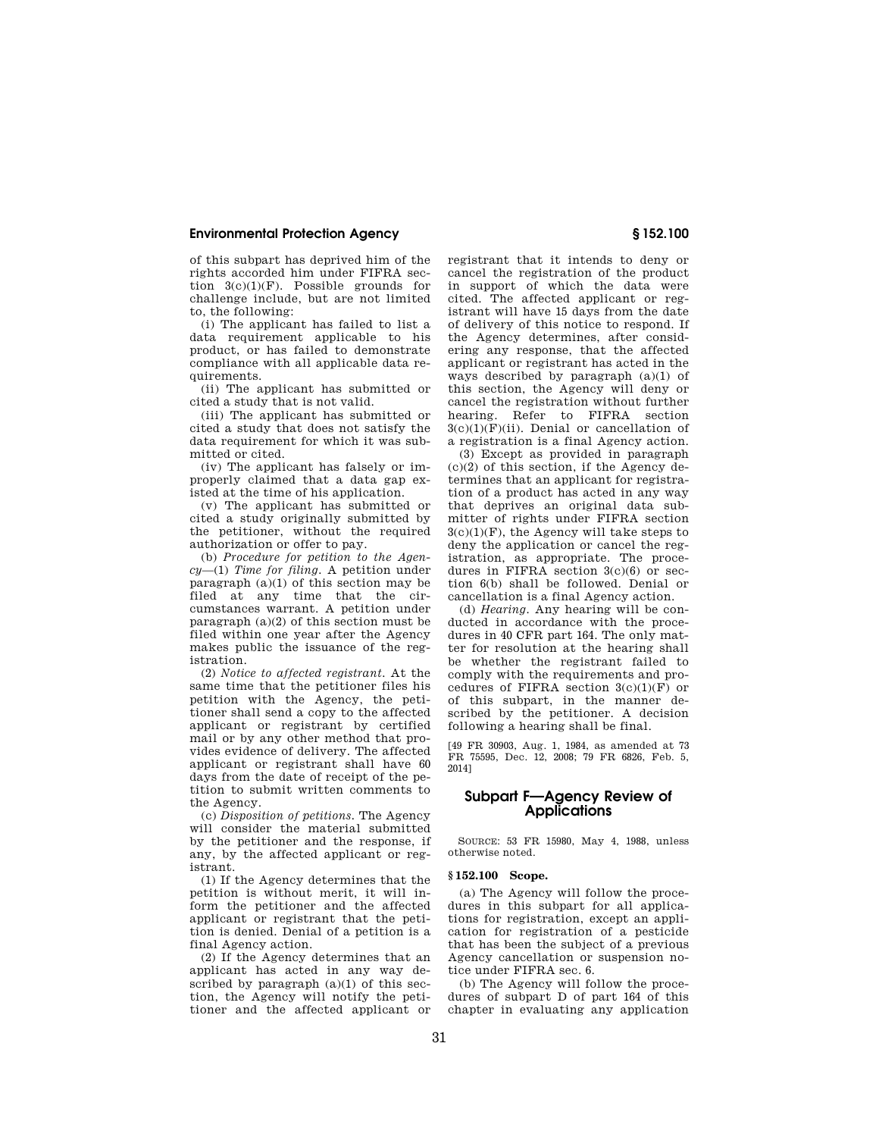of this subpart has deprived him of the rights accorded him under FIFRA section  $3(c)(1)(F)$ . Possible grounds for challenge include, but are not limited to, the following:

(i) The applicant has failed to list a data requirement applicable to his product, or has failed to demonstrate compliance with all applicable data requirements.

(ii) The applicant has submitted or cited a study that is not valid.

(iii) The applicant has submitted or cited a study that does not satisfy the data requirement for which it was submitted or cited.

(iv) The applicant has falsely or improperly claimed that a data gap existed at the time of his application.

(v) The applicant has submitted or cited a study originally submitted by the petitioner, without the required authorization or offer to pay.

(b) *Procedure for petition to the Agency*—(1) *Time for filing.* A petition under paragraph  $(a)(1)$  of this section may be filed at any time that the circumstances warrant. A petition under paragraph (a)(2) of this section must be filed within one year after the Agency makes public the issuance of the registration.

(2) *Notice to affected registrant.* At the same time that the petitioner files his petition with the Agency, the petitioner shall send a copy to the affected applicant or registrant by certified mail or by any other method that provides evidence of delivery. The affected applicant or registrant shall have 60 days from the date of receipt of the petition to submit written comments to the Agency.

(c) *Disposition of petitions.* The Agency will consider the material submitted by the petitioner and the response, if any, by the affected applicant or registrant.

(1) If the Agency determines that the petition is without merit, it will inform the petitioner and the affected applicant or registrant that the petition is denied. Denial of a petition is a final Agency action.

(2) If the Agency determines that an applicant has acted in any way described by paragraph  $(a)(1)$  of this section, the Agency will notify the petitioner and the affected applicant or registrant that it intends to deny or cancel the registration of the product in support of which the data were cited. The affected applicant or registrant will have 15 days from the date of delivery of this notice to respond. If the Agency determines, after considering any response, that the affected applicant or registrant has acted in the ways described by paragraph (a)(1) of this section, the Agency will deny or cancel the registration without further hearing. Refer to FIFRA section  $3(c)(1)(F)(ii)$ . Denial or cancellation of a registration is a final Agency action.

(3) Except as provided in paragraph  $(c)(2)$  of this section, if the Agency determines that an applicant for registration of a product has acted in any way that deprives an original data submitter of rights under FIFRA section  $3(c)(1)(F)$ , the Agency will take steps to deny the application or cancel the registration, as appropriate. The procedures in FIFRA section 3(c)(6) or section 6(b) shall be followed. Denial or cancellation is a final Agency action.

(d) *Hearing.* Any hearing will be conducted in accordance with the procedures in 40 CFR part 164. The only matter for resolution at the hearing shall be whether the registrant failed to comply with the requirements and procedures of FIFRA section 3(c)(1)(F) or of this subpart, in the manner described by the petitioner. A decision following a hearing shall be final.

[49 FR 30903, Aug. 1, 1984, as amended at 73 FR 75595, Dec. 12, 2008; 79 FR 6826, Feb. 5, 2014]

# **Subpart F—Agency Review of Applications**

SOURCE: 53 FR 15980, May 4, 1988, unless otherwise noted.

#### **§ 152.100 Scope.**

(a) The Agency will follow the procedures in this subpart for all applications for registration, except an application for registration of a pesticide that has been the subject of a previous Agency cancellation or suspension notice under FIFRA sec. 6.

(b) The Agency will follow the procedures of subpart D of part 164 of this chapter in evaluating any application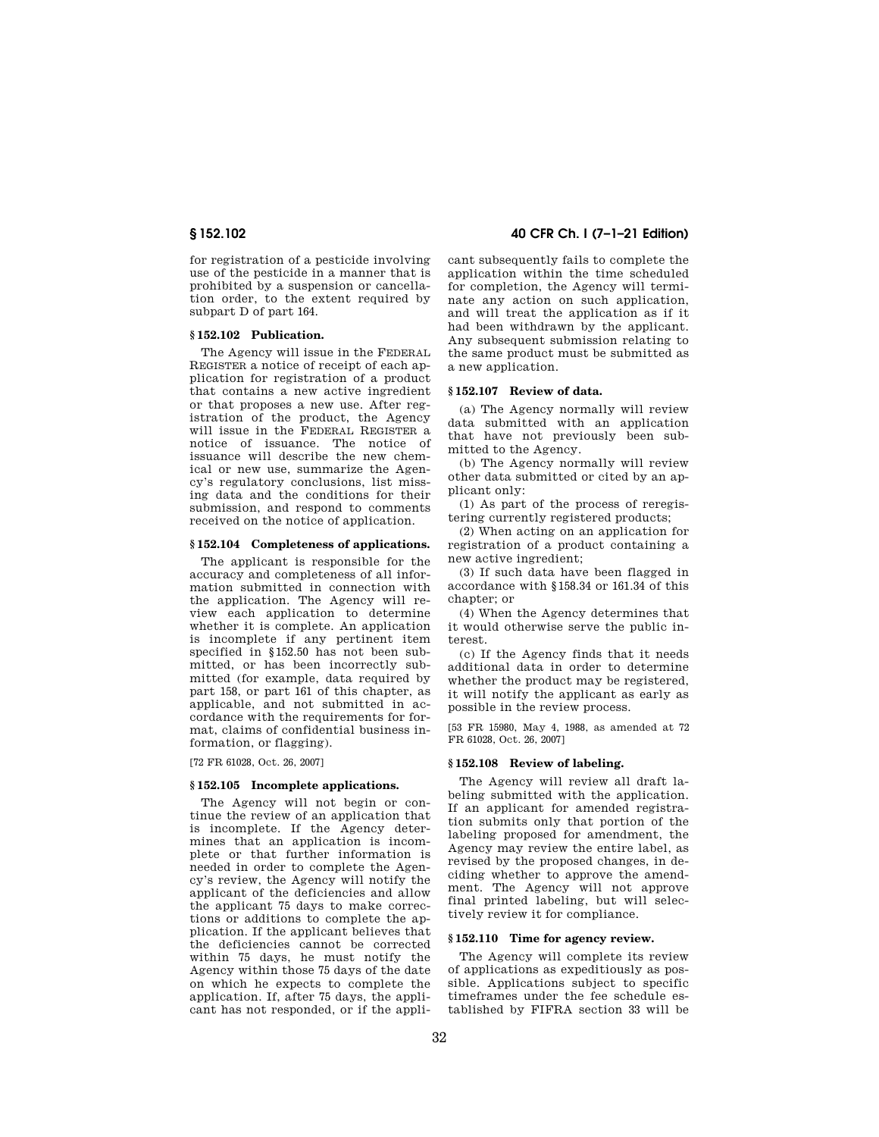for registration of a pesticide involving use of the pesticide in a manner that is prohibited by a suspension or cancellation order, to the extent required by subpart D of part 164.

#### **§ 152.102 Publication.**

The Agency will issue in the FEDERAL REGISTER a notice of receipt of each application for registration of a product that contains a new active ingredient or that proposes a new use. After registration of the product, the Agency will issue in the FEDERAL REGISTER a notice of issuance. The notice of issuance will describe the new chemical or new use, summarize the Agency's regulatory conclusions, list missing data and the conditions for their submission, and respond to comments received on the notice of application.

#### **§ 152.104 Completeness of applications.**

The applicant is responsible for the accuracy and completeness of all information submitted in connection with the application. The Agency will review each application to determine whether it is complete. An application is incomplete if any pertinent item specified in §152.50 has not been submitted, or has been incorrectly submitted (for example, data required by part 158, or part 161 of this chapter, as applicable, and not submitted in accordance with the requirements for format, claims of confidential business information, or flagging).

[72 FR 61028, Oct. 26, 2007]

#### **§ 152.105 Incomplete applications.**

The Agency will not begin or continue the review of an application that is incomplete. If the Agency determines that an application is incomplete or that further information is needed in order to complete the Agency's review, the Agency will notify the applicant of the deficiencies and allow the applicant 75 days to make corrections or additions to complete the application. If the applicant believes that the deficiencies cannot be corrected within 75 days, he must notify the Agency within those 75 days of the date on which he expects to complete the application. If, after 75 days, the applicant has not responded, or if the appli-

# **§ 152.102 40 CFR Ch. I (7–1–21 Edition)**

cant subsequently fails to complete the application within the time scheduled for completion, the Agency will terminate any action on such application, and will treat the application as if it had been withdrawn by the applicant. Any subsequent submission relating to the same product must be submitted as a new application.

#### **§ 152.107 Review of data.**

(a) The Agency normally will review data submitted with an application that have not previously been submitted to the Agency.

(b) The Agency normally will review other data submitted or cited by an applicant only:

(1) As part of the process of reregistering currently registered products;

(2) When acting on an application for registration of a product containing a new active ingredient;

(3) If such data have been flagged in accordance with §158.34 or 161.34 of this chapter; or

(4) When the Agency determines that it would otherwise serve the public interest.

(c) If the Agency finds that it needs additional data in order to determine whether the product may be registered, it will notify the applicant as early as possible in the review process.

[53 FR 15980, May 4, 1988, as amended at 72 FR 61028, Oct. 26, 2007]

#### **§ 152.108 Review of labeling.**

The Agency will review all draft labeling submitted with the application. If an applicant for amended registration submits only that portion of the labeling proposed for amendment, the Agency may review the entire label, as revised by the proposed changes, in deciding whether to approve the amendment. The Agency will not approve final printed labeling, but will selectively review it for compliance.

# **§ 152.110 Time for agency review.**

The Agency will complete its review of applications as expeditiously as possible. Applications subject to specific timeframes under the fee schedule established by FIFRA section 33 will be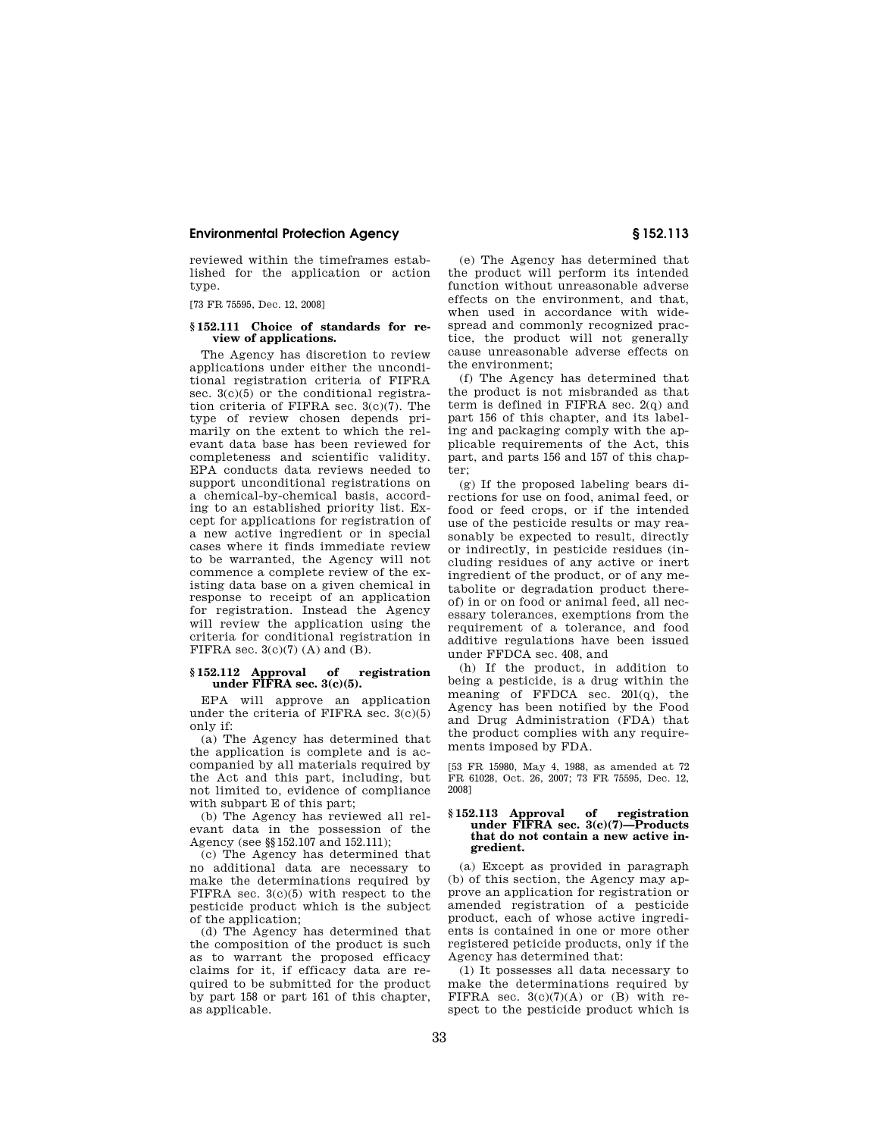reviewed within the timeframes established for the application or action type.

[73 FR 75595, Dec. 12, 2008]

#### **§ 152.111 Choice of standards for review of applications.**

The Agency has discretion to review applications under either the unconditional registration criteria of FIFRA sec. 3(c)(5) or the conditional registration criteria of FIFRA sec. 3(c)(7). The type of review chosen depends primarily on the extent to which the relevant data base has been reviewed for completeness and scientific validity. EPA conducts data reviews needed to support unconditional registrations on a chemical-by-chemical basis, according to an established priority list. Except for applications for registration of a new active ingredient or in special cases where it finds immediate review to be warranted, the Agency will not commence a complete review of the existing data base on a given chemical in response to receipt of an application for registration. Instead the Agency will review the application using the criteria for conditional registration in FIFRA sec. 3(c)(7) (A) and (B).

#### **§ 152.112 Approval of registration under FIFRA sec. 3(c)(5).**

EPA will approve an application under the criteria of FIFRA sec.  $3(c)(5)$ only if:

(a) The Agency has determined that the application is complete and is accompanied by all materials required by the Act and this part, including, but not limited to, evidence of compliance with subpart E of this part;

(b) The Agency has reviewed all relevant data in the possession of the Agency (see §§152.107 and 152.111);

(c) The Agency has determined that no additional data are necessary to make the determinations required by FIFRA sec. 3(c)(5) with respect to the pesticide product which is the subject of the application;

(d) The Agency has determined that the composition of the product is such as to warrant the proposed efficacy claims for it, if efficacy data are required to be submitted for the product by part 158 or part 161 of this chapter, as applicable.

(e) The Agency has determined that the product will perform its intended function without unreasonable adverse effects on the environment, and that, when used in accordance with widespread and commonly recognized practice, the product will not generally cause unreasonable adverse effects on the environment;

(f) The Agency has determined that the product is not misbranded as that term is defined in FIFRA sec. 2(q) and part 156 of this chapter, and its labeling and packaging comply with the applicable requirements of the Act, this part, and parts 156 and 157 of this chapter;

(g) If the proposed labeling bears directions for use on food, animal feed, or food or feed crops, or if the intended use of the pesticide results or may reasonably be expected to result, directly or indirectly, in pesticide residues (including residues of any active or inert ingredient of the product, or of any metabolite or degradation product thereof) in or on food or animal feed, all necessary tolerances, exemptions from the requirement of a tolerance, and food additive regulations have been issued under FFDCA sec. 408, and

(h) If the product, in addition to being a pesticide, is a drug within the meaning of FFDCA sec. 201(q), the Agency has been notified by the Food and Drug Administration (FDA) that the product complies with any requirements imposed by FDA.

[53 FR 15980, May 4, 1988, as amended at 72 FR 61028, Oct. 26, 2007; 73 FR 75595, Dec. 12, 2008]

#### **§ 152.113 Approval of registration under FIFRA sec. 3(c)(7)—Products that do not contain a new active ingredient.**

(a) Except as provided in paragraph (b) of this section, the Agency may approve an application for registration or amended registration of a pesticide product, each of whose active ingredients is contained in one or more other registered peticide products, only if the Agency has determined that:

(1) It possesses all data necessary to make the determinations required by FIFRA sec.  $3(c)(7)(A)$  or  $(B)$  with respect to the pesticide product which is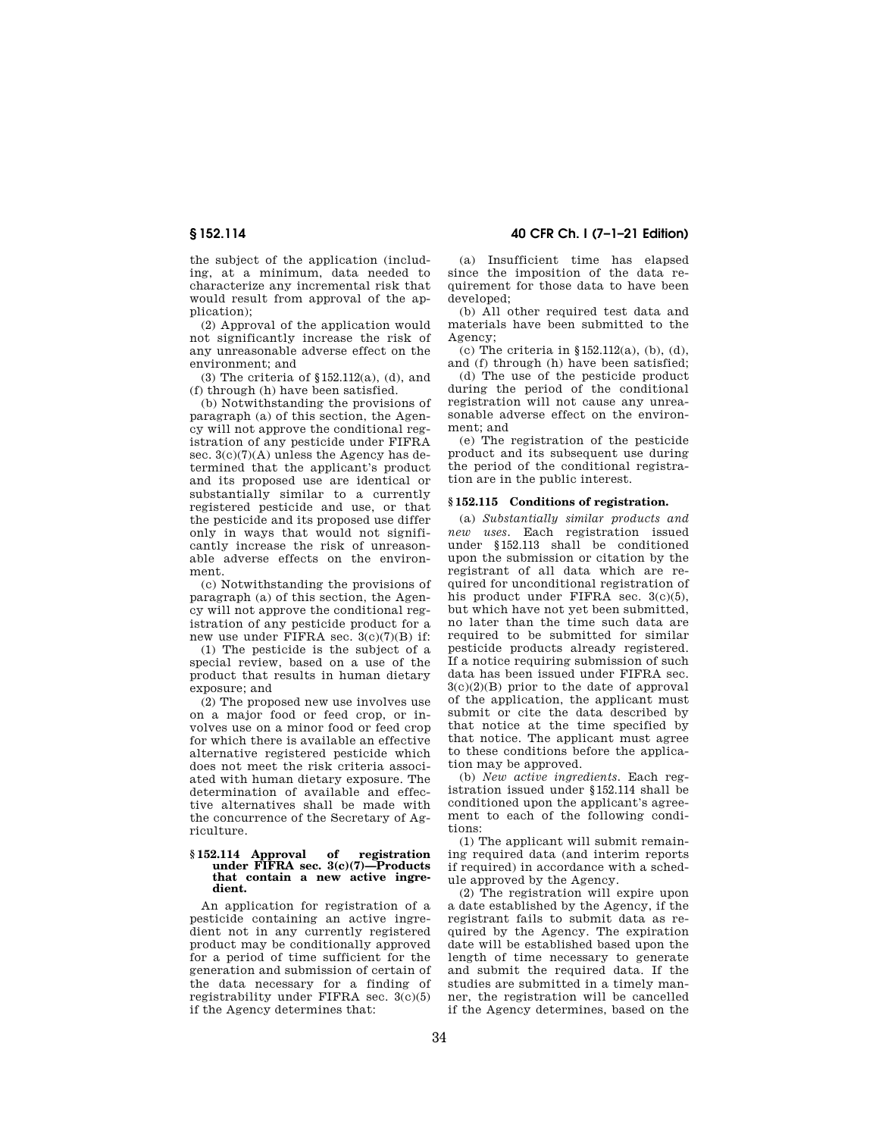the subject of the application (including, at a minimum, data needed to characterize any incremental risk that would result from approval of the application);

(2) Approval of the application would not significantly increase the risk of any unreasonable adverse effect on the environment; and

(3) The criteria of §152.112(a), (d), and (f) through (h) have been satisfied.

(b) Notwithstanding the provisions of paragraph (a) of this section, the Agency will not approve the conditional registration of any pesticide under FIFRA sec. 3(c)(7)(A) unless the Agency has determined that the applicant's product and its proposed use are identical or substantially similar to a currently registered pesticide and use, or that the pesticide and its proposed use differ only in ways that would not significantly increase the risk of unreasonable adverse effects on the environment.

(c) Notwithstanding the provisions of paragraph (a) of this section, the Agency will not approve the conditional registration of any pesticide product for a new use under FIFRA sec. 3(c)(7)(B) if:

(1) The pesticide is the subject of a special review, based on a use of the product that results in human dietary exposure; and

(2) The proposed new use involves use on a major food or feed crop, or involves use on a minor food or feed crop for which there is available an effective alternative registered pesticide which does not meet the risk criteria associated with human dietary exposure. The determination of available and effective alternatives shall be made with the concurrence of the Secretary of Agriculture.

#### **§ 152.114 Approval of registration under FIFRA sec. 3(c)(7)—Products that contain a new active ingredient.**

An application for registration of a pesticide containing an active ingredient not in any currently registered product may be conditionally approved for a period of time sufficient for the generation and submission of certain of the data necessary for a finding of registrability under FIFRA sec. 3(c)(5) if the Agency determines that:

**§ 152.114 40 CFR Ch. I (7–1–21 Edition)** 

(a) Insufficient time has elapsed since the imposition of the data requirement for those data to have been developed;

(b) All other required test data and materials have been submitted to the Agency;

(c) The criteria in §152.112(a), (b), (d), and (f) through (h) have been satisfied;

(d) The use of the pesticide product during the period of the conditional registration will not cause any unreasonable adverse effect on the environment; and

(e) The registration of the pesticide product and its subsequent use during the period of the conditional registration are in the public interest.

# **§ 152.115 Conditions of registration.**

(a) *Substantially similar products and new uses.* Each registration issued under §152.113 shall be conditioned upon the submission or citation by the registrant of all data which are required for unconditional registration of his product under FIFRA sec. 3(c)(5), but which have not yet been submitted, no later than the time such data are required to be submitted for similar pesticide products already registered. If a notice requiring submission of such data has been issued under FIFRA sec. 3(c)(2)(B) prior to the date of approval of the application, the applicant must submit or cite the data described by that notice at the time specified by that notice. The applicant must agree to these conditions before the application may be approved.

(b) *New active ingredients.* Each registration issued under §152.114 shall be conditioned upon the applicant's agreement to each of the following conditions:

(1) The applicant will submit remaining required data (and interim reports if required) in accordance with a schedule approved by the Agency.

(2) The registration will expire upon a date established by the Agency, if the registrant fails to submit data as required by the Agency. The expiration date will be established based upon the length of time necessary to generate and submit the required data. If the studies are submitted in a timely manner, the registration will be cancelled if the Agency determines, based on the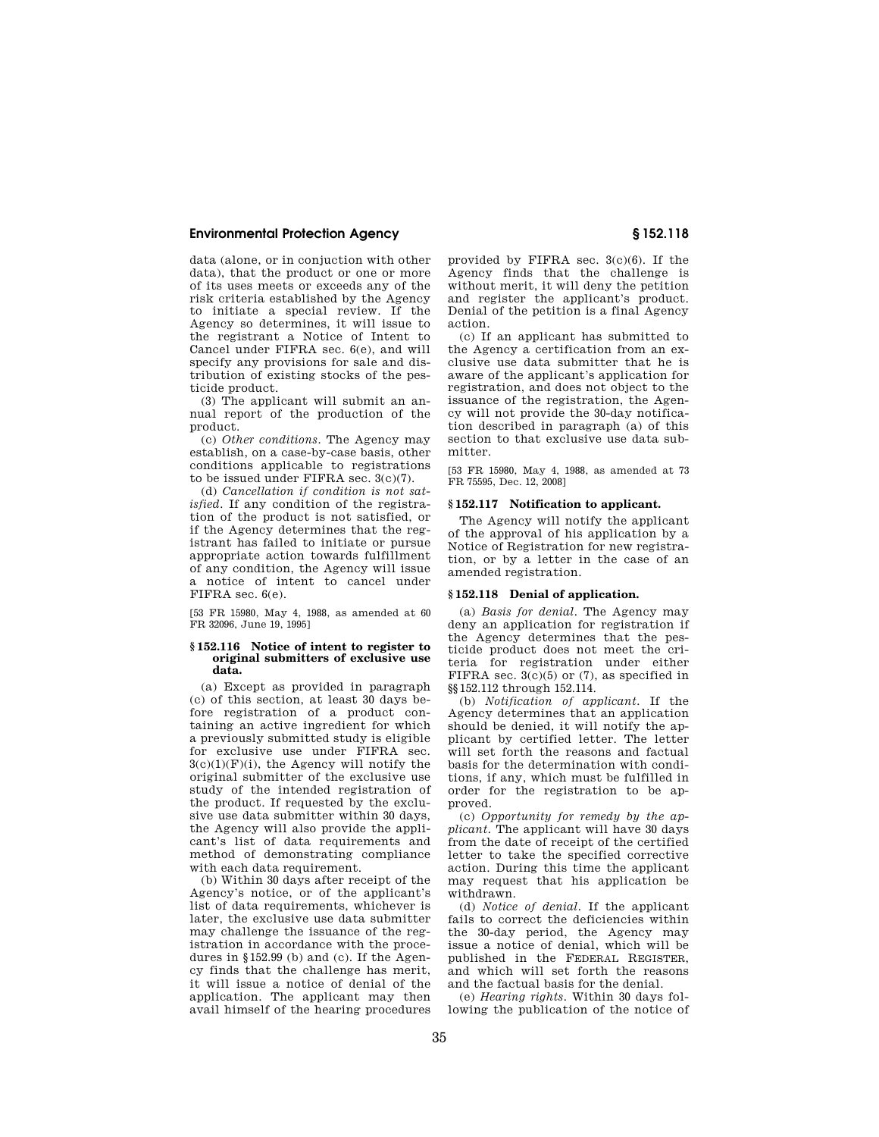data (alone, or in conjuction with other data), that the product or one or more of its uses meets or exceeds any of the risk criteria established by the Agency to initiate a special review. If the Agency so determines, it will issue to the registrant a Notice of Intent to Cancel under FIFRA sec. 6(e), and will specify any provisions for sale and distribution of existing stocks of the pesticide product.

(3) The applicant will submit an annual report of the production of the product.

(c) *Other conditions.* The Agency may establish, on a case-by-case basis, other conditions applicable to registrations to be issued under FIFRA sec. 3(c)(7).

(d) *Cancellation if condition is not satisfied.* If any condition of the registration of the product is not satisfied, or if the Agency determines that the registrant has failed to initiate or pursue appropriate action towards fulfillment of any condition, the Agency will issue a notice of intent to cancel under FIFRA sec. 6(e).

[53 FR 15980, May 4, 1988, as amended at 60 FR 32096, June 19, 1995]

#### **§ 152.116 Notice of intent to register to original submitters of exclusive use data.**

(a) Except as provided in paragraph (c) of this section, at least 30 days before registration of a product containing an active ingredient for which a previously submitted study is eligible for exclusive use under FIFRA sec.  $3(c)(1)(F)(i)$ , the Agency will notify the original submitter of the exclusive use study of the intended registration of the product. If requested by the exclusive use data submitter within 30 days, the Agency will also provide the applicant's list of data requirements and method of demonstrating compliance with each data requirement.

(b) Within 30 days after receipt of the Agency's notice, or of the applicant's list of data requirements, whichever is later, the exclusive use data submitter may challenge the issuance of the registration in accordance with the procedures in §152.99 (b) and (c). If the Agency finds that the challenge has merit, it will issue a notice of denial of the application. The applicant may then avail himself of the hearing procedures

provided by FIFRA sec. 3(c)(6). If the Agency finds that the challenge is without merit, it will deny the petition and register the applicant's product. Denial of the petition is a final Agency action.

(c) If an applicant has submitted to the Agency a certification from an exclusive use data submitter that he is aware of the applicant's application for registration, and does not object to the issuance of the registration, the Agency will not provide the 30-day notification described in paragraph (a) of this section to that exclusive use data submitter.

[53 FR 15980, May 4, 1988, as amended at 73 FR 75595, Dec. 12, 2008]

#### **§ 152.117 Notification to applicant.**

The Agency will notify the applicant of the approval of his application by a Notice of Registration for new registration, or by a letter in the case of an amended registration.

#### **§ 152.118 Denial of application.**

(a) *Basis for denial.* The Agency may deny an application for registration if the Agency determines that the pesticide product does not meet the criteria for registration under either FIFRA sec.  $3(c)(5)$  or  $(7)$ , as specified in §§152.112 through 152.114.

(b) *Notification of applicant.* If the Agency determines that an application should be denied, it will notify the applicant by certified letter. The letter will set forth the reasons and factual basis for the determination with conditions, if any, which must be fulfilled in order for the registration to be approved.

(c) *Opportunity for remedy by the applicant.* The applicant will have 30 days from the date of receipt of the certified letter to take the specified corrective action. During this time the applicant may request that his application be withdrawn.

(d) *Notice of denial.* If the applicant fails to correct the deficiencies within the 30-day period, the Agency may issue a notice of denial, which will be published in the FEDERAL REGISTER, and which will set forth the reasons and the factual basis for the denial.

(e) *Hearing rights.* Within 30 days following the publication of the notice of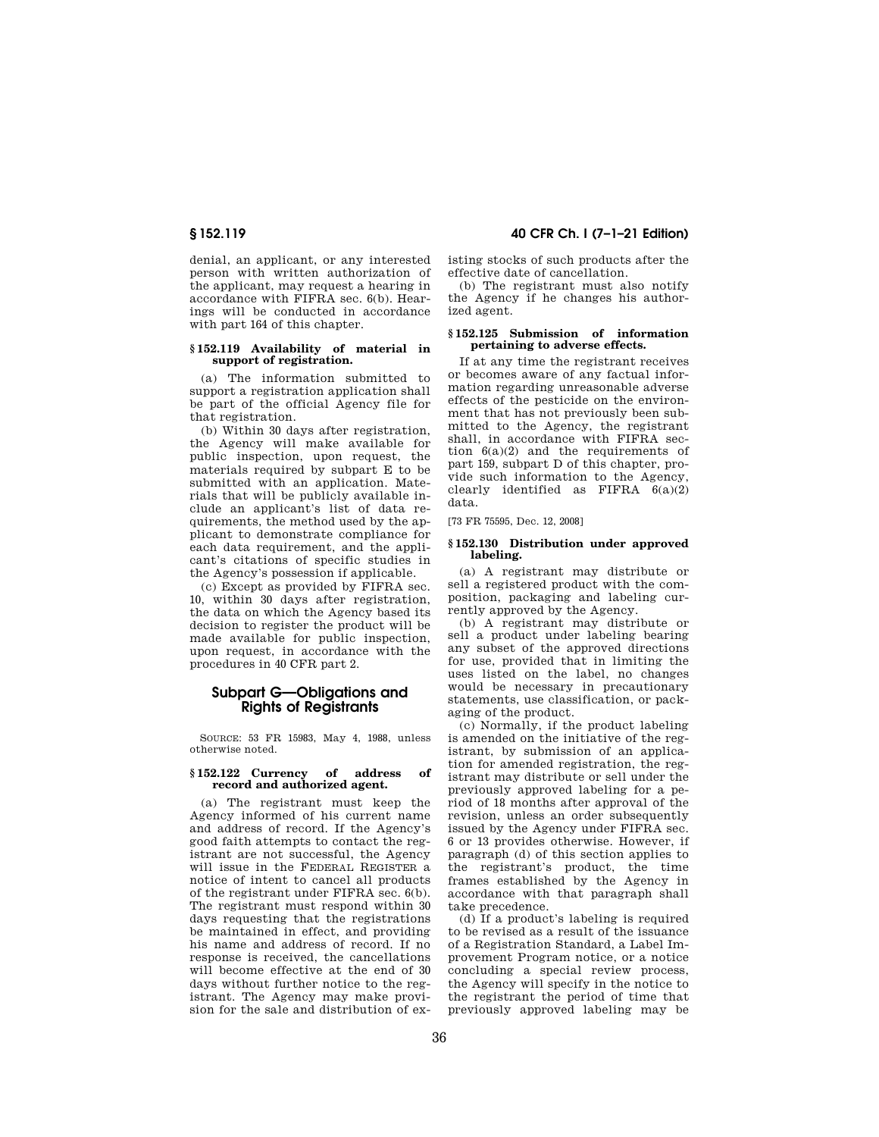denial, an applicant, or any interested person with written authorization of the applicant, may request a hearing in accordance with FIFRA sec. 6(b). Hearings will be conducted in accordance with part 164 of this chapter.

#### **§ 152.119 Availability of material in support of registration.**

(a) The information submitted to support a registration application shall be part of the official Agency file for that registration.

(b) Within 30 days after registration, the Agency will make available for public inspection, upon request, the materials required by subpart E to be submitted with an application. Materials that will be publicly available include an applicant's list of data requirements, the method used by the applicant to demonstrate compliance for each data requirement, and the applicant's citations of specific studies in the Agency's possession if applicable.

(c) Except as provided by FIFRA sec. 10, within 30 days after registration, the data on which the Agency based its decision to register the product will be made available for public inspection, upon request, in accordance with the procedures in 40 CFR part 2.

# **Subpart G—Obligations and Rights of Registrants**

SOURCE: 53 FR 15983, May 4, 1988, unless otherwise noted.

#### **§ 152.122 Currency of address of record and authorized agent.**

(a) The registrant must keep the Agency informed of his current name and address of record. If the Agency's good faith attempts to contact the registrant are not successful, the Agency will issue in the FEDERAL REGISTER a notice of intent to cancel all products of the registrant under FIFRA sec. 6(b). The registrant must respond within 30 days requesting that the registrations be maintained in effect, and providing his name and address of record. If no response is received, the cancellations will become effective at the end of 30 days without further notice to the registrant. The Agency may make provision for the sale and distribution of ex-

# **§ 152.119 40 CFR Ch. I (7–1–21 Edition)**

isting stocks of such products after the effective date of cancellation.

(b) The registrant must also notify the Agency if he changes his authorized agent.

#### **§ 152.125 Submission of information pertaining to adverse effects.**

If at any time the registrant receives or becomes aware of any factual information regarding unreasonable adverse effects of the pesticide on the environment that has not previously been submitted to the Agency, the registrant shall, in accordance with FIFRA section  $6(a)(2)$  and the requirements of part 159, subpart D of this chapter, provide such information to the Agency, clearly identified as FIFRA  $6(a)(2)$ data.

[73 FR 75595, Dec. 12, 2008]

#### **§ 152.130 Distribution under approved labeling.**

(a) A registrant may distribute or sell a registered product with the composition, packaging and labeling currently approved by the Agency.

(b) A registrant may distribute or sell a product under labeling bearing any subset of the approved directions for use, provided that in limiting the uses listed on the label, no changes would be necessary in precautionary statements, use classification, or packaging of the product.

(c) Normally, if the product labeling is amended on the initiative of the registrant, by submission of an application for amended registration, the registrant may distribute or sell under the previously approved labeling for a period of 18 months after approval of the revision, unless an order subsequently issued by the Agency under FIFRA sec. 6 or 13 provides otherwise. However, if paragraph (d) of this section applies to the registrant's product, the time frames established by the Agency in accordance with that paragraph shall take precedence.

(d) If a product's labeling is required to be revised as a result of the issuance of a Registration Standard, a Label Improvement Program notice, or a notice concluding a special review process, the Agency will specify in the notice to the registrant the period of time that previously approved labeling may be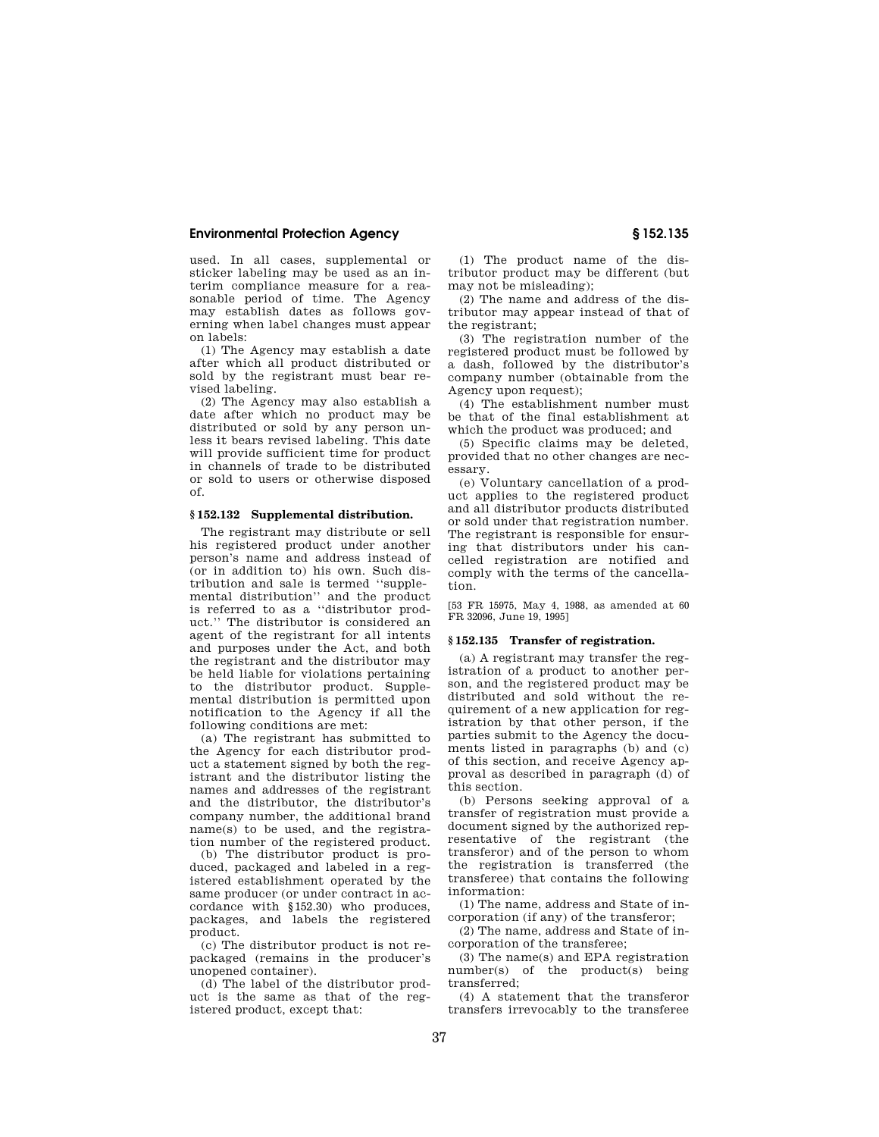used. In all cases, supplemental or sticker labeling may be used as an interim compliance measure for a reasonable period of time. The Agency may establish dates as follows governing when label changes must appear on labels:

(1) The Agency may establish a date after which all product distributed or sold by the registrant must bear revised labeling.

(2) The Agency may also establish a date after which no product may be distributed or sold by any person unless it bears revised labeling. This date will provide sufficient time for product in channels of trade to be distributed or sold to users or otherwise disposed of.

### **§ 152.132 Supplemental distribution.**

The registrant may distribute or sell his registered product under another person's name and address instead of (or in addition to) his own. Such distribution and sale is termed ''supplemental distribution'' and the product is referred to as a ''distributor product.'' The distributor is considered an agent of the registrant for all intents and purposes under the Act, and both the registrant and the distributor may be held liable for violations pertaining to the distributor product. Supplemental distribution is permitted upon notification to the Agency if all the following conditions are met:

(a) The registrant has submitted to the Agency for each distributor product a statement signed by both the registrant and the distributor listing the names and addresses of the registrant and the distributor, the distributor's company number, the additional brand name(s) to be used, and the registration number of the registered product.

(b) The distributor product is produced, packaged and labeled in a registered establishment operated by the same producer (or under contract in accordance with §152.30) who produces, packages, and labels the registered product.

(c) The distributor product is not repackaged (remains in the producer's unopened container).

(d) The label of the distributor product is the same as that of the registered product, except that:

(1) The product name of the distributor product may be different (but may not be misleading);

(2) The name and address of the distributor may appear instead of that of the registrant;

(3) The registration number of the registered product must be followed by a dash, followed by the distributor's company number (obtainable from the Agency upon request);

(4) The establishment number must be that of the final establishment at which the product was produced; and

(5) Specific claims may be deleted, provided that no other changes are necessary.

(e) Voluntary cancellation of a product applies to the registered product and all distributor products distributed or sold under that registration number. The registrant is responsible for ensuring that distributors under his cancelled registration are notified and comply with the terms of the cancellation.

[53 FR 15975, May 4, 1988, as amended at 60 FR 32096, June 19, 1995]

#### **§ 152.135 Transfer of registration.**

(a) A registrant may transfer the registration of a product to another person, and the registered product may be distributed and sold without the requirement of a new application for registration by that other person, if the parties submit to the Agency the documents listed in paragraphs (b) and (c) of this section, and receive Agency approval as described in paragraph (d) of this section.

(b) Persons seeking approval of a transfer of registration must provide a document signed by the authorized representative of the registrant (the transferor) and of the person to whom the registration is transferred (the transferee) that contains the following information:

(1) The name, address and State of incorporation (if any) of the transferor;

(2) The name, address and State of incorporation of the transferee;

(3) The name(s) and EPA registration number(s) of the product(s) being transferred;

(4) A statement that the transferor transfers irrevocably to the transferee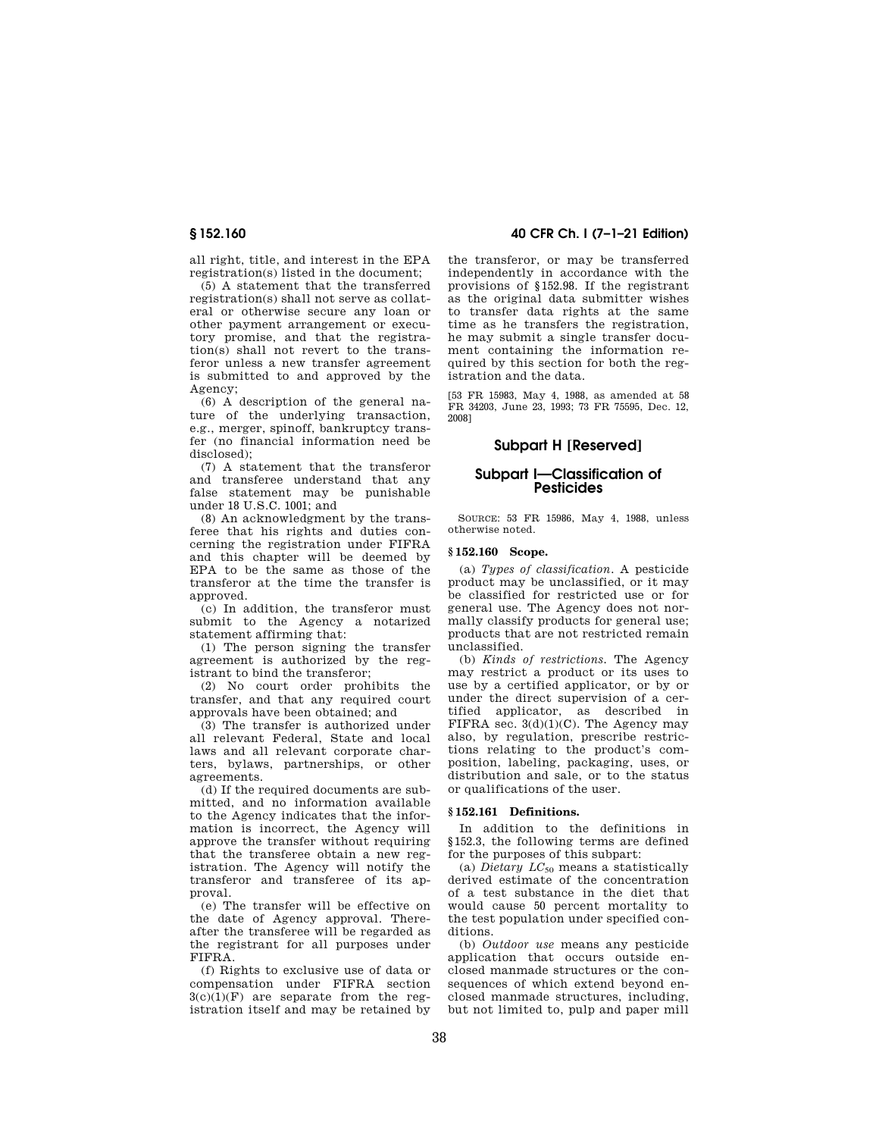all right, title, and interest in the EPA registration(s) listed in the document;

(5) A statement that the transferred registration(s) shall not serve as collateral or otherwise secure any loan or other payment arrangement or executory promise, and that the registration(s) shall not revert to the transferor unless a new transfer agreement is submitted to and approved by the Agency;

 $(6)$  A description of the general nature of the underlying transaction, e.g., merger, spinoff, bankruptcy transfer (no financial information need be disclosed);

(7) A statement that the transferor and transferee understand that any false statement may be punishable under 18 U.S.C. 1001; and

(8) An acknowledgment by the transferee that his rights and duties concerning the registration under FIFRA and this chapter will be deemed by EPA to be the same as those of the transferor at the time the transfer is approved.

(c) In addition, the transferor must submit to the Agency a notarized statement affirming that:

(1) The person signing the transfer agreement is authorized by the registrant to bind the transferor;

(2) No court order prohibits the transfer, and that any required court approvals have been obtained; and

(3) The transfer is authorized under all relevant Federal, State and local laws and all relevant corporate charters, bylaws, partnerships, or other agreements.

(d) If the required documents are submitted, and no information available to the Agency indicates that the information is incorrect, the Agency will approve the transfer without requiring that the transferee obtain a new registration. The Agency will notify the transferor and transferee of its approval.

(e) The transfer will be effective on the date of Agency approval. Thereafter the transferee will be regarded as the registrant for all purposes under FIFRA.

(f) Rights to exclusive use of data or compensation under FIFRA section  $3(c)(1)(F)$  are separate from the registration itself and may be retained by

**§ 152.160 40 CFR Ch. I (7–1–21 Edition)** 

the transferor, or may be transferred independently in accordance with the provisions of §152.98. If the registrant as the original data submitter wishes to transfer data rights at the same time as he transfers the registration, he may submit a single transfer document containing the information required by this section for both the registration and the data.

[53 FR 15983, May 4, 1988, as amended at 58 FR 34203, June 23, 1993; 73 FR 75595, Dec. 12, 2008]

# **Subpart H [Reserved]**

# **Subpart I—Classification of Pesticides**

SOURCE: 53 FR 15986, May 4, 1988, unless otherwise noted.

#### **§ 152.160 Scope.**

(a) *Types of classification.* A pesticide product may be unclassified, or it may be classified for restricted use or for general use. The Agency does not normally classify products for general use; products that are not restricted remain unclassified.

(b) *Kinds of restrictions.* The Agency may restrict a product or its uses to use by a certified applicator, or by or under the direct supervision of a certified applicator, as described in FIFRA sec.  $3(d)(1)(C)$ . The Agency may also, by regulation, prescribe restrictions relating to the product's composition, labeling, packaging, uses, or distribution and sale, or to the status or qualifications of the user.

#### **§ 152.161 Definitions.**

In addition to the definitions in §152.3, the following terms are defined for the purposes of this subpart:

(a) *Dietary LC*<sup>50</sup> means a statistically derived estimate of the concentration of a test substance in the diet that would cause 50 percent mortality to the test population under specified conditions.

(b) *Outdoor use* means any pesticide application that occurs outside enclosed manmade structures or the consequences of which extend beyond enclosed manmade structures, including, but not limited to, pulp and paper mill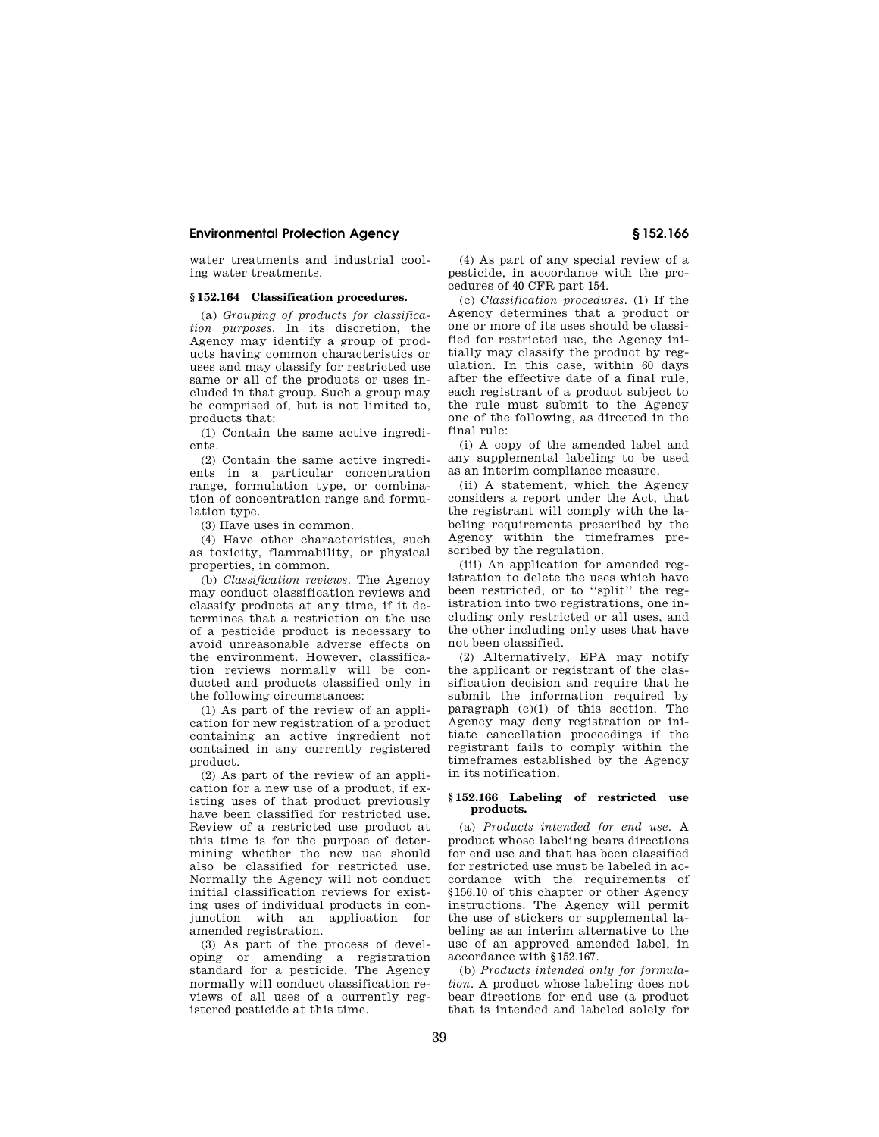water treatments and industrial cooling water treatments.

## **§ 152.164 Classification procedures.**

(a) *Grouping of products for classification purposes.* In its discretion, the Agency may identify a group of products having common characteristics or uses and may classify for restricted use same or all of the products or uses included in that group. Such a group may be comprised of, but is not limited to, products that:

(1) Contain the same active ingredients.

(2) Contain the same active ingredients in a particular concentration range, formulation type, or combination of concentration range and formulation type.

(3) Have uses in common.

(4) Have other characteristics, such as toxicity, flammability, or physical properties, in common.

(b) *Classification reviews.* The Agency may conduct classification reviews and classify products at any time, if it determines that a restriction on the use of a pesticide product is necessary to avoid unreasonable adverse effects on the environment. However, classification reviews normally will be conducted and products classified only in the following circumstances:

(1) As part of the review of an application for new registration of a product containing an active ingredient not contained in any currently registered product.

(2) As part of the review of an application for a new use of a product, if existing uses of that product previously have been classified for restricted use. Review of a restricted use product at this time is for the purpose of determining whether the new use should also be classified for restricted use. Normally the Agency will not conduct initial classification reviews for existing uses of individual products in conjunction with an application for amended registration.

(3) As part of the process of developing or amending a registration standard for a pesticide. The Agency normally will conduct classification reviews of all uses of a currently registered pesticide at this time.

(4) As part of any special review of a pesticide, in accordance with the procedures of 40 CFR part 154.

(c) *Classification procedures.* (1) If the Agency determines that a product or one or more of its uses should be classified for restricted use, the Agency initially may classify the product by regulation. In this case, within 60 days after the effective date of a final rule, each registrant of a product subject to the rule must submit to the Agency one of the following, as directed in the final rule:

(i) A copy of the amended label and any supplemental labeling to be used as an interim compliance measure.

(ii) A statement, which the Agency considers a report under the Act, that the registrant will comply with the labeling requirements prescribed by the Agency within the timeframes prescribed by the regulation.

(iii) An application for amended registration to delete the uses which have been restricted, or to ''split'' the registration into two registrations, one including only restricted or all uses, and the other including only uses that have not been classified.

(2) Alternatively, EPA may notify the applicant or registrant of the classification decision and require that he submit the information required by paragraph (c)(1) of this section. The Agency may deny registration or initiate cancellation proceedings if the registrant fails to comply within the timeframes established by the Agency in its notification.

#### **§ 152.166 Labeling of restricted use products.**

(a) *Products intended for end use.* A product whose labeling bears directions for end use and that has been classified for restricted use must be labeled in accordance with the requirements of §156.10 of this chapter or other Agency instructions. The Agency will permit the use of stickers or supplemental labeling as an interim alternative to the use of an approved amended label, in accordance with §152.167.

(b) *Products intended only for formulation.* A product whose labeling does not bear directions for end use (a product that is intended and labeled solely for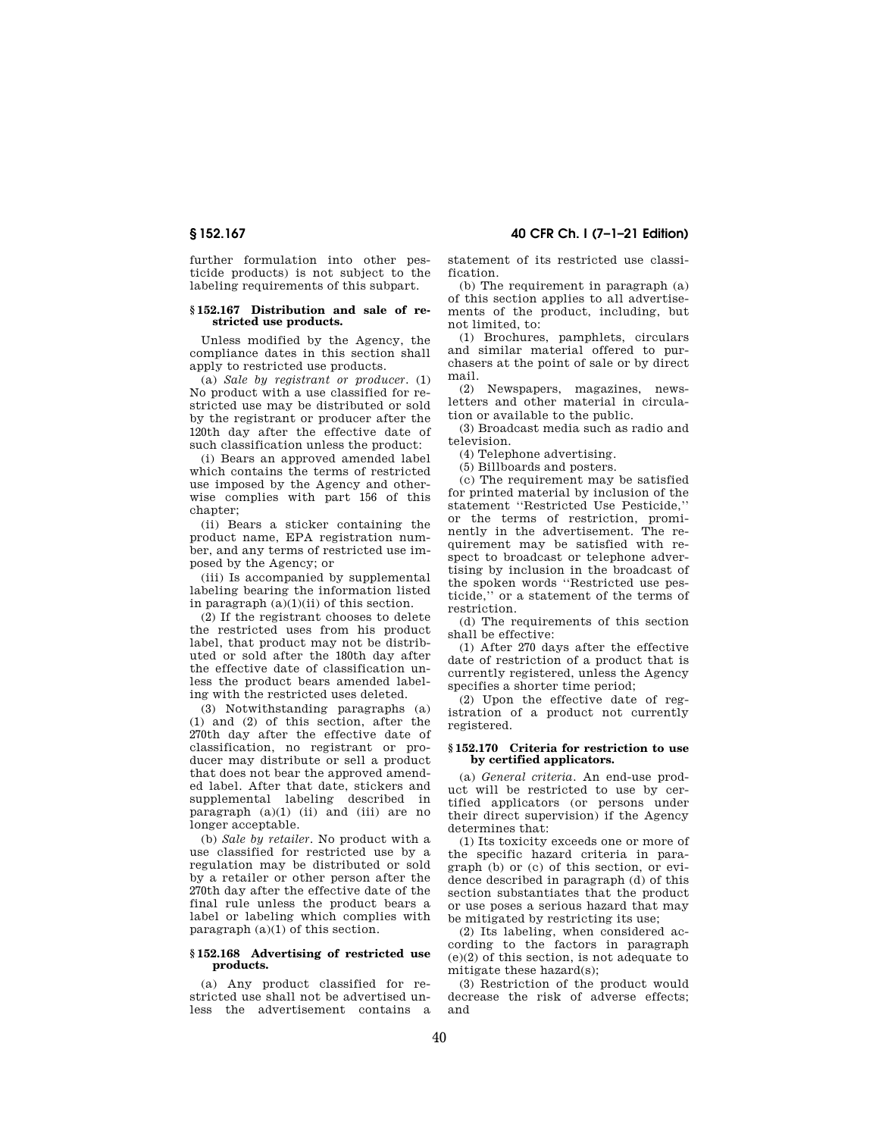further formulation into other pesticide products) is not subject to the labeling requirements of this subpart.

#### **§ 152.167 Distribution and sale of restricted use products.**

Unless modified by the Agency, the compliance dates in this section shall apply to restricted use products.

(a) *Sale by registrant or producer.* (1) No product with a use classified for restricted use may be distributed or sold by the registrant or producer after the 120th day after the effective date of such classification unless the product:

(i) Bears an approved amended label which contains the terms of restricted use imposed by the Agency and otherwise complies with part 156 of this chapter;

(ii) Bears a sticker containing the product name, EPA registration number, and any terms of restricted use imposed by the Agency; or

(iii) Is accompanied by supplemental labeling bearing the information listed in paragraph  $(a)(1)(ii)$  of this section.

(2) If the registrant chooses to delete the restricted uses from his product label, that product may not be distributed or sold after the 180th day after the effective date of classification unless the product bears amended labeling with the restricted uses deleted.

(3) Notwithstanding paragraphs (a) (1) and (2) of this section, after the 270th day after the effective date of classification, no registrant or producer may distribute or sell a product that does not bear the approved amended label. After that date, stickers and supplemental labeling described in paragraph (a)(1) (ii) and (iii) are no longer acceptable.

(b) *Sale by retailer.* No product with a use classified for restricted use by a regulation may be distributed or sold by a retailer or other person after the 270th day after the effective date of the final rule unless the product bears a label or labeling which complies with paragraph (a)(1) of this section.

#### **§ 152.168 Advertising of restricted use products.**

(a) Any product classified for restricted use shall not be advertised unless the advertisement contains a statement of its restricted use classification.

(b) The requirement in paragraph (a) of this section applies to all advertisements of the product, including, but not limited, to:

(1) Brochures, pamphlets, circulars and similar material offered to purchasers at the point of sale or by direct mail.

(2) Newspapers, magazines, newsletters and other material in circulation or available to the public.

(3) Broadcast media such as radio and television.

(4) Telephone advertising.

(5) Billboards and posters.

(c) The requirement may be satisfied for printed material by inclusion of the statement ''Restricted Use Pesticide,'' or the terms of restriction, prominently in the advertisement. The requirement may be satisfied with respect to broadcast or telephone advertising by inclusion in the broadcast of the spoken words ''Restricted use pesticide,'' or a statement of the terms of restriction.

(d) The requirements of this section shall be effective:

(1) After 270 days after the effective date of restriction of a product that is currently registered, unless the Agency specifies a shorter time period;

(2) Upon the effective date of registration of a product not currently registered.

#### **§ 152.170 Criteria for restriction to use by certified applicators.**

(a) *General criteria.* An end-use product will be restricted to use by certified applicators (or persons under their direct supervision) if the Agency determines that:

(1) Its toxicity exceeds one or more of the specific hazard criteria in paragraph (b) or (c) of this section, or evidence described in paragraph (d) of this section substantiates that the product or use poses a serious hazard that may be mitigated by restricting its use;

(2) Its labeling, when considered according to the factors in paragraph (e)(2) of this section, is not adequate to mitigate these hazard(s);

(3) Restriction of the product would decrease the risk of adverse effects; and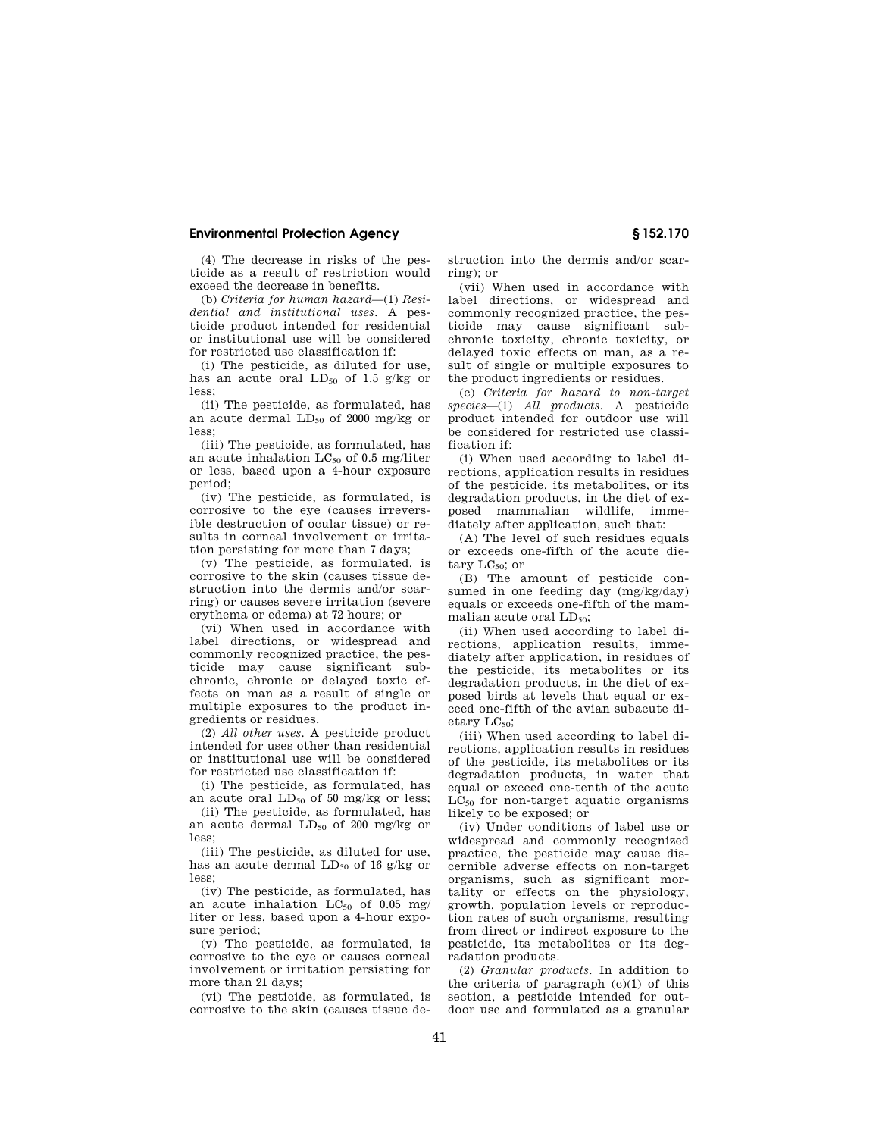(4) The decrease in risks of the pesticide as a result of restriction would exceed the decrease in benefits.

(b) *Criteria for human hazard*—(1) *Residential and institutional uses.* A pesticide product intended for residential or institutional use will be considered for restricted use classification if:

(i) The pesticide, as diluted for use, has an acute oral  $LD_{50}$  of 1.5 g/kg or less;

(ii) The pesticide, as formulated, has an acute dermal  $LD_{50}$  of 2000 mg/kg or less;

(iii) The pesticide, as formulated, has an acute inhalation  $LC_{50}$  of 0.5 mg/liter or less, based upon a 4-hour exposure period;

(iv) The pesticide, as formulated, is corrosive to the eye (causes irreversible destruction of ocular tissue) or results in corneal involvement or irritation persisting for more than 7 days;

(v) The pesticide, as formulated, is corrosive to the skin (causes tissue destruction into the dermis and/or scarring) or causes severe irritation (severe erythema or edema) at 72 hours; or

(vi) When used in accordance with label directions, or widespread and commonly recognized practice, the pesticide may cause significant subchronic, chronic or delayed toxic effects on man as a result of single or multiple exposures to the product ingredients or residues.

(2) *All other uses.* A pesticide product intended for uses other than residential or institutional use will be considered for restricted use classification if:

(i) The pesticide, as formulated, has an acute oral  $LD_{50}$  of 50 mg/kg or less;

(ii) The pesticide, as formulated, has an acute dermal  $LD_{50}$  of 200 mg/kg or less;

(iii) The pesticide, as diluted for use, has an acute dermal  $LD_{50}$  of 16 g/kg or less;

(iv) The pesticide, as formulated, has an acute inhalation  $LC_{50}$  of 0.05 mg/ liter or less, based upon a 4-hour exposure period;

(v) The pesticide, as formulated, is corrosive to the eye or causes corneal involvement or irritation persisting for more than 21 days;

(vi) The pesticide, as formulated, is corrosive to the skin (causes tissue destruction into the dermis and/or scarring); or

(vii) When used in accordance with label directions, or widespread and commonly recognized practice, the pesticide may cause significant subchronic toxicity, chronic toxicity, or delayed toxic effects on man, as a result of single or multiple exposures to the product ingredients or residues.

(c) *Criteria for hazard to non-target species*—(1) *All products.* A pesticide product intended for outdoor use will be considered for restricted use classification if:

(i) When used according to label directions, application results in residues of the pesticide, its metabolites, or its degradation products, in the diet of exposed mammalian wildlife, immediately after application, such that:

(A) The level of such residues equals or exceeds one-fifth of the acute dietary  $LC_{50}$ ; or

(B) The amount of pesticide consumed in one feeding day (mg/kg/day) equals or exceeds one-fifth of the mammalian acute oral  $LD_{50}$ ;

(ii) When used according to label directions, application results, immediately after application, in residues of the pesticide, its metabolites or its degradation products, in the diet of exposed birds at levels that equal or exceed one-fifth of the avian subacute dietary  $LC_{50}$ ;

(iii) When used according to label directions, application results in residues of the pesticide, its metabolites or its degradation products, in water that equal or exceed one-tenth of the acute  $LC_{50}$  for non-target aquatic organisms likely to be exposed; or

(iv) Under conditions of label use or widespread and commonly recognized practice, the pesticide may cause discernible adverse effects on non-target organisms, such as significant mortality or effects on the physiology, growth, population levels or reproduction rates of such organisms, resulting from direct or indirect exposure to the pesticide, its metabolites or its degradation products.

(2) *Granular products.* In addition to the criteria of paragraph (c)(1) of this section, a pesticide intended for outdoor use and formulated as a granular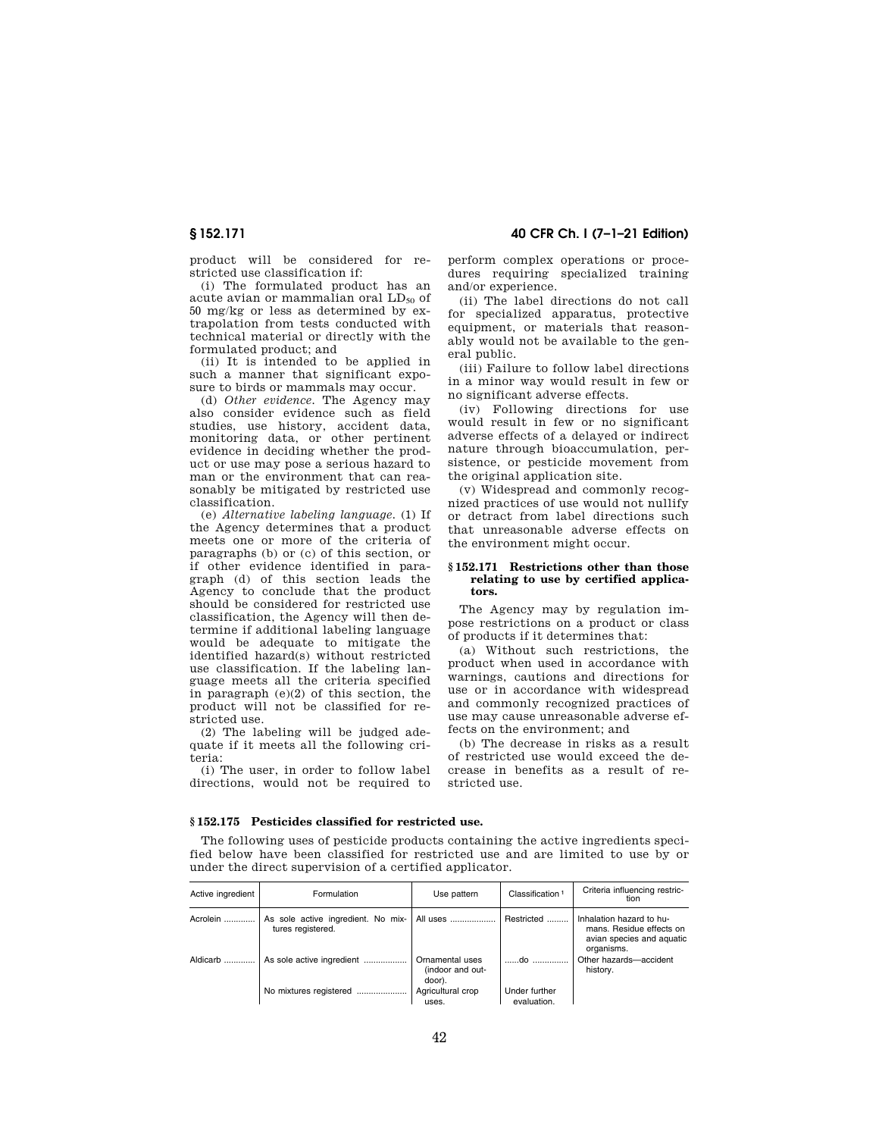product will be considered for restricted use classification if:

(i) The formulated product has an acute avian or mammalian oral  $LD_{50}$  of 50 mg/kg or less as determined by extrapolation from tests conducted with technical material or directly with the formulated product; and

(ii) It is intended to be applied in such a manner that significant exposure to birds or mammals may occur.

(d) *Other evidence.* The Agency may also consider evidence such as field studies, use history, accident data, monitoring data, or other pertinent evidence in deciding whether the product or use may pose a serious hazard to man or the environment that can reasonably be mitigated by restricted use classification.

(e) *Alternative labeling language.* (1) If the Agency determines that a product meets one or more of the criteria of paragraphs (b) or (c) of this section, or if other evidence identified in paragraph (d) of this section leads the Agency to conclude that the product should be considered for restricted use classification, the Agency will then determine if additional labeling language would be adequate to mitigate the identified hazard(s) without restricted use classification. If the labeling language meets all the criteria specified in paragraph (e)(2) of this section, the product will not be classified for restricted use.

(2) The labeling will be judged adequate if it meets all the following criteria:

(i) The user, in order to follow label directions, would not be required to

perform complex operations or procedures requiring specialized training and/or experience.

(ii) The label directions do not call for specialized apparatus, protective equipment, or materials that reasonably would not be available to the general public.

(iii) Failure to follow label directions in a minor way would result in few or no significant adverse effects.

(iv) Following directions for use would result in few or no significant adverse effects of a delayed or indirect nature through bioaccumulation, persistence, or pesticide movement from the original application site.

(v) Widespread and commonly recognized practices of use would not nullify or detract from label directions such that unreasonable adverse effects on the environment might occur.

#### **§ 152.171 Restrictions other than those relating to use by certified applicators.**

The Agency may by regulation impose restrictions on a product or class of products if it determines that:

(a) Without such restrictions, the product when used in accordance with warnings, cautions and directions for use or in accordance with widespread and commonly recognized practices of use may cause unreasonable adverse effects on the environment; and

(b) The decrease in risks as a result of restricted use would exceed the decrease in benefits as a result of restricted use.

### **§ 152.175 Pesticides classified for restricted use.**

The following uses of pesticide products containing the active ingredients specified below have been classified for restricted use and are limited to use by or under the direct supervision of a certified applicator.

| Active ingredient | Formulation                                             | Use pattern                                   | Classification <sup>1</sup>  | Criteria influencing restric-<br>tion                                                           |
|-------------------|---------------------------------------------------------|-----------------------------------------------|------------------------------|-------------------------------------------------------------------------------------------------|
| Acrolein          | As sole active ingredient. No mix-<br>tures registered. | All uses                                      | Restricted                   | Inhalation hazard to hu-<br>mans. Residue effects on<br>avian species and aquatic<br>organisms. |
| Aldicarb          | As sole active ingredient                               | Ornamental uses<br>(indoor and out-<br>door). | do                           | Other hazards-accident<br>history.                                                              |
|                   | No mixtures registered                                  | Agricultural crop<br>uses.                    | Under further<br>evaluation. |                                                                                                 |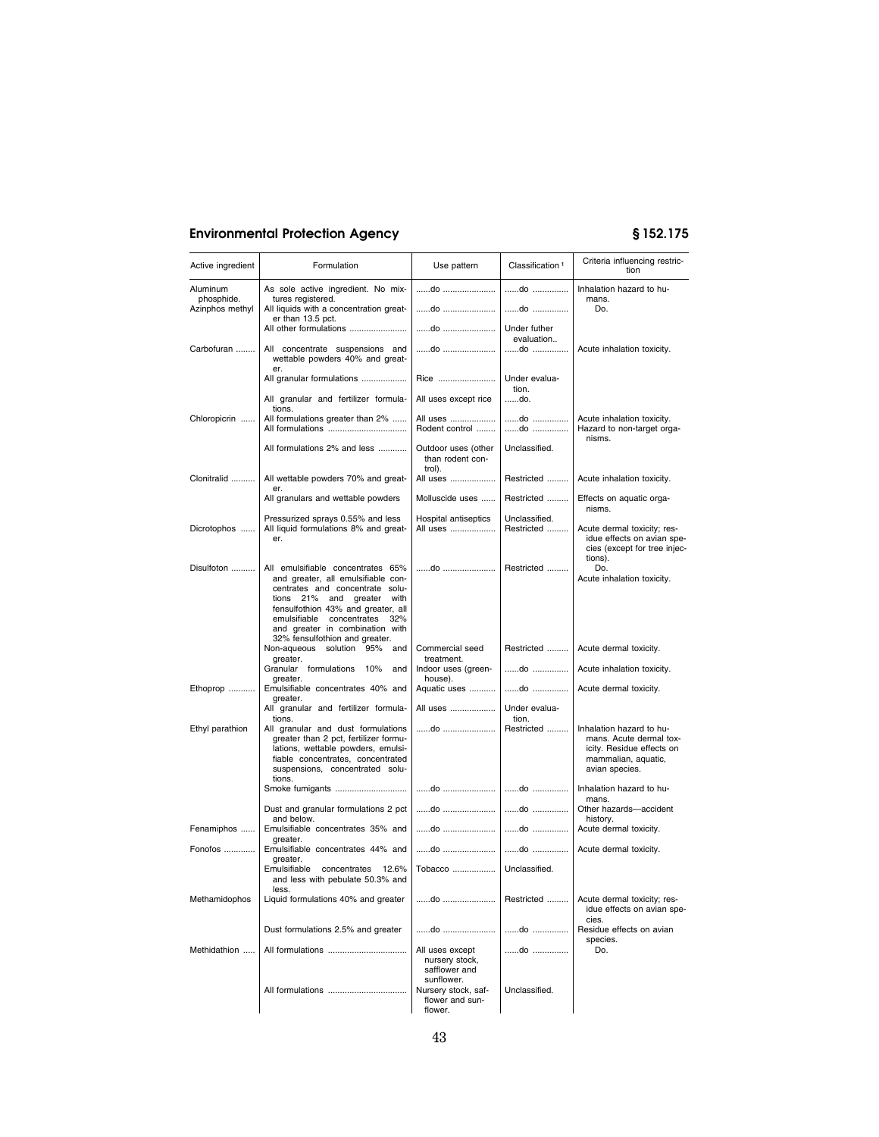| Active ingredient             | Formulation                                                                                                                                                                                                                                                                                | Use pattern                                                      | Classification <sup>1</sup> | Criteria influencing restric-<br>tion                                                                                     |
|-------------------------------|--------------------------------------------------------------------------------------------------------------------------------------------------------------------------------------------------------------------------------------------------------------------------------------------|------------------------------------------------------------------|-----------------------------|---------------------------------------------------------------------------------------------------------------------------|
| <b>Aluminum</b>               | As sole active ingredient. No mix-                                                                                                                                                                                                                                                         | do                                                               | do                          | Inhalation hazard to hu-                                                                                                  |
| phosphide.<br>Azinphos methyl | tures registered.<br>All liquids with a concentration great-                                                                                                                                                                                                                               | do                                                               | do                          | mans.<br>Do.                                                                                                              |
|                               | er than 13.5 pct.<br>All other formulations                                                                                                                                                                                                                                                | do                                                               | Under futher                |                                                                                                                           |
| Carbofuran                    | All concentrate suspensions and<br>wettable powders 40% and great-                                                                                                                                                                                                                         | do                                                               | evaluation<br>do            | Acute inhalation toxicity.                                                                                                |
|                               | er.<br>All granular formulations                                                                                                                                                                                                                                                           | Rice                                                             | Under evalua-               |                                                                                                                           |
|                               | All granular and fertilizer formula-                                                                                                                                                                                                                                                       | All uses except rice                                             | tion.<br>do.                |                                                                                                                           |
| Chloropicrin                  | tions.<br>All formulations greater than 2%                                                                                                                                                                                                                                                 | All uses<br>Rodent control                                       | do<br>do                    | Acute inhalation toxicity.<br>Hazard to non-target orga-<br>nisms.                                                        |
|                               | All formulations 2% and less                                                                                                                                                                                                                                                               | Outdoor uses (other<br>than rodent con-<br>trol).                | Unclassified.               |                                                                                                                           |
| Clonitralid                   | All wettable powders 70% and great-<br>er.                                                                                                                                                                                                                                                 | All uses                                                         | Restricted                  | Acute inhalation toxicity.                                                                                                |
|                               | All granulars and wettable powders                                                                                                                                                                                                                                                         | Molluscide uses                                                  | Restricted                  | Effects on aquatic orga-<br>nisms.                                                                                        |
| Dicrotophos                   | Pressurized sprays 0.55% and less<br>All liquid formulations 8% and great-<br>er.                                                                                                                                                                                                          | Hospital antiseptics<br>All uses                                 | Unclassified.<br>Restricted | Acute dermal toxicity; res-<br>idue effects on avian spe-<br>cies (except for tree injec-<br>tions).                      |
| Disulfoton                    | All emulsifiable concentrates 65%<br>and greater, all emulsifiable con-<br>centrates and concentrate solu-<br>tions 21% and greater<br>with<br>fensulfothion 43% and greater, all<br>emulsifiable concentrates<br>32%<br>and greater in combination with<br>32% fensulfothion and greater. | do                                                               | Restricted                  | Do.<br>Acute inhalation toxicity.                                                                                         |
|                               | Non-aqueous solution 95% and<br>greater.                                                                                                                                                                                                                                                   | Commercial seed<br>treatment.                                    | Restricted                  | Acute dermal toxicity.                                                                                                    |
|                               | Granular formulations 10% and<br>greater.                                                                                                                                                                                                                                                  | Indoor uses (green-<br>house).                                   | do                          | Acute inhalation toxicity.                                                                                                |
| Ethoprop                      | Emulsifiable concentrates 40% and<br>greater.                                                                                                                                                                                                                                              | Aquatic uses                                                     | do                          | Acute dermal toxicity.                                                                                                    |
|                               | All granular and fertilizer formula-<br>tions.                                                                                                                                                                                                                                             | All uses                                                         | Under evalua-<br>tion.      |                                                                                                                           |
| Ethyl parathion               | All granular and dust formulations<br>greater than 2 pct, fertilizer formu-<br>lations, wettable powders, emulsi-<br>fiable concentrates, concentrated<br>suspensions, concentrated solu-<br>tions.                                                                                        | do                                                               | Restricted                  | Inhalation hazard to hu-<br>mans. Acute dermal tox-<br>icity. Residue effects on<br>mammalian, aquatic,<br>avian species. |
|                               | Smoke fumigants                                                                                                                                                                                                                                                                            | do                                                               | do                          | Inhalation hazard to hu-<br>mans.                                                                                         |
|                               | Dust and granular formulations 2 pct<br>and below.                                                                                                                                                                                                                                         | do                                                               | do                          | Other hazards-accident<br>history.                                                                                        |
| Fenamiphos                    | Emulsifiable concentrates 35% and<br>greater.                                                                                                                                                                                                                                              | do                                                               | do                          | Acute dermal toxicity.                                                                                                    |
| Fonofos                       | Emulsifiable concentrates 44% and<br>greater.                                                                                                                                                                                                                                              | do                                                               | do                          | Acute dermal toxicity.                                                                                                    |
|                               | Emulsifiable<br>concentrates<br>12.6%<br>and less with pebulate 50.3% and<br>less.                                                                                                                                                                                                         | Tobacco                                                          | Unclassified.               |                                                                                                                           |
| Methamidophos                 | Liquid formulations 40% and greater                                                                                                                                                                                                                                                        | do                                                               | Restricted                  | Acute dermal toxicity; res-<br>idue effects on avian spe-<br>cies.                                                        |
|                               | Dust formulations 2.5% and greater                                                                                                                                                                                                                                                         | do                                                               | do                          | Residue effects on avian<br>species.                                                                                      |
| Methidathion                  | All formulations                                                                                                                                                                                                                                                                           | All uses except<br>nursery stock,<br>safflower and<br>sunflower. | do                          | Do.                                                                                                                       |
|                               |                                                                                                                                                                                                                                                                                            | Nursery stock, saf-<br>flower and sun-<br>flower.                | Unclassified.               |                                                                                                                           |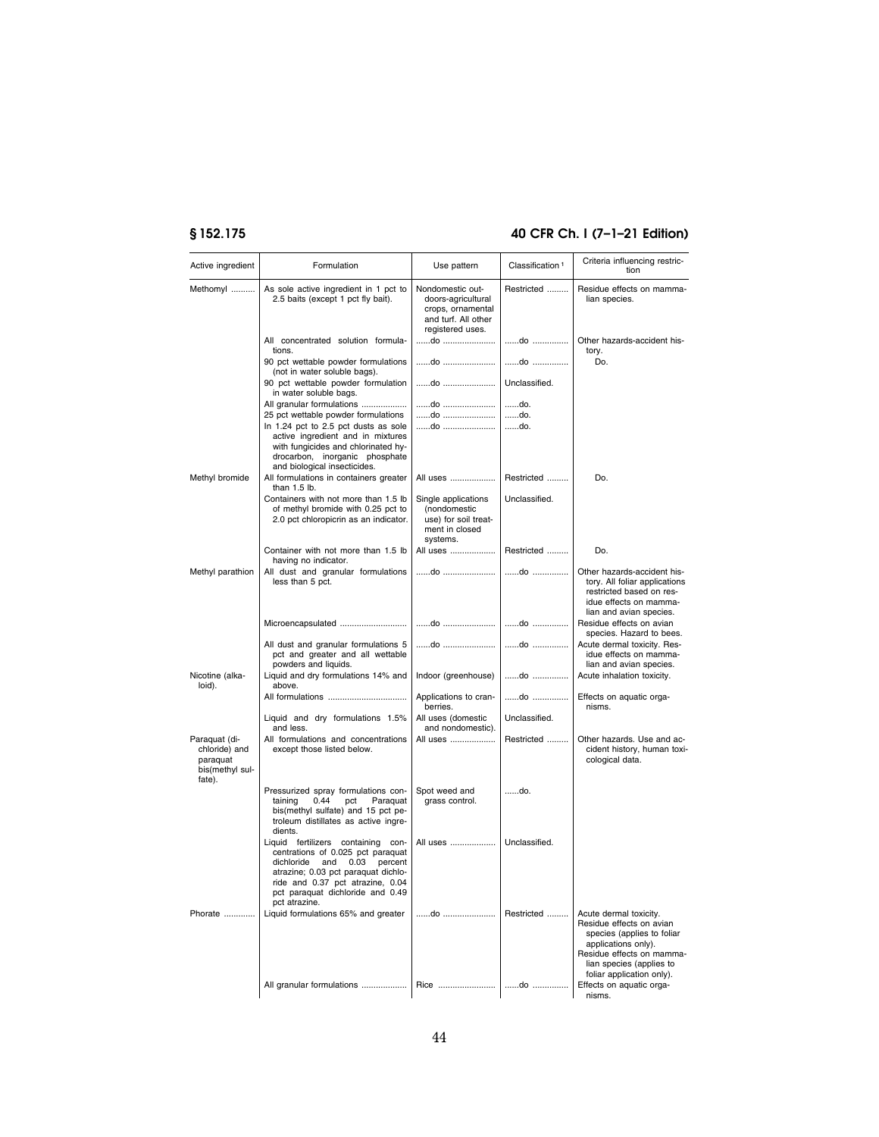# **§ 152.175 40 CFR Ch. I (7–1–21 Edition)**

| Active ingredient                                                       | Formulation                                                                                                                                                                                                                                     | Use pattern                                                                                            | Classification <sup>1</sup> | Criteria influencing restric-<br>tion                                                                                                                                                         |
|-------------------------------------------------------------------------|-------------------------------------------------------------------------------------------------------------------------------------------------------------------------------------------------------------------------------------------------|--------------------------------------------------------------------------------------------------------|-----------------------------|-----------------------------------------------------------------------------------------------------------------------------------------------------------------------------------------------|
| Methomyl                                                                | As sole active ingredient in 1 pct to<br>2.5 baits (except 1 pct fly bait).                                                                                                                                                                     | Nondomestic out-<br>doors-agricultural<br>crops, ornamental<br>and turf. All other<br>registered uses. | Restricted                  | Residue effects on mamma-<br>lian species.                                                                                                                                                    |
|                                                                         | All concentrated solution formula-<br>tions.                                                                                                                                                                                                    |                                                                                                        | do                          | Other hazards-accident his-<br>tory.                                                                                                                                                          |
|                                                                         | 90 pct wettable powder formulations<br>(not in water soluble bags).                                                                                                                                                                             | do                                                                                                     | do                          | Do.                                                                                                                                                                                           |
|                                                                         | 90 pct wettable powder formulation<br>in water soluble bags.                                                                                                                                                                                    | do                                                                                                     | Unclassified.               |                                                                                                                                                                                               |
|                                                                         | All granular formulations                                                                                                                                                                                                                       | do<br>do                                                                                               | do.                         |                                                                                                                                                                                               |
|                                                                         | 25 pct wettable powder formulations<br>In 1.24 pct to 2.5 pct dusts as sole<br>active ingredient and in mixtures<br>with fungicides and chlorinated hy-<br>drocarbon, inorganic phosphate<br>and biological insecticides.                       | do                                                                                                     | do.<br>do.                  |                                                                                                                                                                                               |
| Methyl bromide                                                          | All formulations in containers greater<br>than 1.5 lb.                                                                                                                                                                                          | All uses                                                                                               | Restricted                  | Do.                                                                                                                                                                                           |
|                                                                         | Containers with not more than 1.5 lb<br>of methyl bromide with 0.25 pct to<br>2.0 pct chloropicrin as an indicator.                                                                                                                             | Single applications<br>(nondomestic<br>use) for soil treat-<br>ment in closed<br>systems.              | Unclassified.               |                                                                                                                                                                                               |
|                                                                         | Container with not more than 1.5 lb<br>having no indicator.                                                                                                                                                                                     | All uses                                                                                               | Restricted                  | Do.                                                                                                                                                                                           |
| Methyl parathion                                                        | All dust and granular formulations<br>less than 5 pct.                                                                                                                                                                                          | do                                                                                                     | do                          | Other hazards-accident his-<br>tory. All foliar applications<br>restricted based on res-<br>idue effects on mamma-<br>lian and avian species.                                                 |
|                                                                         | Microencapsulated                                                                                                                                                                                                                               | do                                                                                                     | do                          | Residue effects on avian<br>species. Hazard to bees.                                                                                                                                          |
|                                                                         | All dust and granular formulations 5<br>pct and greater and all wettable<br>powders and liquids.                                                                                                                                                | do                                                                                                     | do                          | Acute dermal toxicity. Res-<br>idue effects on mamma-<br>lian and avian species.                                                                                                              |
| Nicotine (alka-<br>loid).                                               | Liquid and dry formulations 14% and<br>above.                                                                                                                                                                                                   | Indoor (greenhouse)                                                                                    | do                          | Acute inhalation toxicity.                                                                                                                                                                    |
|                                                                         | All formulations                                                                                                                                                                                                                                | Applications to cran-<br>berries.                                                                      | do                          | Effects on aquatic orga-<br>nisms.                                                                                                                                                            |
|                                                                         | Liquid and dry formulations 1.5%<br>and less.                                                                                                                                                                                                   | All uses (domestic<br>and nondomestic).                                                                | Unclassified.               |                                                                                                                                                                                               |
| Paraquat (di-<br>chloride) and<br>paraquat<br>bis(methyl sul-<br>fate). | All formulations and concentrations<br>except those listed below.                                                                                                                                                                               | All uses                                                                                               | Restricted                  | Other hazards. Use and ac-<br>cident history, human toxi-<br>cological data.                                                                                                                  |
|                                                                         | Pressurized spray formulations con-<br>taining<br>0.44<br>pct<br>Paraquat<br>bis(methyl sulfate) and 15 pct pe-<br>troleum distillates as active ingre-<br>dients.                                                                              | Spot weed and<br>grass control.                                                                        | do.                         |                                                                                                                                                                                               |
|                                                                         | Liquid fertilizers containing con-<br>centrations of 0.025 pct paraquat<br>dichloride<br>and<br>0.03<br>percent<br>atrazine; 0.03 pct paraquat dichlo-<br>ride and 0.37 pct atrazine, 0.04<br>pct paraquat dichloride and 0.49<br>pct atrazine. | All uses                                                                                               | Unclassified.               |                                                                                                                                                                                               |
| Phorate                                                                 | Liquid formulations 65% and greater                                                                                                                                                                                                             | do                                                                                                     | Restricted                  | Acute dermal toxicity.<br>Residue effects on avian<br>species (applies to foliar<br>applications only).<br>Residue effects on mamma-<br>lian species (applies to<br>foliar application only). |
|                                                                         |                                                                                                                                                                                                                                                 |                                                                                                        |                             | Effects on aquatic orga-<br>nisms.                                                                                                                                                            |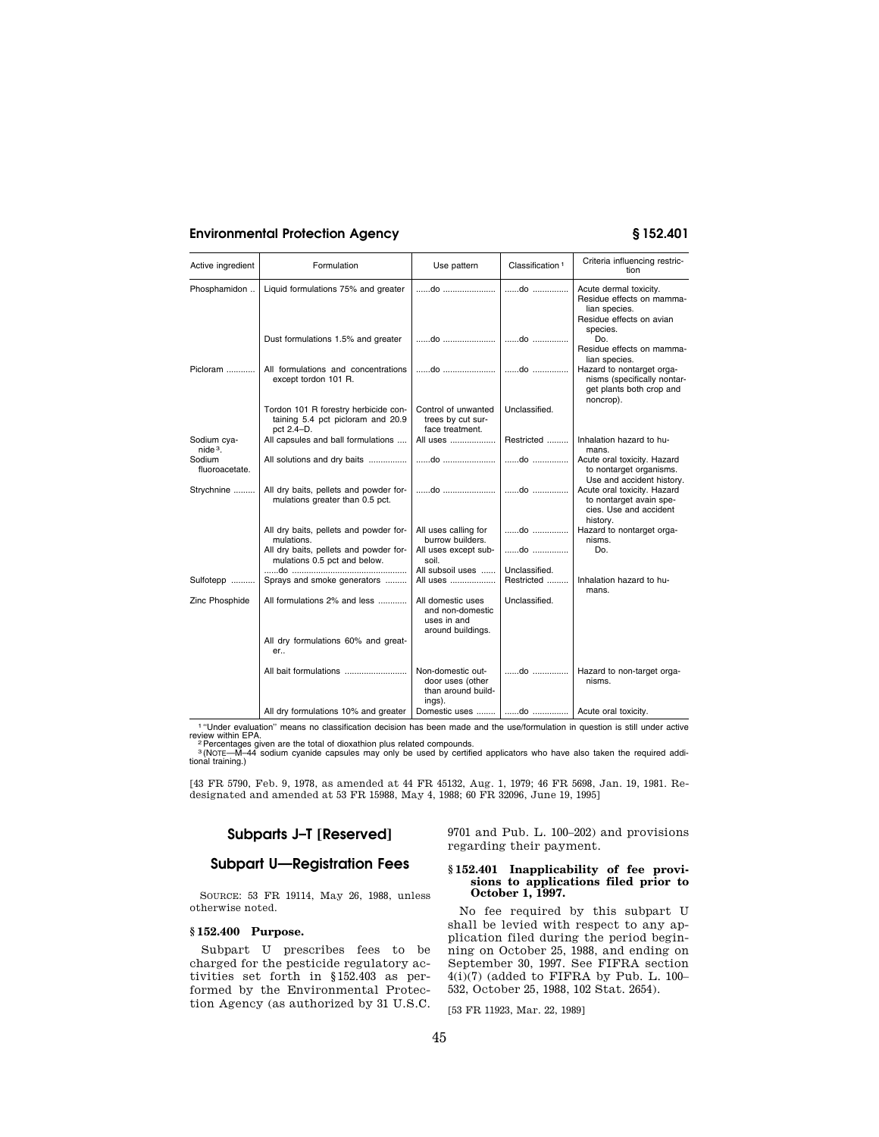| Active ingredient        | Formulation                                                                                    | Use pattern                                                               | Classification <sup>1</sup> | Criteria influencing restric-<br>tion                                                                        |
|--------------------------|------------------------------------------------------------------------------------------------|---------------------------------------------------------------------------|-----------------------------|--------------------------------------------------------------------------------------------------------------|
| Phosphamidon             | Liquid formulations 75% and greater                                                            |                                                                           | do                          | Acute dermal toxicity.<br>Residue effects on mamma-<br>lian species.<br>Residue effects on avian<br>species. |
|                          | Dust formulations 1.5% and greater                                                             | do                                                                        | do                          | Do.<br>Residue effects on mamma-<br>lian species.                                                            |
| $Picloram$               | All formulations and concentrations<br>except tordon 101 R.                                    | do                                                                        | do                          | Hazard to nontarget orga-<br>nisms (specifically nontar-<br>get plants both crop and<br>noncrop).            |
|                          | Tordon 101 R forestry herbicide con-<br>taining 5.4 pct picloram and 20.9<br>pct 2.4-D.        | Control of unwanted<br>trees by cut sur-<br>face treatment.               | Unclassified.               |                                                                                                              |
| Sodium cya-<br>$nide3$ . | All capsules and ball formulations                                                             | All uses                                                                  | Restricted                  | Inhalation hazard to hu-<br>mans.                                                                            |
| Sodium<br>fluoroacetate. | All solutions and dry baits                                                                    | do                                                                        | do                          | Acute oral toxicity. Hazard<br>to nontarget organisms.<br>Use and accident history.                          |
| Strychnine               | All dry baits, pellets and powder for-<br>mulations greater than 0.5 pct.                      | do                                                                        | do                          | Acute oral toxicity. Hazard<br>to nontarget avain spe-<br>cies. Use and accident<br>history.                 |
|                          | All dry baits, pellets and powder for-<br>mulations.<br>All dry baits, pellets and powder for- | All uses calling for<br>burrow builders.<br>All uses except sub-          | do<br>do                    | Hazard to nontarget orga-<br>nisms.<br>Do.                                                                   |
|                          | mulations 0.5 pct and below.                                                                   | soil.                                                                     |                             |                                                                                                              |
| Sulfotepp                | Sprays and smoke generators                                                                    | All subsoil uses<br>All uses                                              | Unclassified.<br>Restricted | Inhalation hazard to hu-<br>mans.                                                                            |
| Zinc Phosphide           | All formulations 2% and less                                                                   | All domestic uses<br>and non-domestic<br>uses in and<br>around buildings. | Unclassified.               |                                                                                                              |
|                          | All dry formulations 60% and great-<br>er                                                      |                                                                           |                             |                                                                                                              |
|                          |                                                                                                | Non-domestic out-<br>door uses (other<br>than around build-<br>ings).     | do                          | Hazard to non-target orga-<br>nisms.                                                                         |
|                          | All dry formulations 10% and greater                                                           | Domestic uses                                                             |                             | do    Acute oral toxicity.                                                                                   |

1 "Under evaluation" means no classification decision has been made and the use/formulation in question is still under active<br>eview within EPA.<br><sup>3</sup> Percentages given are the total of dioxathion plus related compounds.<br><sup>3</sup>

[43 FR 5790, Feb. 9, 1978, as amended at 44 FR 45132, Aug. 1, 1979; 46 FR 5698, Jan. 19, 1981. Redesignated and amended at 53 FR 15988, May 4, 1988; 60 FR 32096, June 19, 1995]

# **Subparts J–T [Reserved]**

# **Subpart U—Registration Fees**

SOURCE: 53 FR 19114, May 26, 1988, unless otherwise noted.

#### **§ 152.400 Purpose.**

Subpart U prescribes fees to be charged for the pesticide regulatory activities set forth in §152.403 as performed by the Environmental Protection Agency (as authorized by 31 U.S.C. 9701 and Pub. L. 100–202) and provisions regarding their payment.

#### **§ 152.401 Inapplicability of fee provisions to applications filed prior to October 1, 1997.**

No fee required by this subpart U shall be levied with respect to any application filed during the period beginning on October 25, 1988, and ending on September 30, 1997. See FIFRA section 4(i)(7) (added to FIFRA by Pub. L. 100– 532, October 25, 1988, 102 Stat. 2654).

[53 FR 11923, Mar. 22, 1989]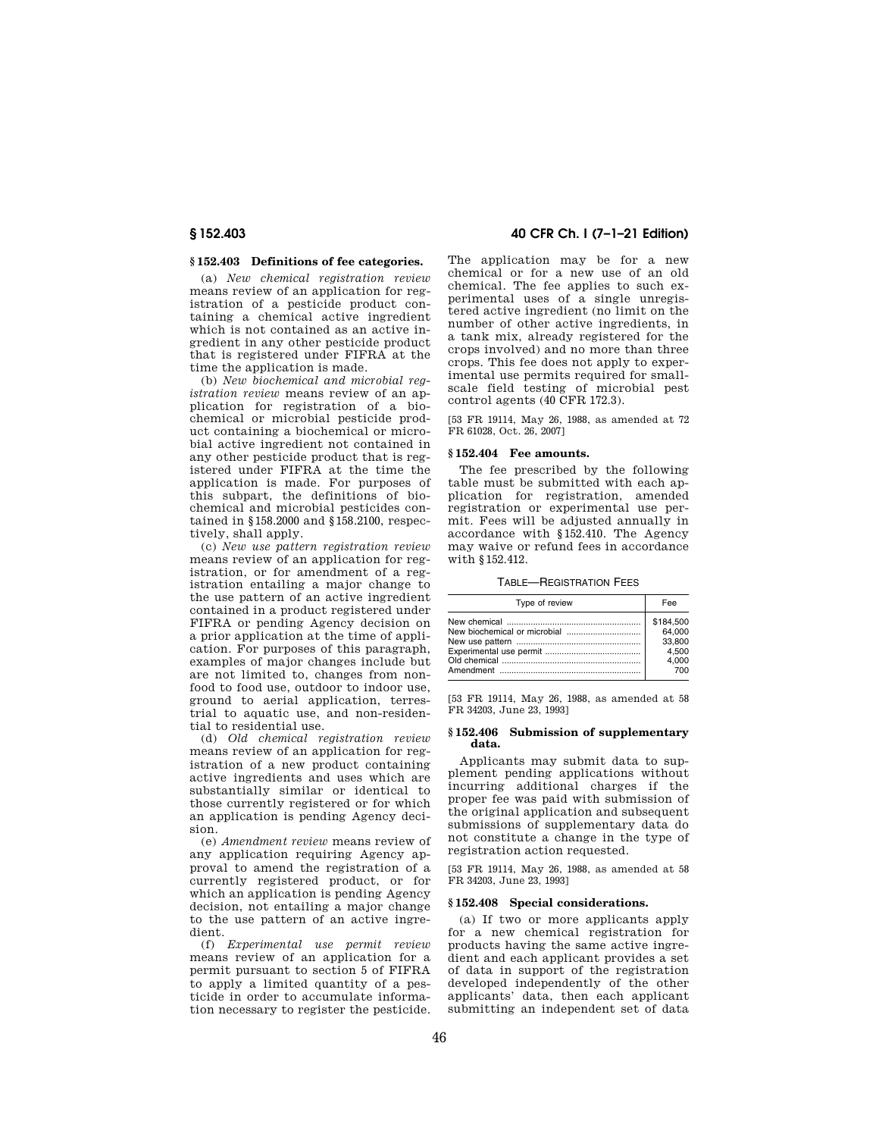#### **§ 152.403 Definitions of fee categories.**

(a) *New chemical registration review*  means review of an application for registration of a pesticide product containing a chemical active ingredient which is not contained as an active ingredient in any other pesticide product that is registered under FIFRA at the time the application is made.

(b) *New biochemical and microbial registration review* means review of an application for registration of a biochemical or microbial pesticide product containing a biochemical or microbial active ingredient not contained in any other pesticide product that is registered under FIFRA at the time the application is made. For purposes of this subpart, the definitions of biochemical and microbial pesticides contained in §158.2000 and §158.2100, respectively, shall apply.

(c) *New use pattern registration review*  means review of an application for registration, or for amendment of a registration entailing a major change to the use pattern of an active ingredient contained in a product registered under FIFRA or pending Agency decision on a prior application at the time of application. For purposes of this paragraph, examples of major changes include but are not limited to, changes from nonfood to food use, outdoor to indoor use, ground to aerial application, terrestrial to aquatic use, and non-residential to residential use.

(d) *Old chemical registration review*  means review of an application for registration of a new product containing active ingredients and uses which are substantially similar or identical to those currently registered or for which an application is pending Agency decision.

(e) *Amendment review* means review of any application requiring Agency approval to amend the registration of a currently registered product, or for which an application is pending Agency decision, not entailing a major change to the use pattern of an active ingredient.

(f) *Experimental use permit review*  means review of an application for a permit pursuant to section 5 of FIFRA to apply a limited quantity of a pesticide in order to accumulate information necessary to register the pesticide.

**§ 152.403 40 CFR Ch. I (7–1–21 Edition)** 

The application may be for a new chemical or for a new use of an old chemical. The fee applies to such experimental uses of a single unregistered active ingredient (no limit on the number of other active ingredients, in a tank mix, already registered for the crops involved) and no more than three crops. This fee does not apply to experimental use permits required for smallscale field testing of microbial pest control agents (40 CFR 172.3).

[53 FR 19114, May 26, 1988, as amended at 72 FR 61028, Oct. 26, 2007]

#### **§ 152.404 Fee amounts.**

The fee prescribed by the following table must be submitted with each application for registration, amended registration or experimental use permit. Fees will be adjusted annually in accordance with §152.410. The Agency may waive or refund fees in accordance with §152.412.

TABLE—REGISTRATION FEES

| Type of review | Fee       |
|----------------|-----------|
|                | \$184.500 |
|                | 64.000    |
|                | 33.800    |
|                | 4.500     |
|                | 4.000     |
|                | 700       |

[53 FR 19114, May 26, 1988, as amended at 58 FR 34203, June 23, 1993]

#### **§ 152.406 Submission of supplementary data.**

Applicants may submit data to supplement pending applications without incurring additional charges if the proper fee was paid with submission of the original application and subsequent submissions of supplementary data do not constitute a change in the type of registration action requested.

[53 FR 19114, May 26, 1988, as amended at 58 FR 34203, June 23, 1993]

#### **§ 152.408 Special considerations.**

(a) If two or more applicants apply for a new chemical registration for products having the same active ingredient and each applicant provides a set of data in support of the registration developed independently of the other applicants' data, then each applicant submitting an independent set of data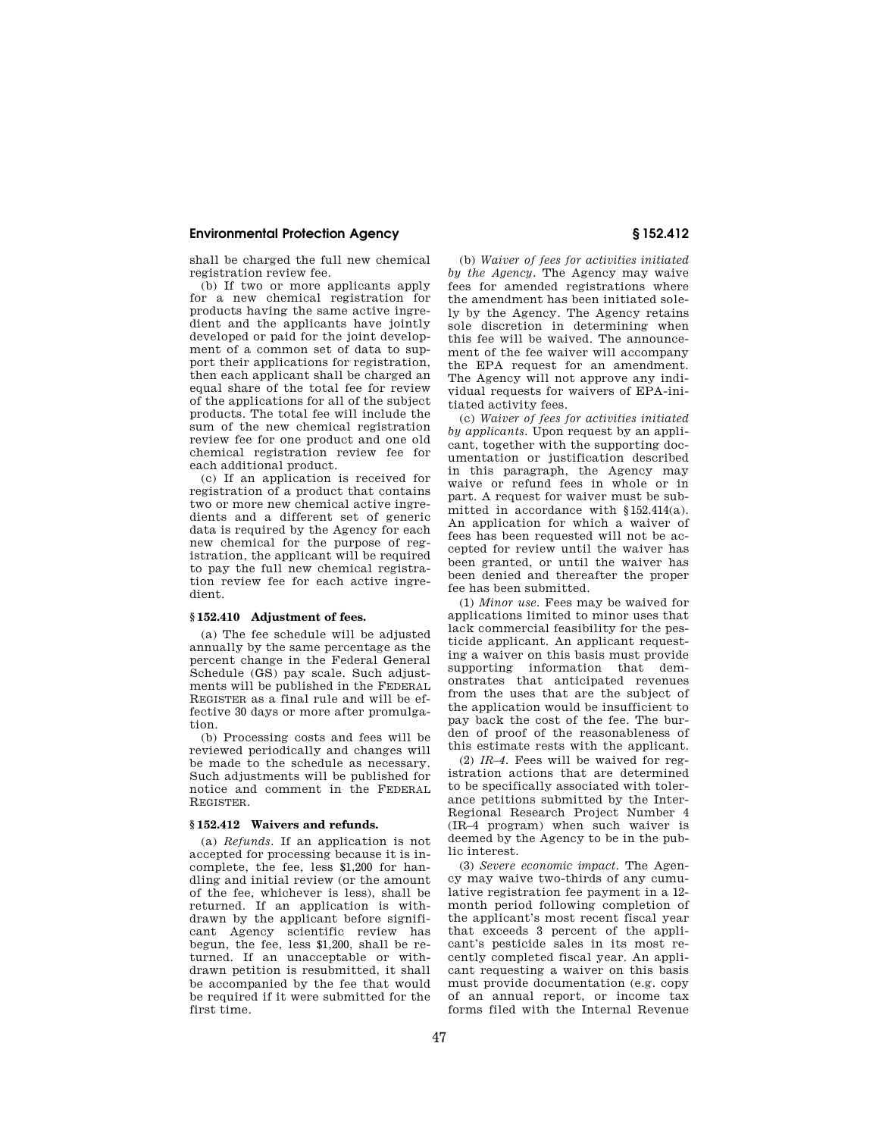shall be charged the full new chemical registration review fee.

(b) If two or more applicants apply for a new chemical registration for products having the same active ingredient and the applicants have jointly developed or paid for the joint development of a common set of data to support their applications for registration, then each applicant shall be charged an equal share of the total fee for review of the applications for all of the subject products. The total fee will include the sum of the new chemical registration review fee for one product and one old chemical registration review fee for each additional product.

(c) If an application is received for registration of a product that contains two or more new chemical active ingredients and a different set of generic data is required by the Agency for each new chemical for the purpose of registration, the applicant will be required to pay the full new chemical registration review fee for each active ingredient.

### **§ 152.410 Adjustment of fees.**

(a) The fee schedule will be adjusted annually by the same percentage as the percent change in the Federal General Schedule (GS) pay scale. Such adjustments will be published in the FEDERAL REGISTER as a final rule and will be effective 30 days or more after promulgation.

(b) Processing costs and fees will be reviewed periodically and changes will be made to the schedule as necessary. Such adjustments will be published for notice and comment in the FEDERAL REGISTER.

#### **§ 152.412 Waivers and refunds.**

(a) *Refunds.* If an application is not accepted for processing because it is incomplete, the fee, less \$1,200 for handling and initial review (or the amount of the fee, whichever is less), shall be returned. If an application is withdrawn by the applicant before significant Agency scientific review has begun, the fee, less \$1,200, shall be returned. If an unacceptable or withdrawn petition is resubmitted, it shall be accompanied by the fee that would be required if it were submitted for the first time.

(b) *Waiver of fees for activities initiated by the Agency.* The Agency may waive fees for amended registrations where the amendment has been initiated solely by the Agency. The Agency retains sole discretion in determining when this fee will be waived. The announcement of the fee waiver will accompany the EPA request for an amendment. The Agency will not approve any individual requests for waivers of EPA-initiated activity fees.

(c) *Waiver of fees for activities initiated by applicants.* Upon request by an applicant, together with the supporting documentation or justification described in this paragraph, the Agency may waive or refund fees in whole or in part. A request for waiver must be submitted in accordance with §152.414(a). An application for which a waiver of fees has been requested will not be accepted for review until the waiver has been granted, or until the waiver has been denied and thereafter the proper fee has been submitted.

(1) *Minor use.* Fees may be waived for applications limited to minor uses that lack commercial feasibility for the pesticide applicant. An applicant requesting a waiver on this basis must provide supporting information that demonstrates that anticipated revenues from the uses that are the subject of the application would be insufficient to pay back the cost of the fee. The burden of proof of the reasonableness of this estimate rests with the applicant.

(2) *IR–4.* Fees will be waived for registration actions that are determined to be specifically associated with tolerance petitions submitted by the Inter-Regional Research Project Number 4 (IR–4 program) when such waiver is deemed by the Agency to be in the public interest.

(3) *Severe economic impact.* The Agency may waive two-thirds of any cumulative registration fee payment in a 12 month period following completion of the applicant's most recent fiscal year that exceeds 3 percent of the applicant's pesticide sales in its most recently completed fiscal year. An applicant requesting a waiver on this basis must provide documentation (e.g. copy of an annual report, or income tax forms filed with the Internal Revenue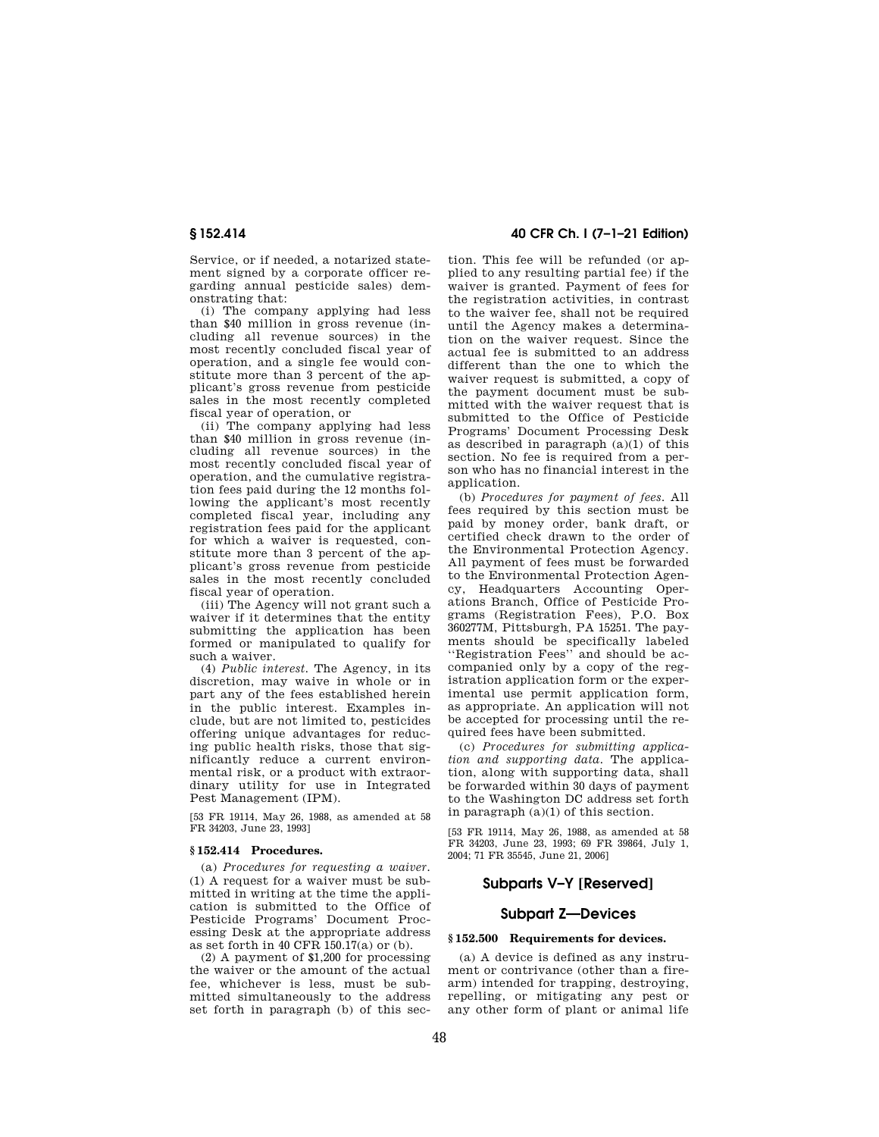Service, or if needed, a notarized statement signed by a corporate officer regarding annual pesticide sales) demonstrating that:

(i) The company applying had less than \$40 million in gross revenue (including all revenue sources) in the most recently concluded fiscal year of operation, and a single fee would constitute more than 3 percent of the applicant's gross revenue from pesticide sales in the most recently completed fiscal year of operation, or

(ii) The company applying had less than \$40 million in gross revenue (including all revenue sources) in the most recently concluded fiscal year of operation, and the cumulative registration fees paid during the 12 months following the applicant's most recently completed fiscal year, including any registration fees paid for the applicant for which a waiver is requested, constitute more than 3 percent of the applicant's gross revenue from pesticide sales in the most recently concluded fiscal year of operation.

(iii) The Agency will not grant such a waiver if it determines that the entity submitting the application has been formed or manipulated to qualify for such a waiver.

(4) *Public interest.* The Agency, in its discretion, may waive in whole or in part any of the fees established herein in the public interest. Examples include, but are not limited to, pesticides offering unique advantages for reducing public health risks, those that significantly reduce a current environmental risk, or a product with extraordinary utility for use in Integrated Pest Management (IPM).

[53 FR 19114, May 26, 1988, as amended at 58 FR 34203, June 23, 1993]

#### **§ 152.414 Procedures.**

(a) *Procedures for requesting a waiver.*  (1) A request for a waiver must be submitted in writing at the time the application is submitted to the Office of Pesticide Programs' Document Processing Desk at the appropriate address as set forth in 40 CFR 150.17(a) or (b).

(2) A payment of \$1,200 for processing the waiver or the amount of the actual fee, whichever is less, must be submitted simultaneously to the address set forth in paragraph (b) of this sec-

# **§ 152.414 40 CFR Ch. I (7–1–21 Edition)**

tion. This fee will be refunded (or applied to any resulting partial fee) if the waiver is granted. Payment of fees for the registration activities, in contrast to the waiver fee, shall not be required until the Agency makes a determination on the waiver request. Since the actual fee is submitted to an address different than the one to which the waiver request is submitted, a copy of the payment document must be submitted with the waiver request that is submitted to the Office of Pesticide Programs' Document Processing Desk as described in paragraph  $(a)(1)$  of this section. No fee is required from a person who has no financial interest in the application.

(b) *Procedures for payment of fees.* All fees required by this section must be paid by money order, bank draft, or certified check drawn to the order of the Environmental Protection Agency. All payment of fees must be forwarded to the Environmental Protection Agency, Headquarters Accounting Operations Branch, Office of Pesticide Programs (Registration Fees), P.O. Box 360277M, Pittsburgh, PA 15251. The payments should be specifically labeled ''Registration Fees'' and should be accompanied only by a copy of the registration application form or the experimental use permit application form, as appropriate. An application will not be accepted for processing until the required fees have been submitted.

(c) *Procedures for submitting application and supporting data.* The application, along with supporting data, shall be forwarded within 30 days of payment to the Washington DC address set forth in paragraph (a)(1) of this section.

[53 FR 19114, May 26, 1988, as amended at 58 FR 34203, June 23, 1993; 69 FR 39864, July 1, 2004; 71 FR 35545, June 21, 2006]

# **Subparts V–Y [Reserved]**

### **Subpart Z—Devices**

#### **§ 152.500 Requirements for devices.**

(a) A device is defined as any instrument or contrivance (other than a firearm) intended for trapping, destroying, repelling, or mitigating any pest or any other form of plant or animal life